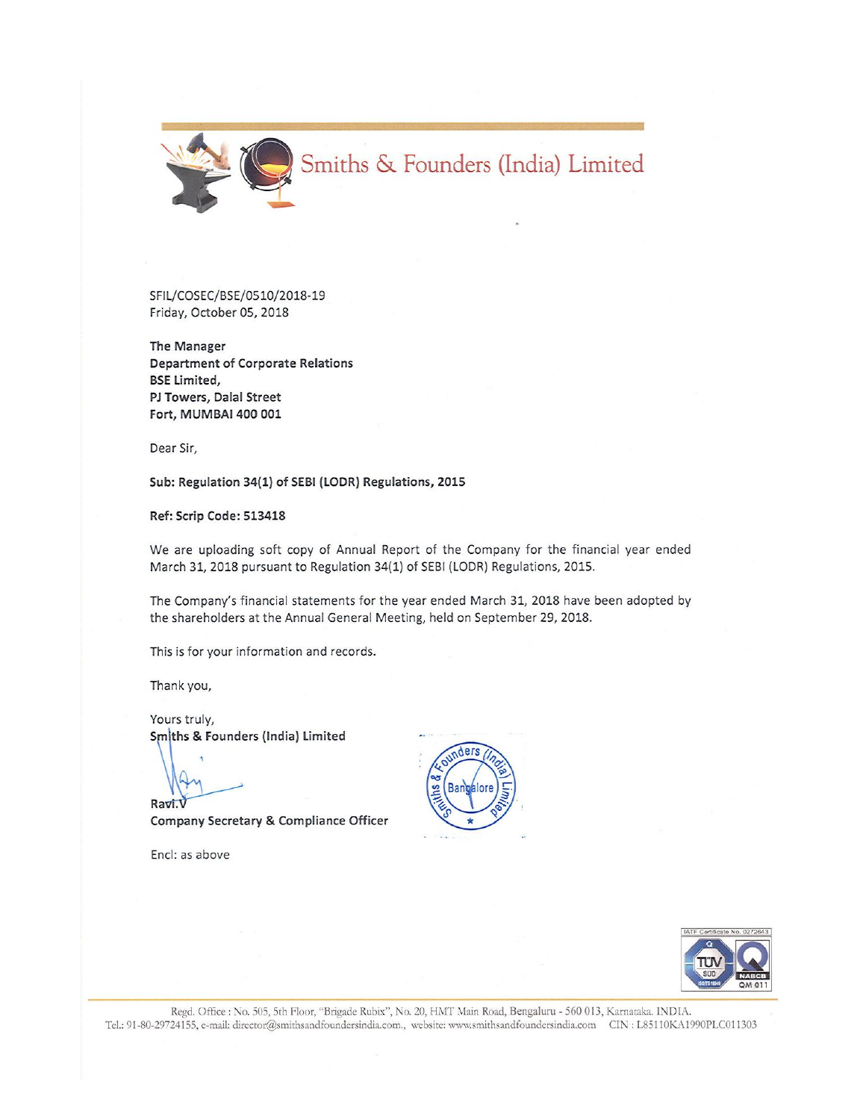

SFIL/COSEC/BSE/0510/2018-19 Friday, October 05, 2018

The Manager **Department of Corporate Relations BSE** Limited, PJ Towers, Dalal Street Fort, MUMBAI 400 001

Dear Sir,

Sub: Regulation 34(1) of SEBI (LODR) Regulations, 2015

Ref: Scrip Code: 513418

We are uploading soft copy of Annual Report of the Company for the financial year ended March 31, 2018 pursuant to Regulation 34(1) of SEBI (LODR) Regulations, 2015.

The Company's financial statements for the year ended March 31, 2018 have been adopted by the shareholders at the Annual General Meeting, held on September 29, 2018.

This is for your information and records.

Thank you,

Yours truly, Smiths & Founders (India) Limited

Ravi.V

Company Secretary & Compliance Officer

Encl: as above





Regd. Office : No. 505, 5th Floor, "Brigade Rubix", No. 20, HMT Main Road, Bengaluru - 560 013, Karnataka. INDIA. Tel.: 91-80-29724155, e-mail: director@smithsandfoundersindia.com., website: www.smithsandfoundersindia.com CIN: L85110KA1990PLC011303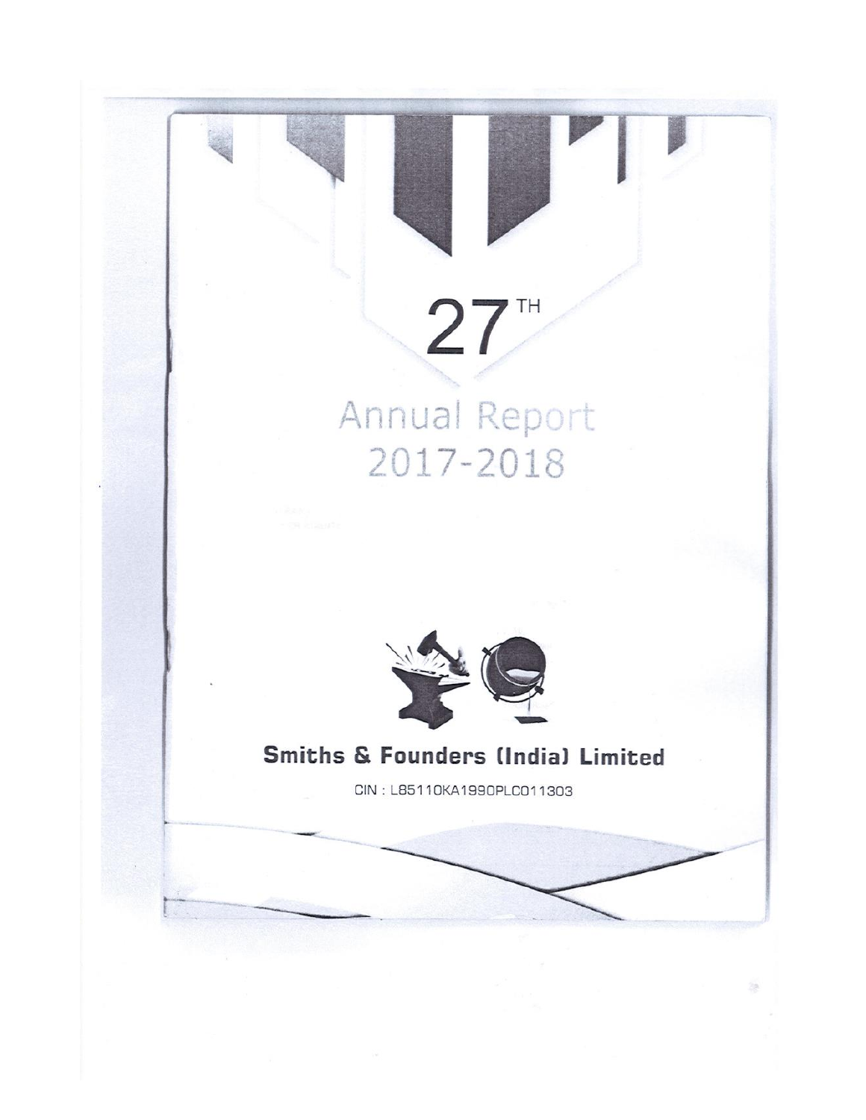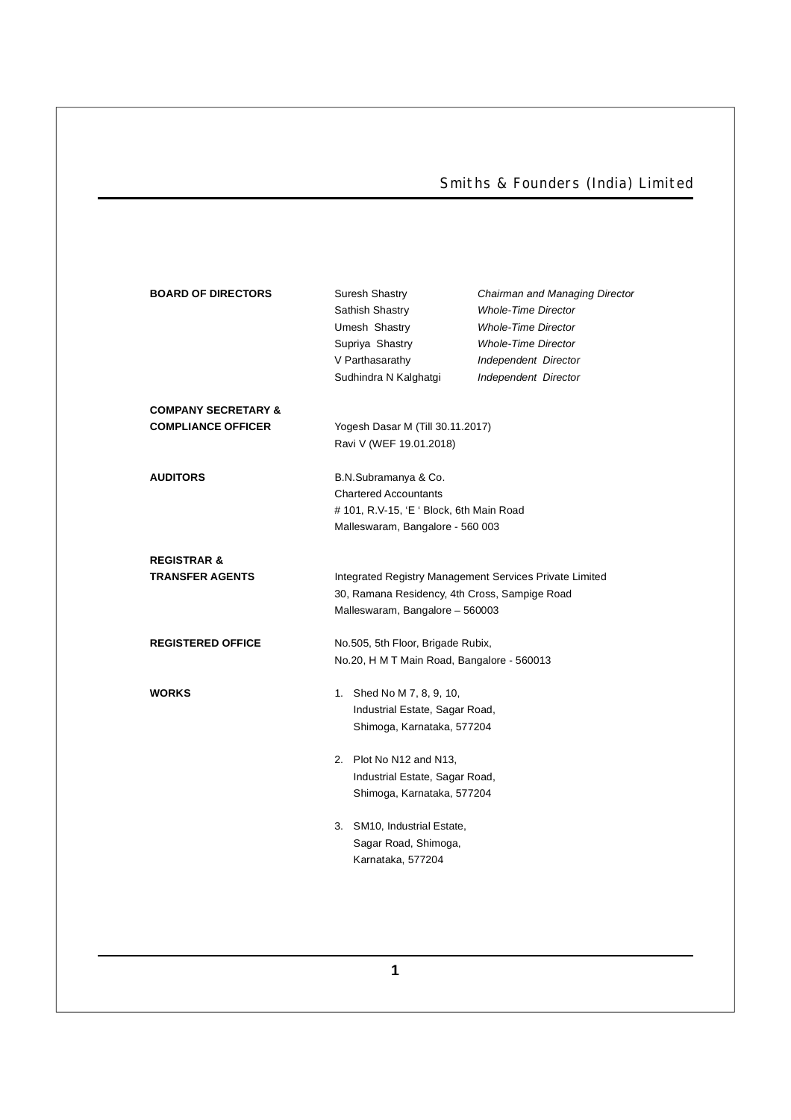| <b>BOARD OF DIRECTORS</b>                        | Suresh Shastry<br>Sathish Shastry<br>Umesh Shastry<br>Supriya Shastry<br>V Parthasarathy<br>Sudhindra N Kalghatgi                                                                                                                                                | Chairman and Managing Director<br><b>Whole-Time Director</b><br><b>Whole-Time Director</b><br><b>Whole-Time Director</b><br>Independent Director<br>Independent Director |  |  |  |  |  |
|--------------------------------------------------|------------------------------------------------------------------------------------------------------------------------------------------------------------------------------------------------------------------------------------------------------------------|--------------------------------------------------------------------------------------------------------------------------------------------------------------------------|--|--|--|--|--|
| <b>COMPANY SECRETARY &amp;</b>                   |                                                                                                                                                                                                                                                                  |                                                                                                                                                                          |  |  |  |  |  |
| <b>COMPLIANCE OFFICER</b>                        | Yogesh Dasar M (Till 30.11.2017)<br>Ravi V (WEF 19.01.2018)                                                                                                                                                                                                      |                                                                                                                                                                          |  |  |  |  |  |
| <b>AUDITORS</b>                                  | B.N.Subramanya & Co.<br><b>Chartered Accountants</b><br># 101, R.V-15, 'E ' Block, 6th Main Road<br>Malleswaram, Bangalore - 560 003                                                                                                                             |                                                                                                                                                                          |  |  |  |  |  |
| <b>REGISTRAR &amp;</b><br><b>TRANSFER AGENTS</b> | 30, Ramana Residency, 4th Cross, Sampige Road<br>Malleswaram, Bangalore - 560003                                                                                                                                                                                 | Integrated Registry Management Services Private Limited                                                                                                                  |  |  |  |  |  |
| <b>REGISTERED OFFICE</b>                         | No.505, 5th Floor, Brigade Rubix,<br>No.20, H M T Main Road, Bangalore - 560013                                                                                                                                                                                  |                                                                                                                                                                          |  |  |  |  |  |
| <b>WORKS</b>                                     | 1. Shed No M 7, 8, 9, 10,<br>Industrial Estate, Sagar Road,<br>Shimoga, Karnataka, 577204<br>2. Plot No N12 and N13,<br>Industrial Estate, Sagar Road,<br>Shimoga, Karnataka, 577204<br>3. SM10, Industrial Estate,<br>Sagar Road, Shimoga,<br>Karnataka, 577204 |                                                                                                                                                                          |  |  |  |  |  |

**1**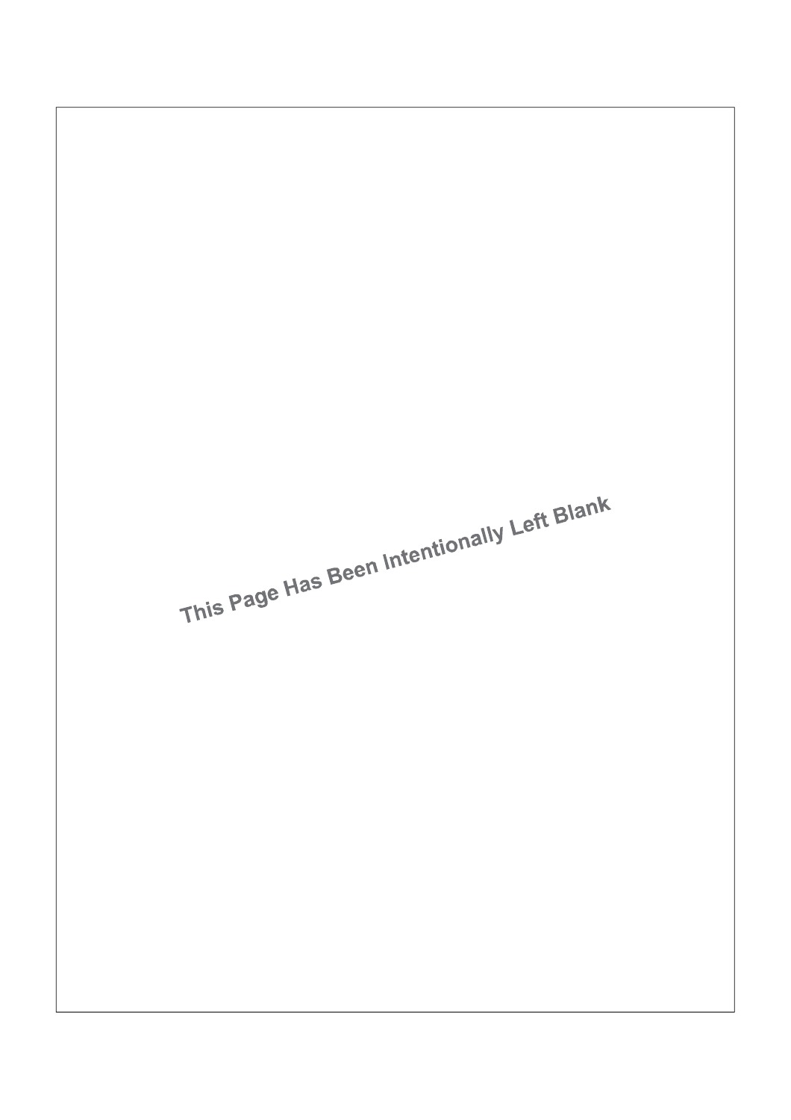This Page Has Been Intentionally Left Blank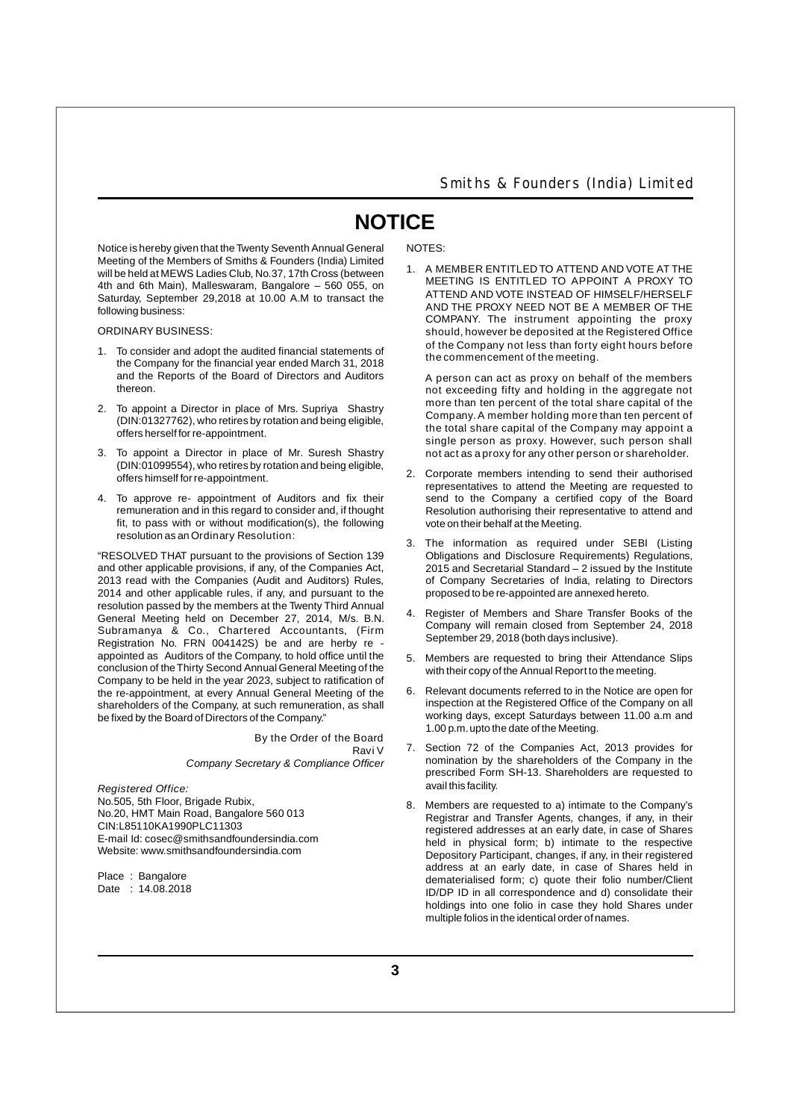# **NOTICE**

**Notice is hereby given that the Twenty Seventh Annual General Meeting of the Members of Smiths & Founders (India) Limited will be held at MEWS Ladies Club, No.37, 17th Cross (between 4th and 6th Main), Malleswaram, Bangalore – 560 055, on Saturday, September 29,2018 at 10.00 A.M to transact the following business:**

#### **ORDINARY BUSINESS:**

- **1. To consider and adopt the audited financial statements of the Company for the financial year ended March 31, 2018 and the Reports of the Board of Directors and Auditors thereon.**
- **2. To appoint a Director in place of Mrs. Supriya Shastry (DIN:01327762), who retires by rotation and being eligible, offers herself for re-appointment.**
- **3. To appoint a Director in place of Mr. Suresh Shastry (DIN:01099554), who retires by rotation and being eligible, offers himself for re-appointment.**
- **4. To approve re- appointment of Auditors and fix their remuneration and in this regard to consider and, if thought fit, to pass with or without modification(s), the following resolution as an Ordinary Resolution:**

**"RESOLVED THAT pursuant to the provisions of Section 139 and other applicable provisions, if any, of the Companies Act, 2013 read with the Companies (Audit and Auditors) Rules, 2014 and other applicable rules, if any, and pursuant to the resolution passed by the members at the Twenty Third Annual General Meeting held on December 27, 2014, M/s. B.N. Subramanya & Co., Chartered Accountants, (Firm Registration No. FRN 004142S) be and are herby re appointed as Auditors of the Company, to hold office until the conclusion of the Thirty Second Annual General Meeting of the Company to be held in the year 2023, subject to ratification of the re-appointment, at every Annual General Meeting of the shareholders of the Company, at such remuneration, as shall be fixed by the Board of Directors of the Company."**

#### **By the Order of the Board Ravi V**

*Company Secretary & Compliance Officer*

#### *Registered Office:*

**No.505, 5th Floor, Brigade Rubix, No.20, HMT Main Road, Bangalore 560 013 CIN:L85110KA1990PLC11303 E-mail Id: cosec@smithsandfoundersindia.com Website: www.smithsandfoundersindia.com**

**Place : Bangalore Date : 14.08.2018** **NOTES:**

**1. A MEMBER ENTITLED TO ATTEND AND VOTE AT THE MEETING IS ENTITLED TO APPOINT A PROXY TO ATTEND AND VOTE INSTEAD OF HIMSELF/HERSELF AND THE PROXY NEED NOT BE A MEMBER OF THE COMPANY. The instrument appointing the proxy should, however be deposited at the Registered Office of the Company not less than forty eight hours before the commencement of the meeting.**

**A person can act as proxy on behalf of the members not exceeding fifty and holding in the aggregate not more than ten percent of the total share capital of the Company. A member holding more than ten percent of the total share capital of the Company may appoint a single person as proxy. However, such person shall not act as a proxy for any other person or shareholder.**

- **2. Corporate members intending to send their authorised representatives to attend the Meeting are requested to send to the Company a certified copy of the Board Resolution authorising their representative to attend and vote on their behalf at the Meeting.**
- **3. The information as required under SEBI (Listing Obligations and Disclosure Requirements) Regulations, 2015 and Secretarial Standard – 2 issued by the Institute of Company Secretaries of India, relating to Directors proposed to be re-appointed are annexed hereto.**
- **4. Register of Members and Share Transfer Books of the Company will remain closed from September 24, 2018 September 29, 2018 (both days inclusive).**
- **5. Members are requested to bring their Attendance Slips with their copy of the Annual Report to the meeting.**
- **6. Relevant documents referred to in the Notice are open for inspection at the Registered Office of the Company on all working days, except Saturdays between 11.00 a.m and 1.00 p.m. upto the date of the Meeting.**
- **7. Section 72 of the Companies Act, 2013 provides for nomination by the shareholders of the Company in the prescribed Form SH-13. Shareholders are requested to avail this facility.**
- **8. Members are requested to a) intimate to the Company's Registrar and Transfer Agents, changes, if any, in their registered addresses at an early date, in case of Shares held in physical form; b) intimate to the respective Depository Participant, changes, if any, in their registered address at an early date, in case of Shares held in dematerialised form; c) quote their folio number/Client ID/DP ID in all correspondence and d) consolidate their holdings into one folio in case they hold Shares under multiple folios in the identical order of names.**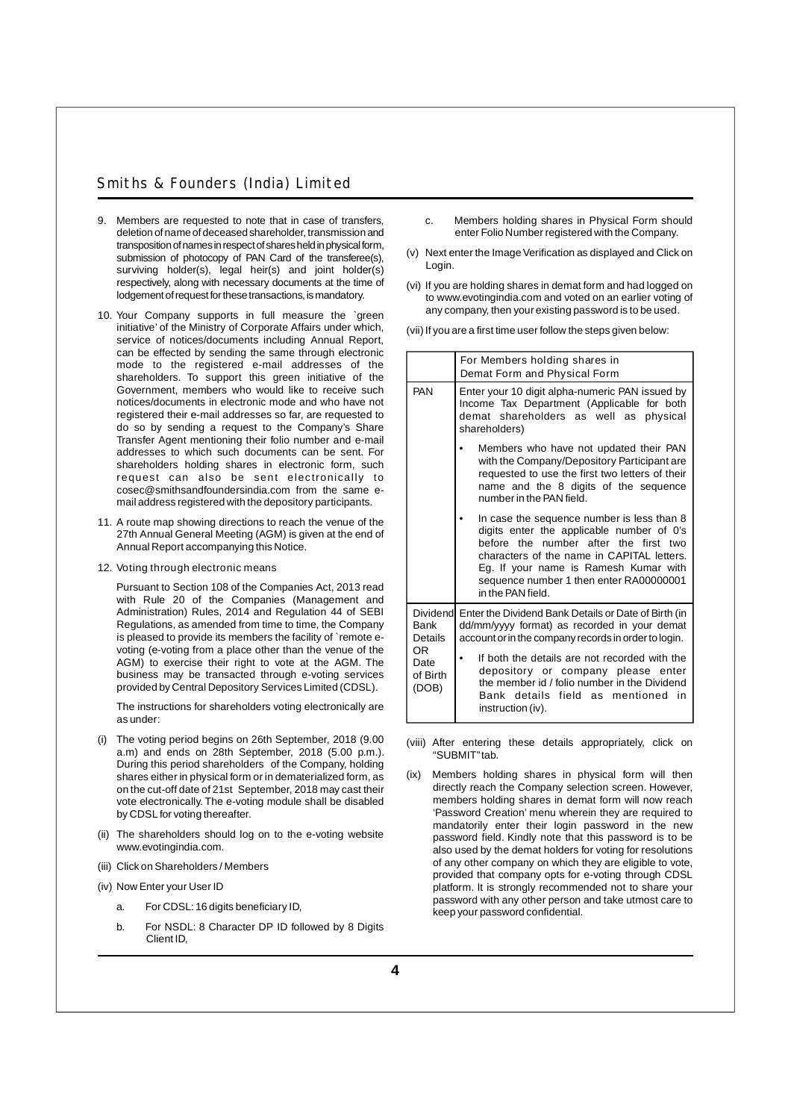- **9. Members are requested to note that in case of transfers, deletion of name of deceased shareholder, transmission and transposition of names in respect of shares held in physical form, submission of photocopy of PAN Card of the transferee(s), surviving holder(s), legal heir(s) and joint holder(s) respectively, along with necessary documents at the time of lodgement of request for these transactions, is mandatory.**
- **10. Your Company supports in full measure the `green initiative' of the Ministry of Corporate Affairs under which, service of notices/documents including Annual Report, can be effected by sending the same through electronic mode to the registered e-mail addresses of the shareholders. To support this green initiative of the Government, members who would like to receive such notices/documents in electronic mode and who have not registered their e-mail addresses so far, are requested to do so by sending a request to the Company's Share Transfer Agent mentioning their folio number and e-mail addresses to which such documents can be sent. For shareholders holding shares in electronic form, such**  request can also be sent electronically to **cosec@smithsandfoundersindia.com from the same email address registered with the depository participants.**
- **11. A route map showing directions to reach the venue of the 27th Annual General Meeting (AGM) is given at the end of Annual Report accompanying this Notice.**

#### **12. Voting through electronic means**

 **Pursuant to Section 108 of the Companies Act, 2013 read with Rule 20 of the Companies (Management and Administration) Rules, 2014 and Regulation 44 of SEBI Regulations, as amended from time to time, the Company is pleased to provide its members the facility of `remote evoting (e-voting from a place other than the venue of the AGM) to exercise their right to vote at the AGM. The business may be transacted through e-voting services provided by Central Depository Services Limited (CDSL).** 

 **The instructions for shareholders voting electronically are as under:**

- **(i) The voting period begins on 26th September, 2018 (9.00 a.m) and ends on 28th September, 2018 (5.00 p.m.). During this period shareholders of the Company, holding shares either in physical form or in dematerialized form, as on the cut-off date of 21st September, 2018 may cast their vote electronically. The e-voting module shall be disabled by CDSL for voting thereafter.**
- **(ii) The shareholders should log on to the e-voting website www.evotingindia.com.**
- **(iii) Click on Shareholders / Members**
- **(iv) Now Enter your User ID** 
	- **a. For CDSL: 16 digits beneficiary ID,**
	- **b. For NSDL: 8 Character DP ID followed by 8 Digits Client ID,**
- **c. Members holding shares in Physical Form should enter Folio Number registered with the Company.**
- **(v) Next enter the Image Verification as displayed and Click on Login.**
- **(vi) If you are holding shares in demat form and had logged on to www.evotingindia.com and voted on an earlier voting of any company, then your existing password is to be used.**

**(vii) If you are a first time user follow the steps given below:**

|                                  | For Members holding shares in<br><b>Demat Form and Physical Form</b>                                                                                                                                                                                                                    |
|----------------------------------|-----------------------------------------------------------------------------------------------------------------------------------------------------------------------------------------------------------------------------------------------------------------------------------------|
| <b>PAN</b>                       | Enter your 10 digit alpha-numeric PAN issued by<br>Income Tax Department (Applicable for both<br>demat shareholders as well as physical<br>shareholders)                                                                                                                                |
|                                  | Members who have not updated their PAN<br>with the Company/Depository Participant are<br>requested to use the first two letters of their<br>name and the 8 digits of the sequence<br>number in the PAN field.                                                                           |
|                                  | In case the sequence number is less than 8<br>digits enter the applicable number of 0's<br>before the number after the first two<br>characters of the name in CAPITAL letters.<br>Eg. If your name is Ramesh Kumar with<br>sequence number 1 then enter RA00000001<br>in the PAN field. |
| Dividend<br>Bank<br>Details      | Enter the Dividend Bank Details or Date of Birth (in<br>dd/mm/yyyy format) as recorded in your demat<br>account or in the company records in order to login.                                                                                                                            |
| OR.<br>Date<br>of Birth<br>(DOB) | If both the details are not recorded with the<br>$\bullet$<br>depository or company please enter<br>the member id / folio number in the Dividend<br>Bank details field as mentioned in<br>instruction (iv).                                                                             |

- **(viii) After entering these details appropriately, click on "SUBMIT" tab.**
- **(ix) Members holding shares in physical form will then directly reach the Company selection screen. However, members holding shares in demat form will now reach 'Password Creation' menu wherein they are required to mandatorily enter their login password in the new password field. Kindly note that this password is to be also used by the demat holders for voting for resolutions of any other company on which they are eligible to vote, provided that company opts for e-voting through CDSL platform. It is strongly recommended not to share your password with any other person and take utmost care to keep your password confidential.**

**4**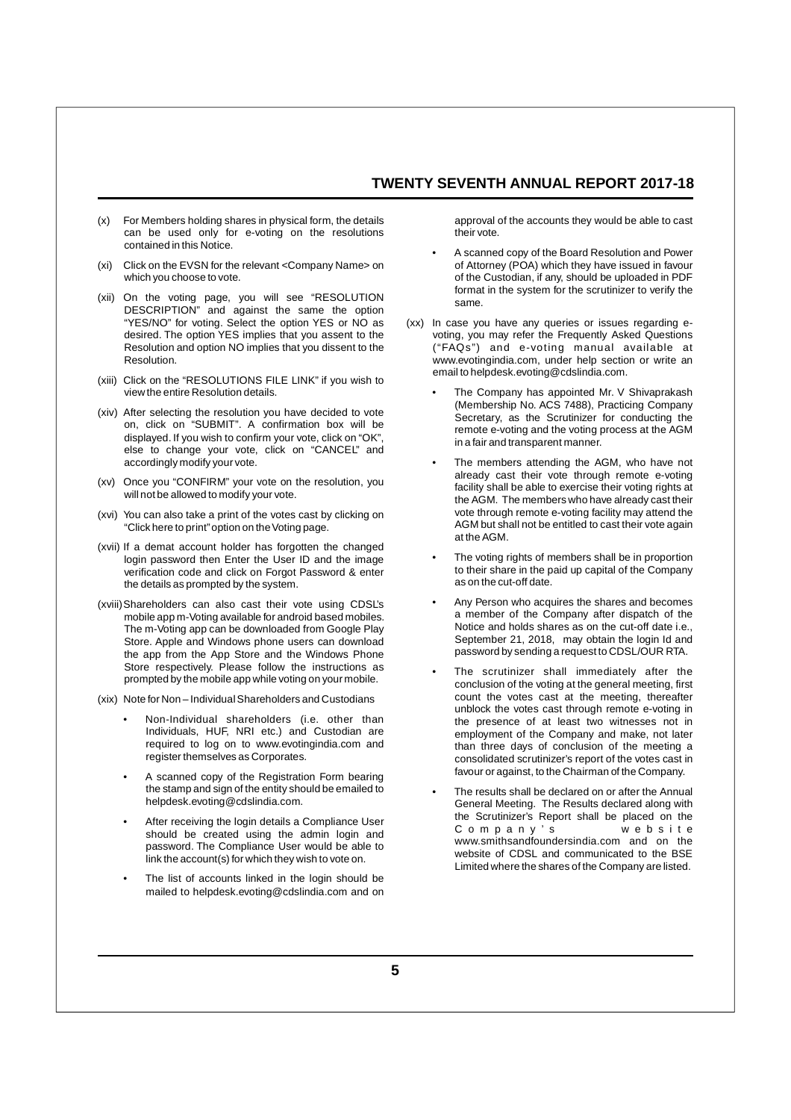- **(x) For Members holding shares in physical form, the details can be used only for e-voting on the resolutions contained in this Notice.**
- **(xi) Click on the EVSN for the relevant <Company Name> on which you choose to vote.**
- **(xii) On the voting page, you will see "RESOLUTION DESCRIPTION" and against the same the option "YES/NO" for voting. Select the option YES or NO as desired. The option YES implies that you assent to the Resolution and option NO implies that you dissent to the Resolution.**
- **(xiii) Click on the "RESOLUTIONS FILE LINK" if you wish to view the entire Resolution details.**
- **(xiv) After selecting the resolution you have decided to vote on, click on "SUBMIT". A confirmation box will be displayed. If you wish to confirm your vote, click on "OK", else to change your vote, click on "CANCEL" and accordingly modify your vote.**
- **(xv) Once you "CONFIRM" your vote on the resolution, you will not be allowed to modify your vote.**
- **(xvi) You can also take a print of the votes cast by clicking on "Click here to print" option on the Voting page.**
- **(xvii) If a demat account holder has forgotten the changed login password then Enter the User ID and the image verification code and click on Forgot Password & enter the details as prompted by the system.**
- **(xviii) Shareholders can also cast their vote using CDSL's mobile app m-Voting available for android based mobiles. The m-Voting app can be downloaded from Google Play Store. Apple and Windows phone users can download the app from the App Store and the Windows Phone Store respectively. Please follow the instructions as prompted by the mobile app while voting on your mobile.**
- **(xix) Note for Non Individual Shareholders and Custodians**
	- **Non-Individual shareholders (i.e. other than Individuals, HUF, NRI etc.) and Custodian are required to log on to www.evotingindia.com and register themselves as Corporates.**
	- **A scanned copy of the Registration Form bearing the stamp and sign of the entity should be emailed to helpdesk.evoting@cdslindia.com.**
	- **After receiving the login details a Compliance User should be created using the admin login and password. The Compliance User would be able to link the account(s) for which they wish to vote on.**
	- The list of accounts linked in the login should be **mailed to helpdesk.evoting@cdslindia.com and on**

**approval of the accounts they would be able to cast their vote.** 

- **A scanned copy of the Board Resolution and Power of Attorney (POA) which they have issued in favour of the Custodian, if any, should be uploaded in PDF format in the system for the scrutinizer to verify the same.**
- **(xx) In case you have any queries or issues regarding evoting, you may refer the Frequently Asked Questions ("FAQs") and e-voting manual available at www.evotingindia.com, under help section or write an email to helpdesk.evoting@cdslindia.com.**
	- **The Company has appointed Mr. V Shivaprakash (Membership No. ACS 7488), Practicing Company Secretary, as the Scrutinizer for conducting the remote e-voting and the voting process at the AGM in a fair and transparent manner.**
	- **The members attending the AGM, who have not already cast their vote through remote e-voting facility shall be able to exercise their voting rights at the AGM. The members who have already cast their vote through remote e-voting facility may attend the AGM but shall not be entitled to cast their vote again at the AGM.**
	- **The voting rights of members shall be in proportion to their share in the paid up capital of the Company as on the cut-off date.**
	- **Any Person who acquires the shares and becomes a member of the Company after dispatch of the Notice and holds shares as on the cut-off date i.e., September 21, 2018, may obtain the login Id and password by sending a request to CDSL/OUR RTA.**
	- **The scrutinizer shall immediately after the conclusion of the voting at the general meeting, first count the votes cast at the meeting, thereafter unblock the votes cast through remote e-voting in the presence of at least two witnesses not in employment of the Company and make, not later than three days of conclusion of the meeting a consolidated scrutinizer's report of the votes cast in favour or against, to the Chairman of the Company.**
	- **The results shall be declared on or after the Annual General Meeting. The Results declared along with the Scrutinizer's Report shall be placed on the C o m p a n y ' s w e b s i t e www.smithsandfoundersindia.com and on the website of CDSL and communicated to the BSE Limited where the shares of the Company are listed.**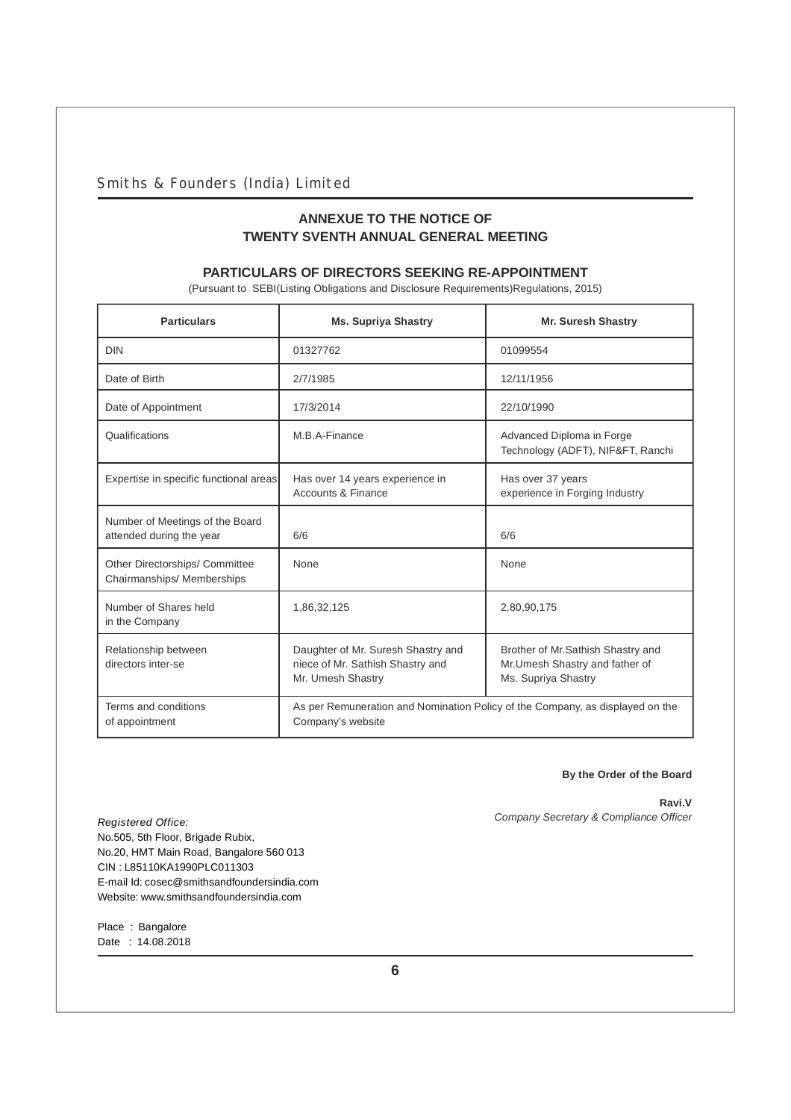## **ANNEXUE TO THE NOTICE OF TWENTY SVENTH ANNUAL GENERAL MEETING**

## **PARTICULARS OF DIRECTORS SEEKING RE-APPOINTMENT**

(Pursuant to SEBI(Listing Obligations and Disclosure Requirements)Regulations, 2015)

| <b>Particulars</b>                                           | <b>Ms. Supriya Shastry</b>                                                                  | Mr. Suresh Shastry                                                                          |  |
|--------------------------------------------------------------|---------------------------------------------------------------------------------------------|---------------------------------------------------------------------------------------------|--|
| <b>DIN</b>                                                   | 01327762                                                                                    | 01099554                                                                                    |  |
| Date of Birth                                                | 2/7/1985                                                                                    | 12/11/1956                                                                                  |  |
| Date of Appointment                                          | 17/3/2014                                                                                   | 22/10/1990                                                                                  |  |
| Qualifications                                               | M.B.A-Finance                                                                               | Advanced Diploma in Forge<br>Technology (ADFT), NIF&FT, Ranchi                              |  |
| Expertise in specific functional areas                       | Has over 14 years experience in<br>Accounts & Finance                                       | Has over 37 years<br>experience in Forging Industry                                         |  |
| Number of Meetings of the Board<br>attended during the year  | 6/6                                                                                         | 6/6                                                                                         |  |
| Other Directorships/ Committee<br>Chairmanships/ Memberships | None                                                                                        | None                                                                                        |  |
| Number of Shares held<br>in the Company                      | 1,86,32,125                                                                                 | 2,80,90,175                                                                                 |  |
| Relationship between<br>directors inter-se                   | Daughter of Mr. Suresh Shastry and<br>niece of Mr. Sathish Shastry and<br>Mr. Umesh Shastry | Brother of Mr.Sathish Shastry and<br>Mr. Umesh Shastry and father of<br>Ms. Supriya Shastry |  |
| Terms and conditions<br>of appointment                       | Company's website                                                                           | As per Remuneration and Nomination Policy of the Company, as displayed on the               |  |

### **By the Order of the Board**

**Ravi.V** *Company Secretary & Compliance Officer Registered Office:*

**No.505, 5th Floor, Brigade Rubix, No.20, HMT Main Road, Bangalore 560 013 CIN : L85110KA1990PLC011303 E-mail Id: cosec@smithsandfoundersindia.com Website: www.smithsandfoundersindia.com**

**Place : Bangalore Date : 14.08.2018**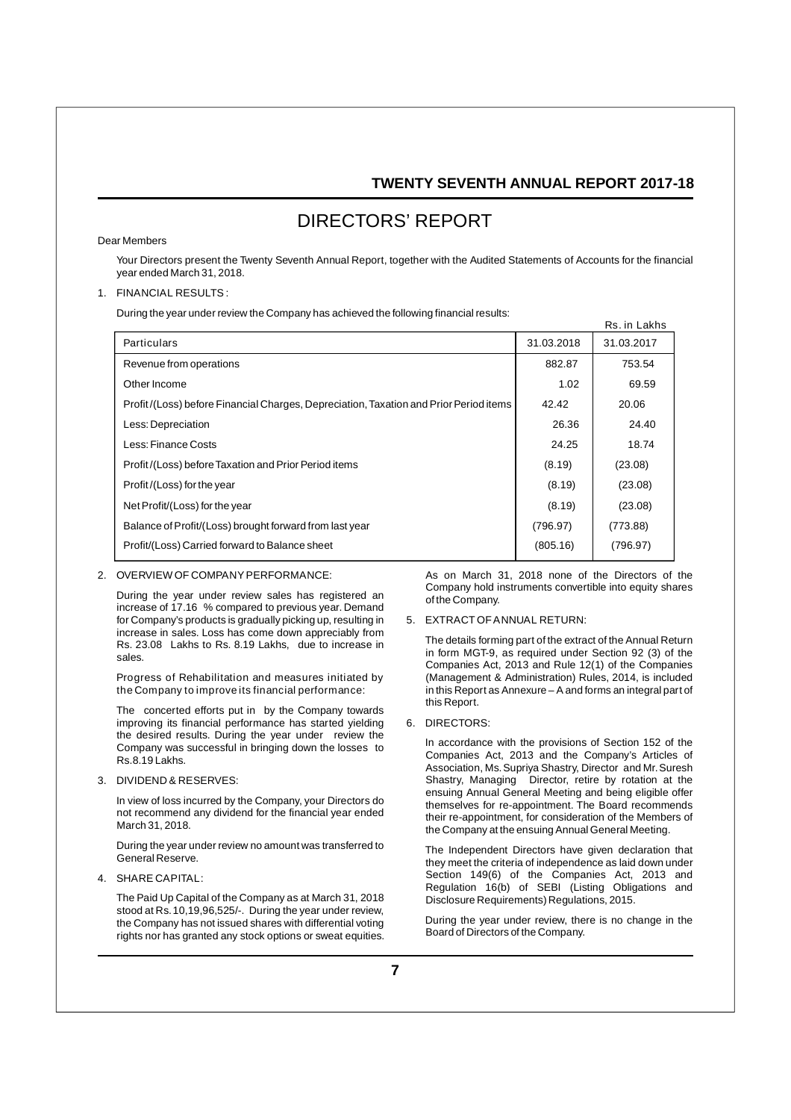## **DIRECTORS' REPORT**

#### **Dear Members**

 **Your Directors present the Twenty Seventh Annual Report, together with the Audited Statements of Accounts for the financial year ended March 31, 2018.**

#### **1. FINANCIAL RESULTS :**

 **During the year under review the Company has achieved the following financial results:**

|            | Rs. in Lakhs |
|------------|--------------|
| 31.03.2018 | 31.03.2017   |
| 882.87     | 753.54       |
| 1.02       | 69.59        |
| 42.42      | 20.06        |
| 26.36      | 24.40        |
| 24.25      | 18.74        |
| (8.19)     | (23.08)      |
| (8.19)     | (23.08)      |
| (8.19)     | (23.08)      |
| (796.97)   | (773.88)     |
| (805.16)   | (796.97)     |
|            |              |

#### **2. OVERVIEW OF COMPANY PERFORMANCE:**

 **During the year under review sales has registered an increase of 17.16 % compared to previous year. Demand for Company's products is gradually picking up, resulting in increase in sales. Loss has come down appreciably from Rs. 23.08 Lakhs to Rs. 8.19 Lakhs, due to increase in sales.** 

#### **Progress of Rehabilitation and measures initiated by the Company to improve its financial performance:**

 **The concerted efforts put in by the Company towards improving its financial performance has started yielding the desired results. During the year under review the Company was successful in bringing down the losses to Rs.8.19 Lakhs.** 

#### **3. DIVIDEND & RESERVES:**

 **In view of loss incurred by the Company, your Directors do not recommend any dividend for the financial year ended March 31, 2018.** 

 **During the year under review no amount was transferred to General Reserve.**

#### **4. SHARE CAPITAL:**

 **The Paid Up Capital of the Company as at March 31, 2018 stood at Rs. 10,19,96,525/-. During the year under review, the Company has not issued shares with differential voting rights nor has granted any stock options or sweat equities.** 

**As on March 31, 2018 none of the Directors of the Company hold instruments convertible into equity shares of the Company.**

#### **5. EXTRACT OF ANNUAL RETURN:**

 **The details forming part of the extract of the Annual Return in form MGT-9, as required under Section 92 (3) of the Companies Act, 2013 and Rule 12(1) of the Companies (Management & Administration) Rules, 2014, is included in this Report as Annexure – A and forms an integral part of this Report.**

#### **6. DIRECTORS:**

 **In accordance with the provisions of Section 152 of the Companies Act, 2013 and the Company's Articles of Association, Ms. Supriya Shastry, Director and Mr. Suresh Shastry, Managing Director, retire by rotation at the ensuing Annual General Meeting and being eligible offer themselves for re-appointment. The Board recommends their re-appointment, for consideration of the Members of the Company at the ensuing Annual General Meeting.**

 **The Independent Directors have given declaration that they meet the criteria of independence as laid down under Section 149(6) of the Companies Act, 2013 and Regulation 16(b) of SEBI (Listing Obligations and Disclosure Requirements) Regulations, 2015.**

 **During the year under review, there is no change in the Board of Directors of the Company.**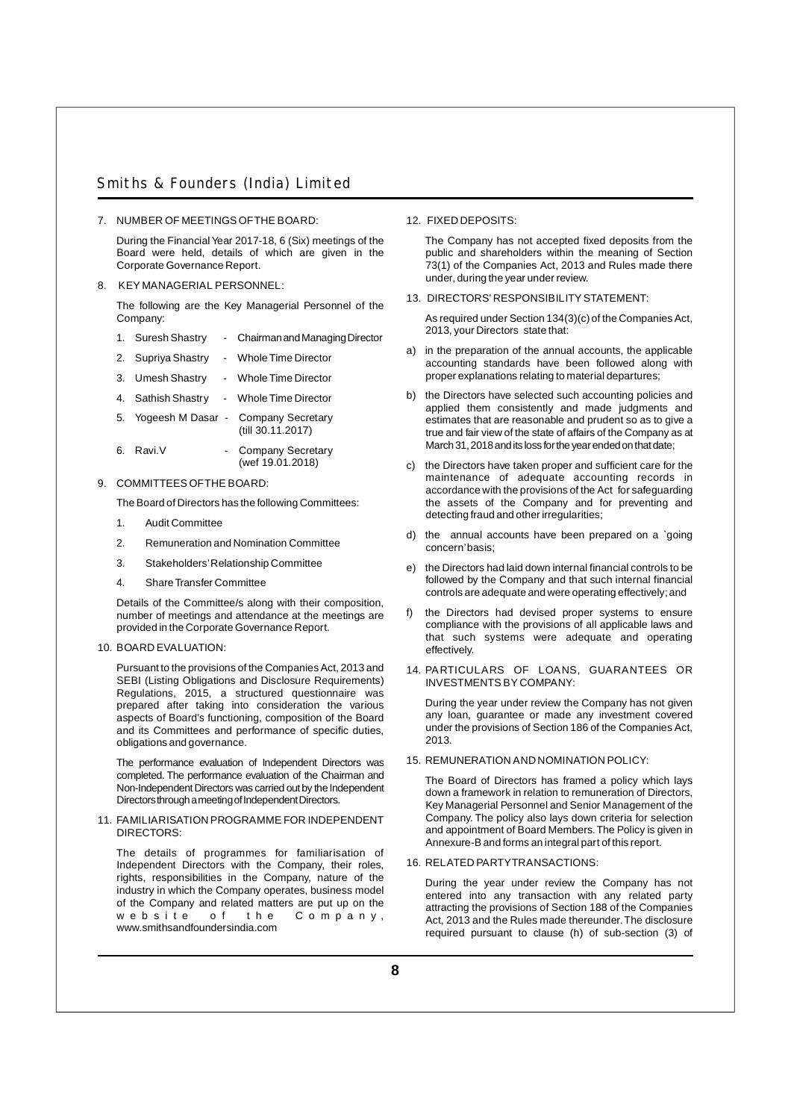#### **7. NUMBER OF MEETINGS OF THE BOARD:**

 **During the Financial Year 2017-18, 6 (Six) meetings of the Board were held, details of which are given in the Corporate Governance Report.**

#### **8. KEY MANAGERIAL PERSONNEL:**

 **The following are the Key Managerial Personnel of the Company:**

- **1. Suresh Shastry Chairman and Managing Director**
- **2. Supriya Shastry Whole Time Director**
- **3. Umesh Shastry Whole Time Director**
- **4. Sathish Shastry Whole Time Director**
- **5. Yogeesh M Dasar Company Secretary (till 30.11.2017)**
- **6. Ravi.V Company Secretary (wef 19.01.2018)**

#### **9. COMMITTEES OF THE BOARD:**

 **The Board of Directors has the following Committees:**

- **1. Audit Committee**
- **2. Remuneration and Nomination Committee**
- **3. Stakeholders' Relationship Committee**
- **4. Share Transfer Committee**

 **Details of the Committee/s along with their composition, number of meetings and attendance at the meetings are provided in the Corporate Governance Report.**

#### **10. BOARD EVALUATION:**

 **Pursuant to the provisions of the Companies Act, 2013 and SEBI (Listing Obligations and Disclosure Requirements) Regulations, 2015, a structured questionnaire was prepared after taking into consideration the various aspects of Board's functioning, composition of the Board and its Committees and performance of specific duties, obligations and governance.** 

 **The performance evaluation of Independent Directors was completed. The performance evaluation of the Chairman and Non-Independent Directors was carried out by the Independent Directors through a meeting of Independent Directors.** 

#### **11. FAMILIARISATION PROGRAMME FOR INDEPENDENT DIRECTORS:**

 **The details of programmes for familiarisation of Independent Directors with the Company, their roles, rights, responsibilities in the Company, nature of the industry in which the Company operates, business model of the Company and related matters are put up on the**  website of the Company, **www.smithsandfoundersindia.com**

#### **12. FIXED DEPOSITS:**

 **The Company has not accepted fixed deposits from the public and shareholders within the meaning of Section 73(1) of the Companies Act, 2013 and Rules made there under, during the year under review.**

#### **13. DIRECTORS' RESPONSIBILITY STATEMENT:**

 **As required under Section 134(3)(c) of the Companies Act, 2013, your Directors state that:** 

- **a) in the preparation of the annual accounts, the applicable accounting standards have been followed along with proper explanations relating to material departures;**
- **b) the Directors have selected such accounting policies and applied them consistently and made judgments and estimates that are reasonable and prudent so as to give a true and fair view of the state of affairs of the Company as at March 31, 2018 and its loss for the year ended on that date;**
- **c) the Directors have taken proper and sufficient care for the maintenance of adequate accounting records in accordance with the provisions of the Act for safeguarding the assets of the Company and for preventing and detecting fraud and other irregularities;**
- **d) the annual accounts have been prepared on a `going concern' basis;**
- **e) the Directors had laid down internal financial controls to be followed by the Company and that such internal financial controls are adequate and were operating effectively; and**
- **f) the Directors had devised proper systems to ensure compliance with the provisions of all applicable laws and that such systems were adequate and operating effectively.**

#### **14. PARTICULARS OF LOANS, GUARANTEES OR INVESTMENTS BY COMPANY:**

 **During the year under review the Company has not given any loan, guarantee or made any investment covered under the provisions of Section 186 of the Companies Act, 2013.**

#### **15. REMUNERATION AND NOMINATION POLICY:**

 **The Board of Directors has framed a policy which lays down a framework in relation to remuneration of Directors, Key Managerial Personnel and Senior Management of the Company. The policy also lays down criteria for selection and appointment of Board Members. The Policy is given in Annexure-B and forms an integral part of this report.** 

#### **16. RELATED PARTY TRANSACTIONS:**

 **During the year under review the Company has not entered into any transaction with any related party attracting the provisions of Section 188 of the Companies Act, 2013 and the Rules made thereunder. The disclosure required pursuant to clause (h) of sub-section (3) of**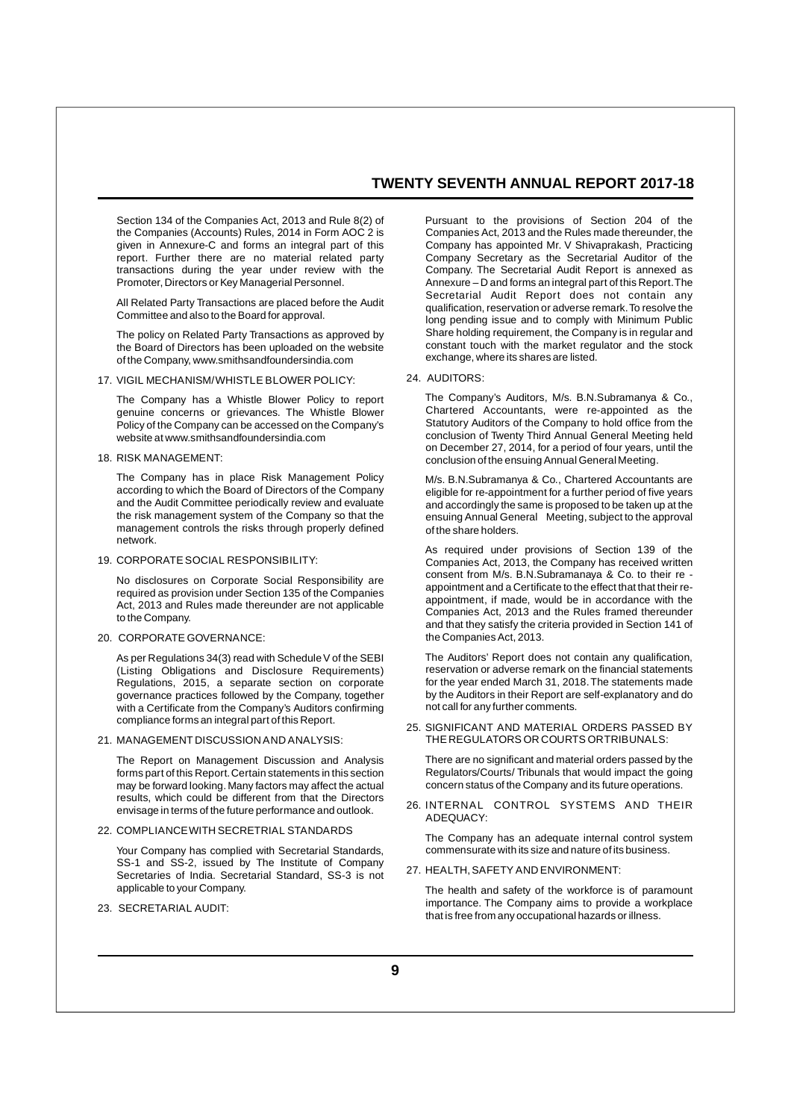**Section 134 of the Companies Act, 2013 and Rule 8(2) of the Companies (Accounts) Rules, 2014 in Form AOC 2 is given in Annexure-C and forms an integral part of this report. Further there are no material related party transactions during the year under review with the Promoter, Directors or Key Managerial Personnel.**

 **All Related Party Transactions are placed before the Audit Committee and also to the Board for approval.** 

 **The policy on Related Party Transactions as approved by the Board of Directors has been uploaded on the website of the Company, www.smithsandfoundersindia.com**

#### **17. VIGIL MECHANISM/WHISTLE BLOWER POLICY:**

 **The Company has a Whistle Blower Policy to report genuine concerns or grievances. The Whistle Blower Policy of the Company can be accessed on the Company's website at www.smithsandfoundersindia.com**

#### **18. RISK MANAGEMENT:**

 **The Company has in place Risk Management Policy according to which the Board of Directors of the Company and the Audit Committee periodically review and evaluate the risk management system of the Company so that the management controls the risks through properly defined network.** 

#### **19. CORPORATE SOCIAL RESPONSIBILITY:**

 **No disclosures on Corporate Social Responsibility are required as provision under Section 135 of the Companies Act, 2013 and Rules made thereunder are not applicable to the Company.** 

#### **20. CORPORATE GOVERNANCE:**

 **As per Regulations 34(3) read with Schedule V of the SEBI (Listing Obligations and Disclosure Requirements) Regulations, 2015, a separate section on corporate governance practices followed by the Company, together with a Certificate from the Company's Auditors confirming compliance forms an integral part of this Report.**

#### **21. MANAGEMENT DISCUSSION AND ANALYSIS:**

 **The Report on Management Discussion and Analysis forms part of this Report. Certain statements in this section may be forward looking. Many factors may affect the actual results, which could be different from that the Directors envisage in terms of the future performance and outlook.** 

#### **22. COMPLIANCE WITH SECRETRIAL STANDARDS**

 **Your Company has complied with Secretarial Standards, SS-1 and SS-2, issued by The Institute of Company Secretaries of India. Secretarial Standard, SS-3 is not applicable to your Company.**

#### **23. SECRETARIAL AUDIT:**

 **Pursuant to the provisions of Section 204 of the Companies Act, 2013 and the Rules made thereunder, the Company has appointed Mr. V Shivaprakash, Practicing Company Secretary as the Secretarial Auditor of the Company. The Secretarial Audit Report is annexed as Annexure – D and forms an integral part of this Report. The Secretarial Audit Report does not contain any qualification, reservation or adverse remark. To resolve the long pending issue and to comply with Minimum Public Share holding requirement, the Company is in regular and constant touch with the market regulator and the stock exchange, where its shares are listed.**

#### **24. AUDITORS:**

 **The Company's Auditors, M/s. B.N.Subramanya & Co., Chartered Accountants, were re-appointed as the Statutory Auditors of the Company to hold office from the conclusion of Twenty Third Annual General Meeting held on December 27, 2014, for a period of four years, until the conclusion of the ensuing Annual General Meeting.**

 **M/s. B.N.Subramanya & Co., Chartered Accountants are eligible for re-appointment for a further period of five years and accordingly the same is proposed to be taken up at the ensuing Annual General Meeting, subject to the approval of the share holders.**

 **As required under provisions of Section 139 of the Companies Act, 2013, the Company has received written consent from M/s. B.N.Subramanaya & Co. to their re appointment and a Certificate to the effect that that their reappointment, if made, would be in accordance with the Companies Act, 2013 and the Rules framed thereunder and that they satisfy the criteria provided in Section 141 of the Companies Act, 2013.** 

 **The Auditors' Report does not contain any qualification, reservation or adverse remark on the financial statements for the year ended March 31, 2018. The statements made by the Auditors in their Report are self-explanatory and do not call for any further comments.** 

#### **25. SIGNIFICANT AND MATERIAL ORDERS PASSED BY THE REGULATORS OR COURTS OR TRIBUNALS:**

 **There are no significant and material orders passed by the Regulators/Courts/ Tribunals that would impact the going concern status of the Company and its future operations.**

#### **26. INTERNAL CONTROL SYSTEMS AND THEIR ADEQUACY:**

 **The Company has an adequate internal control system commensurate with its size and nature of its business.** 

#### **27. HEALTH, SAFETY AND ENVIRONMENT:**

 **The health and safety of the workforce is of paramount importance. The Company aims to provide a workplace that is free from any occupational hazards or illness.**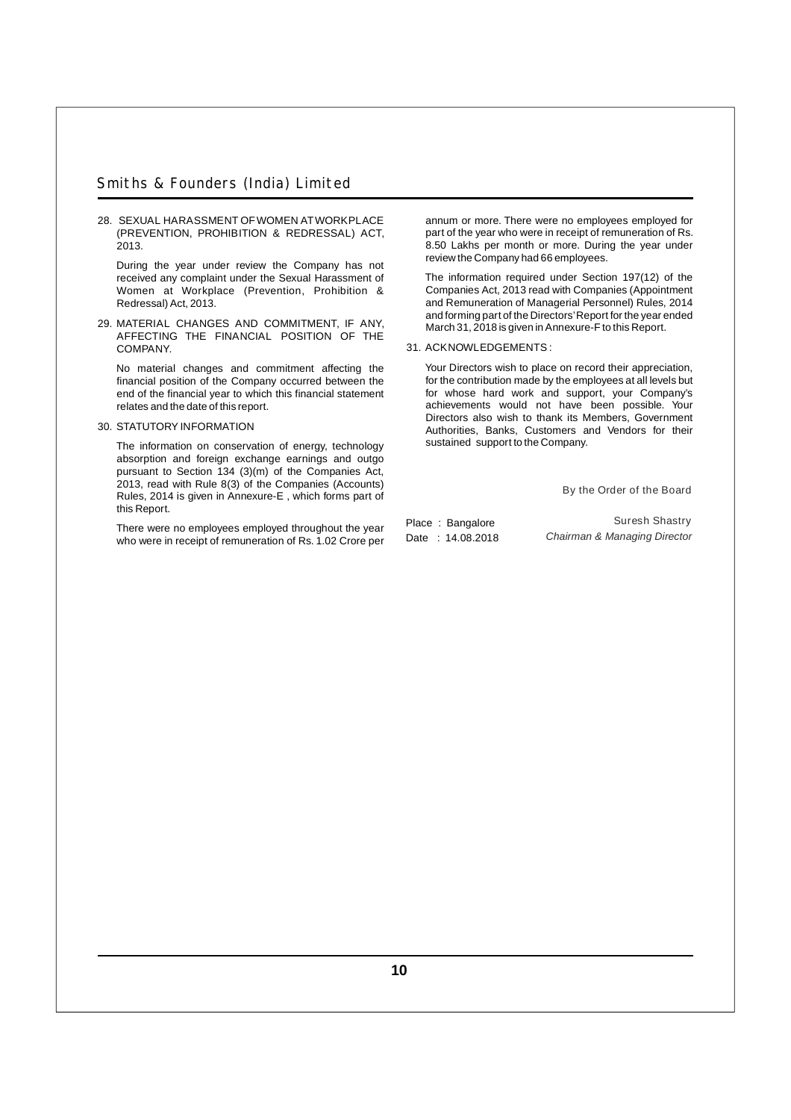#### **28. SEXUAL HARASSMENT OF WOMEN AT WORKPLACE (PREVENTION, PROHIBITION & REDRESSAL) ACT, 2013.**

 **During the year under review the Company has not received any complaint under the Sexual Harassment of Women at Workplace (Prevention, Prohibition & Redressal) Act, 2013.**

#### **29. MATERIAL CHANGES AND COMMITMENT, IF ANY, AFFECTING THE FINANCIAL POSITION OF THE COMPANY.**

 **No material changes and commitment affecting the financial position of the Company occurred between the end of the financial year to which this financial statement relates and the date of this report.**

#### **30. STATUTORY INFORMATION**

 **The information on conservation of energy, technology absorption and foreign exchange earnings and outgo pursuant to Section 134 (3)(m) of the Companies Act, 2013, read with Rule 8(3) of the Companies (Accounts) Rules, 2014 is given in Annexure-E , which forms part of this Report.**

 **There were no employees employed throughout the year who were in receipt of remuneration of Rs. 1.02 Crore per**  **annum or more. There were no employees employed for part of the year who were in receipt of remuneration of Rs. 8.50 Lakhs per month or more. During the year under review the Company had 66 employees.**

 **The information required under Section 197(12) of the Companies Act, 2013 read with Companies (Appointment and Remuneration of Managerial Personnel) Rules, 2014 and forming part of the Directors' Report for the year ended March 31, 2018 is given in Annexure-F to this Report.**

#### **31. ACKNOWLEDGEMENTS :**

 **Your Directors wish to place on record their appreciation, for the contribution made by the employees at all levels but for whose hard work and support, your Company's achievements would not have been possible. Your Directors also wish to thank its Members, Government Authorities, Banks, Customers and Vendors for their sustained support to the Company.** 

#### **By the Order of the Board**

**Place : Bangalore Date : 14.08.2018**

**Suresh Shastry** *Chairman & Managing Director*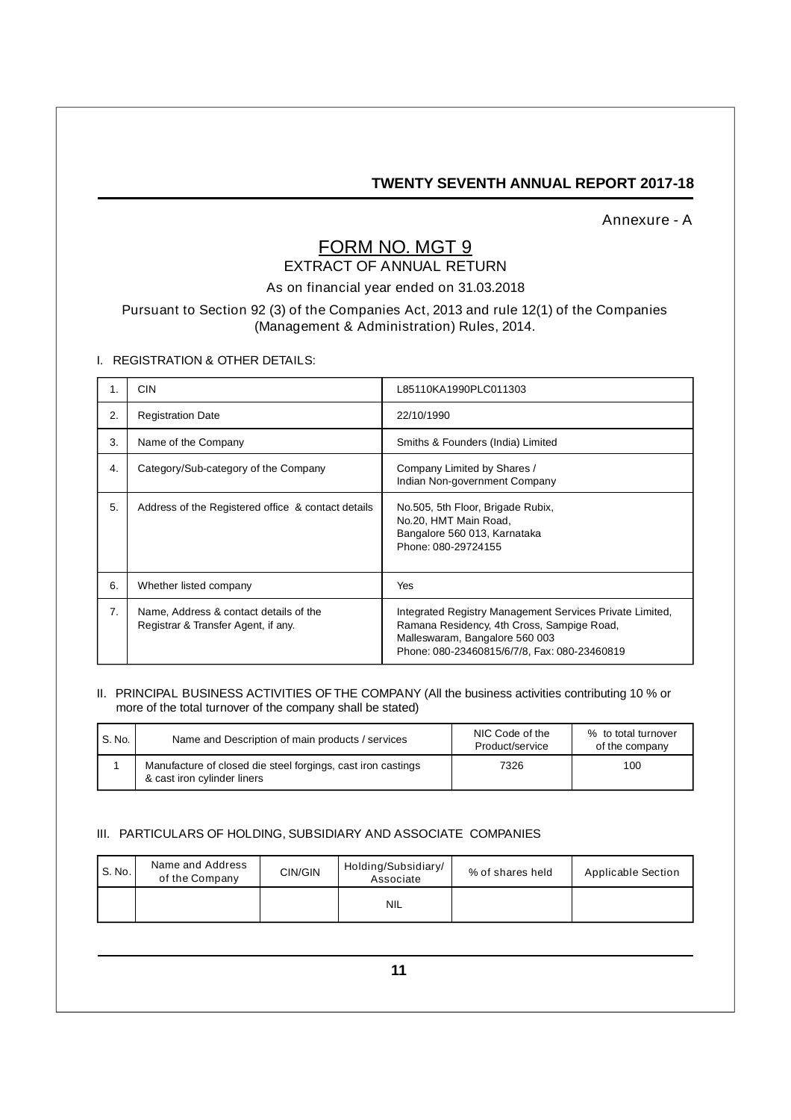## **Annexure - A**

## **FORM NO. MGT 9**

## **EXTRACT OF ANNUAL RETURN**

**As on financial year ended on 31.03.2018**

## **Pursuant to Section 92 (3) of the Companies Act, 2013 and rule 12(1) of the Companies (Management & Administration) Rules, 2014.**

## **I. REGISTRATION & OTHER DETAILS:**

| 1. | <b>CIN</b>                                                                    | L85110KA1990PLC011303                                                                                                                                                                    |
|----|-------------------------------------------------------------------------------|------------------------------------------------------------------------------------------------------------------------------------------------------------------------------------------|
| 2. | <b>Registration Date</b>                                                      | 22/10/1990                                                                                                                                                                               |
| 3. | Name of the Company                                                           | Smiths & Founders (India) Limited                                                                                                                                                        |
| 4. | Category/Sub-category of the Company                                          | Company Limited by Shares /<br>Indian Non-government Company                                                                                                                             |
| 5. | Address of the Registered office & contact details                            | No.505, 5th Floor, Brigade Rubix,<br>No.20, HMT Main Road,<br>Bangalore 560 013, Karnataka<br>Phone: 080-29724155                                                                        |
| 6. | Whether listed company                                                        | <b>Yes</b>                                                                                                                                                                               |
| 7. | Name, Address & contact details of the<br>Registrar & Transfer Agent, if any. | Integrated Registry Management Services Private Limited,<br>Ramana Residency, 4th Cross, Sampige Road,<br>Malleswaram, Bangalore 560 003<br>Phone: 080-23460815/6/7/8, Fax: 080-23460819 |

## **II. PRINCIPAL BUSINESS ACTIVITIES OF THE COMPANY (All the business activities contributing 10 % or more of the total turnover of the company shall be stated)**

| S. No. | Name and Description of main products / services                                            | NIC Code of the<br>Product/service | % to total turnover<br>of the company |
|--------|---------------------------------------------------------------------------------------------|------------------------------------|---------------------------------------|
|        | Manufacture of closed die steel forgings, cast iron castings<br>& cast iron cylinder liners | 7326                               | 100                                   |

## **III. PARTICULARS OF HOLDING, SUBSIDIARY AND ASSOCIATE COMPANIES**

| l S. No. I | <b>Name and Address</b><br>of the Company | <b>CIN/GIN</b> | Holding/Subsidiary/<br>Associate | % of shares held | <b>Applicable Section</b> |
|------------|-------------------------------------------|----------------|----------------------------------|------------------|---------------------------|
|            |                                           |                | <b>NIL</b>                       |                  |                           |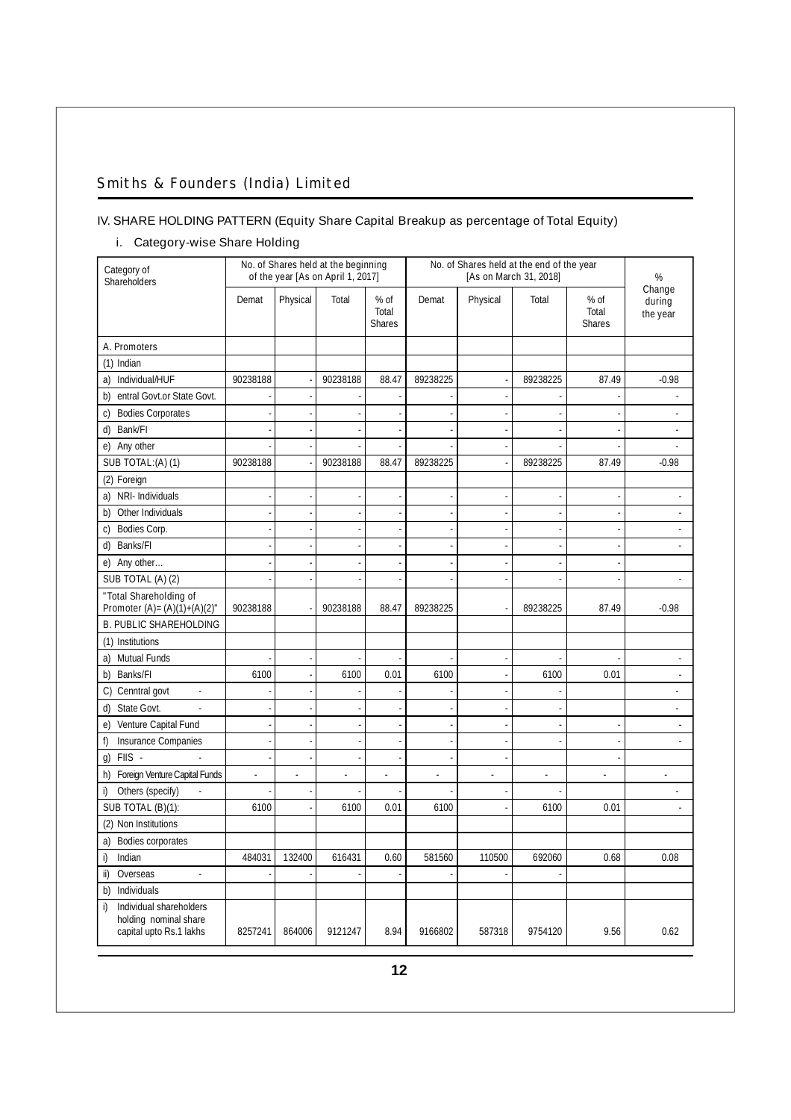**IV. SHARE HOLDING PATTERN (Equity Share Capital Breakup as percentage of Total Equity)**

 **i. Category-wise Share Holding**

| Calegory of<br><b>Shareholders</b>                                                       | No. of Shares held at the beginning<br>of the year [As on April 1, 2017] |                 |                |                              | No. of Shares held at the end of the year<br>[As on March 31, 2018] |                 |                |                                     | %                                   |
|------------------------------------------------------------------------------------------|--------------------------------------------------------------------------|-----------------|----------------|------------------------------|---------------------------------------------------------------------|-----------------|----------------|-------------------------------------|-------------------------------------|
|                                                                                          | <b>Demat</b>                                                             | <b>Physical</b> | Total          | %ď<br>Total<br><b>Shares</b> | <b>Demat</b>                                                        | <b>Physical</b> | Total          | %ď<br><b>Total</b><br><b>Shares</b> | <b>Change</b><br>during<br>the year |
| <b>A. Promoters</b>                                                                      |                                                                          |                 |                |                              |                                                                     |                 |                |                                     |                                     |
| (1) Indian                                                                               |                                                                          |                 |                |                              |                                                                     |                 |                |                                     |                                     |
| a) Individual/HUF                                                                        | 90238188                                                                 |                 | 90238188       | 88.47                        | 89238225                                                            | $\blacksquare$  | 89238225       | 87.49                               | -0.98                               |
| b) entral Govt.or State Govt.                                                            |                                                                          |                 |                |                              | ٠                                                                   |                 | ۰              |                                     |                                     |
| c) Bodies Corporates                                                                     |                                                                          |                 |                | $\blacksquare$               | $\blacksquare$                                                      |                 | $\blacksquare$ |                                     | $\blacksquare$                      |
| d) Bank/FI                                                                               |                                                                          |                 |                |                              | $\blacksquare$                                                      |                 |                |                                     | ۰                                   |
| e) Any other                                                                             |                                                                          |                 |                |                              |                                                                     |                 |                |                                     |                                     |
| <b>SUB TOTAL:(A) (1)</b>                                                                 | 90238188                                                                 | ٠               | 90238188       | 88.47                        | 89238225                                                            | ۰               | 89238225       | 87.49                               | -0.98                               |
| (2) Foreign                                                                              |                                                                          |                 |                |                              |                                                                     |                 |                |                                     |                                     |
| <b>NRI- Individuals</b><br>a)                                                            |                                                                          | ٠               |                | ۰                            | $\blacksquare$                                                      | ۰               | ۰              |                                     | $\blacksquare$                      |
| b) Other Individuals                                                                     |                                                                          |                 | ٠              | ٠                            | $\blacksquare$                                                      |                 | ۰              |                                     | ٠                                   |
| <b>Bodies Corp.</b><br>c)                                                                |                                                                          |                 | $\blacksquare$ | $\blacksquare$               | $\blacksquare$                                                      |                 | $\blacksquare$ |                                     | $\blacksquare$                      |
| d) Banks/FI                                                                              |                                                                          |                 | ۰              |                              | $\blacksquare$                                                      |                 |                |                                     |                                     |
| e) Any other                                                                             |                                                                          |                 | $\blacksquare$ | $\blacksquare$               | $\blacksquare$                                                      | ۰               |                | $\blacksquare$                      |                                     |
| SUB TOTAL (A) (2)                                                                        |                                                                          |                 |                |                              | $\blacksquare$                                                      |                 | $\blacksquare$ |                                     |                                     |
| "Total Shareholding of<br>Promoter (A)= (A)(1)+(A)(2)"                                   | 90238188                                                                 | ٠               | 90238188       | 88.47                        | 89238225                                                            | ٠               | 89238225       | 87.49                               | $-0.98$                             |
| <b>B. PUBLIC SHAREHOLDING</b>                                                            |                                                                          |                 |                |                              |                                                                     |                 |                |                                     |                                     |
| (1) Institutions                                                                         |                                                                          |                 |                |                              |                                                                     |                 |                |                                     |                                     |
| a) Mutual Funds                                                                          |                                                                          |                 |                |                              |                                                                     | ٠               |                |                                     | $\blacksquare$                      |
| b) Banks/FI                                                                              | 6100                                                                     |                 | 6100           | 0.01                         | 6100                                                                |                 | 6100           | 0.01                                |                                     |
| C) Cenntral govt                                                                         |                                                                          |                 |                |                              | $\blacksquare$                                                      | ۰               |                |                                     | $\blacksquare$                      |
| d) State Govt.                                                                           |                                                                          |                 |                |                              | $\blacksquare$                                                      |                 | ٠              |                                     | ٠                                   |
| e) Venture Capital Fund                                                                  |                                                                          |                 | ٠              | $\blacksquare$               | $\blacksquare$                                                      |                 | $\blacksquare$ | $\blacksquare$                      | ٠                                   |
| <b>Insurance Companies</b><br>Ŋ                                                          |                                                                          |                 |                |                              | $\blacksquare$                                                      |                 |                |                                     |                                     |
| $g$ FIS $\cdot$                                                                          |                                                                          |                 | $\blacksquare$ | ۰                            | ٠                                                                   |                 |                |                                     |                                     |
| h) Foreign Venture Capital Funds                                                         | $\blacksquare$                                                           | $\blacksquare$  | $\blacksquare$ | ٠                            | $\blacksquare$                                                      | $\blacksquare$  | $\blacksquare$ | ۰                                   | ٠                                   |
| <b>Others (specify)</b><br>D<br>$\blacksquare$                                           |                                                                          |                 |                |                              |                                                                     | ٠               |                |                                     | ٠                                   |
| <b>SUB TOTAL (B)(1):</b>                                                                 | 6100                                                                     |                 | 6100           | 0.01                         | 6100                                                                | $\blacksquare$  | 6100           | 0.01                                |                                     |
| (2) Non Institutions                                                                     |                                                                          |                 |                |                              |                                                                     |                 |                |                                     |                                     |
| a) Bodies corporates                                                                     |                                                                          |                 |                |                              |                                                                     |                 |                |                                     |                                     |
| Indian<br>D                                                                              | 484031                                                                   | 132400          | 616431         | 0.60                         | 581560                                                              | 110500          | 692060         | 0.68                                | 0.08                                |
| <b>Overseas</b><br>D<br>$\blacksquare$                                                   |                                                                          |                 |                |                              |                                                                     |                 |                |                                     |                                     |
| b) Individuals                                                                           |                                                                          |                 |                |                              |                                                                     |                 |                |                                     |                                     |
| <b>Individual shareholders</b><br>D.<br>holding nominal share<br>capital upto Rs.1 lakhs | 8257241                                                                  | 864006          | 9121247        | 8.94                         | 9166802                                                             | 587318          | 9754120        | 9.56                                | 0.62                                |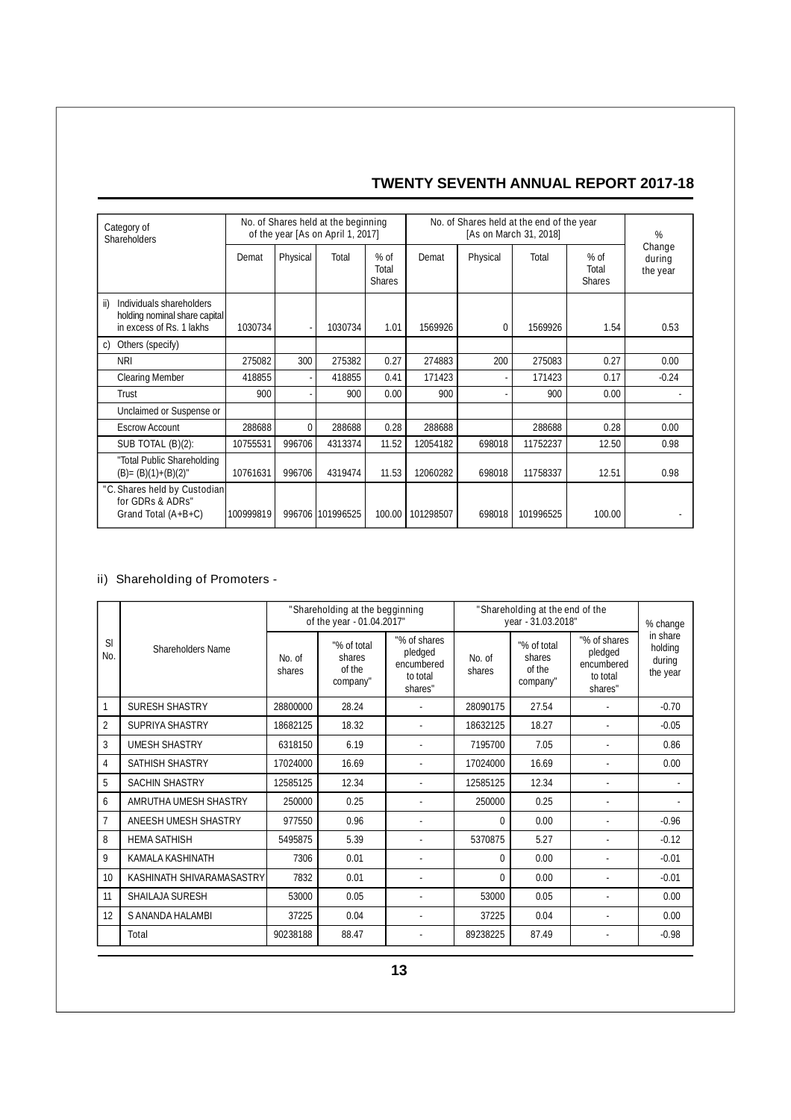| <b>Calegory of</b><br><b>Shareholders</b>                                                   | No. of Shares held at the beginning<br>of the year [As on April 1, 2017] |                 |                  |                                     | No. of Shares held at the end of the year<br>[As on March 31, 2018] |                 |           |                              | %                                   |
|---------------------------------------------------------------------------------------------|--------------------------------------------------------------------------|-----------------|------------------|-------------------------------------|---------------------------------------------------------------------|-----------------|-----------|------------------------------|-------------------------------------|
|                                                                                             | Demat                                                                    | <b>Physical</b> | Total            | %ď<br><b>Total</b><br><b>Shares</b> | <b>Demat</b>                                                        | <b>Physical</b> | Total     | %ď<br>Total<br><b>Shares</b> | <b>Change</b><br>during<br>the year |
| Individuals shareholders<br>ð.<br>holding nominal share capital<br>in excess of Rs. 1 lakhs | 1030734                                                                  |                 | 1030734          | 1.01                                | 1569926                                                             | $\mathbf 0$     | 1569926   | 1.54                         | 0.53                                |
| <b>Others (specify)</b><br>c)                                                               |                                                                          |                 |                  |                                     |                                                                     |                 |           |                              |                                     |
| <b>NR</b>                                                                                   | 275082                                                                   | 300             | 275382           | 0.27                                | 274883                                                              | 200             | 275083    | 0.27                         | 0.00                                |
| <b>Clearing Member</b>                                                                      | 418855                                                                   |                 | 418855           | 0.41                                | 171423                                                              |                 | 171423    | 0.17                         | $-0.24$                             |
| <b>Trust</b>                                                                                | 900                                                                      |                 | 900              | 0.00                                | 900                                                                 |                 | 900       | 0.00                         |                                     |
| <b>Unclaimed or Suspense or</b>                                                             |                                                                          |                 |                  |                                     |                                                                     |                 |           |                              |                                     |
| <b>Escrow Account</b>                                                                       | 288688                                                                   | 0               | 288688           | 0.28                                | 288688                                                              |                 | 288688    | 0.28                         | 0.00                                |
| <b>SUB TOTAL (B)(2):</b>                                                                    | 10755531                                                                 | 996706          | 4313374          | 11.52                               | 12054182                                                            | 698018          | 11752237  | 12.50                        | 0.98                                |
| "Total Public Shareholding<br>(B)= (B)(1)+(B)(2)"                                           | 10761631                                                                 | 996706          | 4319474          | 11.53                               | 12060282                                                            | 698018          | 11758337  | 12.51                        | 0.98                                |
| "C. Shares held by Custodian<br>for GDRs & ADRs"<br>Grand Total (A+B+C)                     | 100999819                                                                |                 | 996706 101996525 | 100.00                              | 101298507                                                           | 698018          | 101996525 | 100.00                       |                                     |

## **ii) Shareholding of Promoters -**

|              |                                  |                         | "Shareholding at the begginning<br>of the year - 01.04.2017" |                                                              | "Shareholding at the end of the<br>vear - 31.03.2018" | % change                                           |                                                              |                                           |
|--------------|----------------------------------|-------------------------|--------------------------------------------------------------|--------------------------------------------------------------|-------------------------------------------------------|----------------------------------------------------|--------------------------------------------------------------|-------------------------------------------|
| S<br>No.     | <b>Shareholders Name</b>         | Nh. of<br><b>shares</b> | "% of total<br><b>shares</b><br>of the<br>company"           | "% of shares<br>pledged<br>encumbered<br>to total<br>shares" | No. of<br>shares                                      | "% of total<br><b>shares</b><br>of the<br>company" | "% of shares<br>pledged<br>encumbered<br>to total<br>shares" | in share<br>holding<br>during<br>the year |
| 1            | <b>SURESH SHASTRY</b>            | 28800000                | 28.24                                                        | ۰.                                                           | 28090175                                              | 27.54                                              | ۰                                                            | $-0.70$                                   |
| $\mathbf{2}$ | <b>SLIPRIVA SHASTRY</b>          | 18682125                | 18.32                                                        | $\blacksquare$                                               | 18632125                                              | 18.27                                              |                                                              | $-0.05$                                   |
| 3            | <b>LIVE SH SHASTRY</b>           | 6318150                 | 6.19                                                         | ۰.                                                           | 7195700                                               | 7.05                                               |                                                              | 0.86                                      |
| 4            | SATH SH SHASTRY                  | 17024000                | 16.69                                                        |                                                              | 17024000                                              | 16.69                                              |                                                              | 0.00                                      |
| 5            | <b>SACHIN SHASTRY</b>            | 12585125                | 12.34                                                        |                                                              | 12585125                                              | 1234                                               | ۰                                                            |                                           |
| 6            | <b>ANRUTHA UNESH SHASTRY</b>     | 250000                  | 0.25                                                         | ۰.                                                           | 250000                                                | 0.25                                               | $\blacksquare$                                               | ۰.                                        |
| 7            | ANEESH UMESH SHASTRY             | 977550                  | 0.96                                                         | ۰                                                            | 0                                                     | 0.00                                               | $\blacksquare$                                               | $-0.96$                                   |
| 8            | <b>HEMA SATH SH</b>              | 5495875                 | 5.39                                                         | $\blacksquare$                                               | 5370875                                               | 5.27                                               |                                                              | $-0.12$                                   |
| 9            | <b>KAMALA KASHINATH</b>          | 7306                    | 0.01                                                         | $\blacksquare$                                               | 0                                                     | 0.00                                               | $\blacksquare$                                               | $-0.01$                                   |
| 10           | <b>KASHINATH SHIVARAMASASTRY</b> | 7832                    | 0.01                                                         | ۰.                                                           | 0                                                     | 0.00                                               | $\blacksquare$                                               | $-0.01$                                   |
| 11           | <b>SHAILAJA SURESH</b>           | 53000                   | 0.05                                                         | ۰.                                                           | 53000                                                 | 0.05                                               | $\blacksquare$                                               | 0.00                                      |
| 12           | <b>SANANDA HALAWBI</b>           | 37225                   | 0.04                                                         | ۰.                                                           | 37225                                                 | 0.04                                               | $\blacksquare$                                               | 0.00                                      |
|              | <b>Total</b>                     | 90238188                | 88.47                                                        |                                                              | 89238225                                              | 87.49                                              |                                                              | $-0.98$                                   |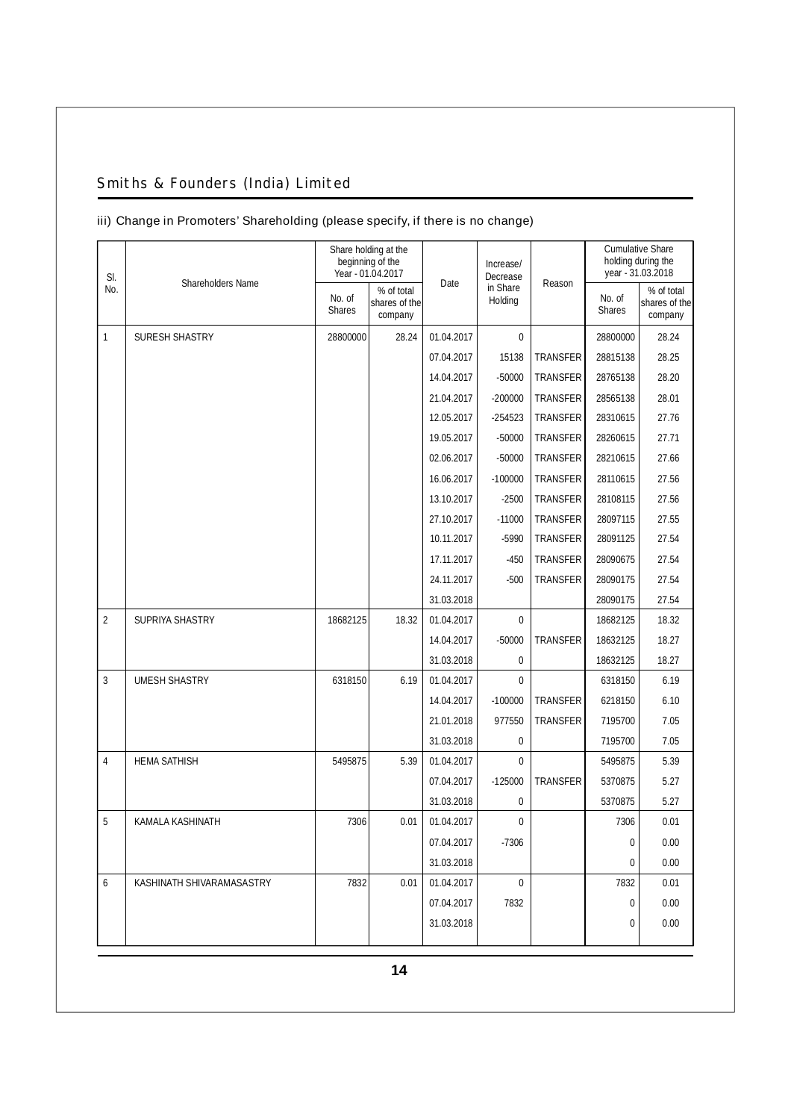| SI.          |                                  | Share holding at the<br>beginning of the<br>Year - 01.04.2017 |                                        |             | Increase/<br><b>Decrease</b> |                 | <b>Cumulative Share</b><br><b>holding during the</b><br>year - 31.03.2018 |                                        |
|--------------|----------------------------------|---------------------------------------------------------------|----------------------------------------|-------------|------------------------------|-----------------|---------------------------------------------------------------------------|----------------------------------------|
| No.          | <b>Shareholders Name</b>         | No. of<br><b>Shares</b>                                       | % of total<br>shares of the<br>company | <b>Date</b> | in Share<br><b>Holding</b>   | <b>Reason</b>   | No. of<br><b>Shares</b>                                                   | % of total<br>shares of the<br>company |
| 1            | <b>SURESH SHASTRY</b>            | 28800000                                                      | 28.24                                  | 01.04.2017  | 0                            |                 | 28800000                                                                  | 28.24                                  |
|              |                                  |                                                               |                                        | 07.04.2017  | 15138                        | <b>TRANSFER</b> | 28815138                                                                  | 28.25                                  |
|              |                                  |                                                               |                                        | 14.04.2017  | -50000                       | <b>TRANSFER</b> | 28765138                                                                  | 28.20                                  |
|              |                                  |                                                               |                                        | 21.04.2017  | $-200000$                    | <b>TRANSFER</b> | 28565138                                                                  | 28.01                                  |
|              |                                  |                                                               |                                        | 12.05.2017  | -254523                      | <b>TRANSFER</b> | 28310615                                                                  | 27.76                                  |
|              |                                  |                                                               |                                        | 19.05.2017  | -50000                       | <b>TRANSFER</b> | 28260615                                                                  | 27.71                                  |
|              |                                  |                                                               |                                        | 02.06.2017  | -50000                       | <b>TRANSFER</b> | 28210615                                                                  | 27.66                                  |
|              |                                  |                                                               |                                        | 16.06.2017  | $-100000$                    | <b>TRANSFER</b> | 28110615                                                                  | 27.56                                  |
|              |                                  |                                                               |                                        | 13.10.2017  | $-2500$                      | <b>TRANSFER</b> | 28108115                                                                  | 27.56                                  |
|              |                                  |                                                               |                                        | 27.10.2017  | $-11000$                     | <b>TRANSFER</b> | 28097115                                                                  | 27.55                                  |
|              |                                  |                                                               |                                        | 10.11.2017  | -5990                        | <b>TRANSFER</b> | 28091125                                                                  | 27.54                                  |
|              |                                  |                                                               |                                        | 17.11.2017  | -450                         | <b>TRANSFER</b> | 28090675                                                                  | 27.54                                  |
|              |                                  |                                                               |                                        | 24.11.2017  | -500                         | <b>TRANSFER</b> | 28090175                                                                  | 27.54                                  |
|              |                                  |                                                               |                                        | 31.03.2018  |                              |                 | 28090175                                                                  | 27.54                                  |
| $\mathbf{2}$ | <b>SUPRIYA SHASTRY</b>           | 18682125                                                      | 18.32                                  | 01.04.2017  | 0                            |                 | 18682125                                                                  | 18.32                                  |
|              |                                  |                                                               |                                        | 14.04.2017  | -50000                       | <b>TRANSFER</b> | 18632125                                                                  | 18.27                                  |
|              |                                  |                                                               |                                        | 31.03.2018  | 0                            |                 | 18632125                                                                  | 18.27                                  |
| 3            | <b>UNESH SHASTRY</b>             | 6318150                                                       | 6.19                                   | 01.04.2017  | $\mathbf 0$                  |                 | 6318150                                                                   | 6.19                                   |
|              |                                  |                                                               |                                        | 14.04.2017  | $-100000$                    | <b>TRANSFER</b> | 6218150                                                                   | 6.10                                   |
|              |                                  |                                                               |                                        | 21.01.2018  | 977550                       | <b>TRANSFER</b> | 7195700                                                                   | 7.05                                   |
|              |                                  |                                                               |                                        | 31.03.2018  | 0                            |                 | 7195700                                                                   | 7.05                                   |
| 4            | <b>HEMA SATH SH</b>              | 5495875                                                       | 5.39                                   | 01.04.2017  | $\mathbf 0$                  |                 | 5495875                                                                   | 5.39                                   |
|              |                                  |                                                               |                                        | 07.04.2017  | $-125000$                    | <b>TRANSFER</b> | 5370875                                                                   | 5.27                                   |
|              |                                  |                                                               |                                        | 31.03.2018  | 0                            |                 | 5370875                                                                   | 5.27                                   |
| 5            | <b>KAWALA KASHINATH</b>          | 7306                                                          | 0.01                                   | 01.04.2017  | $\mathbf 0$                  |                 | 7306                                                                      | 0.01                                   |
|              |                                  |                                                               |                                        | 07.04.2017  | -7306                        |                 | 0                                                                         | 0.00                                   |
|              |                                  |                                                               |                                        | 31.03.2018  |                              |                 | 0                                                                         | 0.00                                   |
| 6            | <b>KASHINATH SHIVARAWASASTRY</b> | 7832                                                          | 0.01                                   | 01.04.2017  | 0                            |                 | 7832                                                                      | 0.01                                   |
|              |                                  |                                                               |                                        | 07.04.2017  | 7832                         |                 | 0                                                                         | 0.00                                   |
|              |                                  |                                                               |                                        | 31.03.2018  |                              |                 | 0                                                                         | 0.00                                   |
|              |                                  |                                                               |                                        |             |                              |                 |                                                                           |                                        |

**iii) Change in Promoters' Shareholding (please specify, if there is no change)**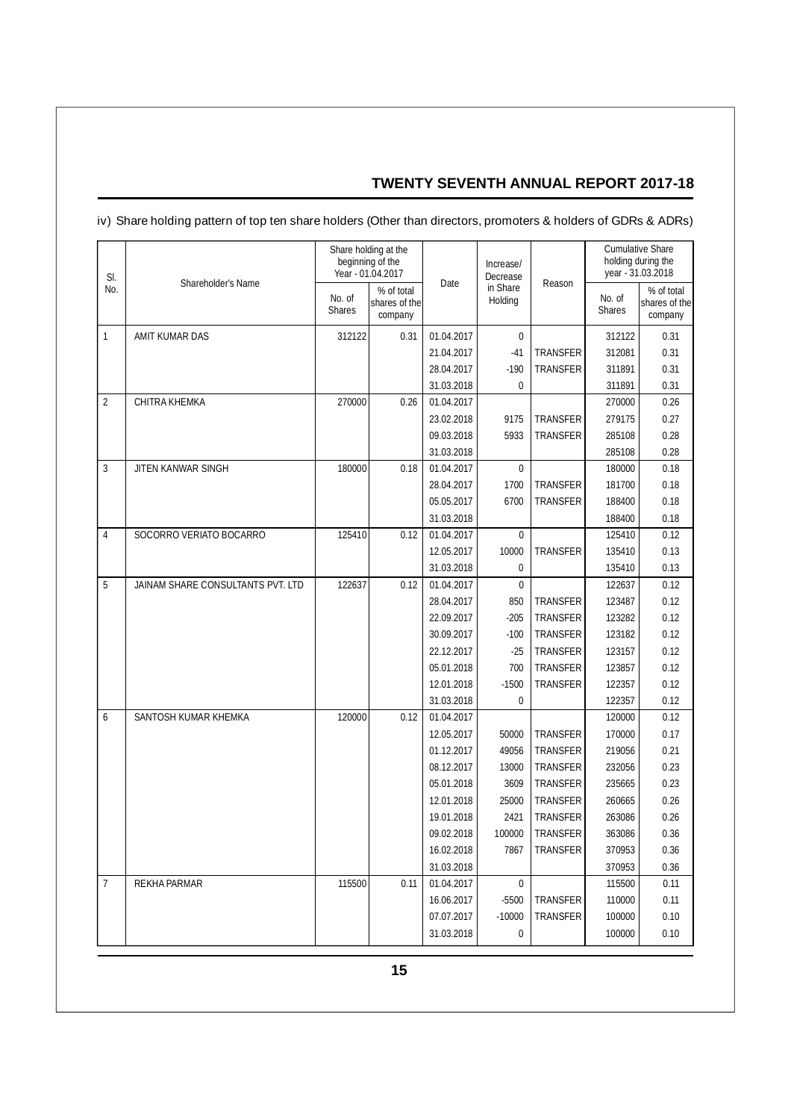| SI.                     |                                          | Share holding at the<br>beginning of the<br>Year - 01.04.2017 |                                        |                          | <b>Increase/</b><br><b>Decrease</b> |                 | <b>Cumulative Share</b><br><b>holding during the</b><br>vear - 31.03.2018 |                                        |
|-------------------------|------------------------------------------|---------------------------------------------------------------|----------------------------------------|--------------------------|-------------------------------------|-----------------|---------------------------------------------------------------------------|----------------------------------------|
| No.                     | <b>Shareholder's Name</b>                | No. of<br><b>Shares</b>                                       | % of total<br>shares of the<br>company | <b>Date</b>              | in Share<br>Holdina                 | <b>Reason</b>   | No. of<br><b>Shares</b>                                                   | % of total<br>shares of the<br>company |
| 1                       | <b>AMIT KUMAR DAS</b>                    | 312122                                                        | 0.31                                   | 01.04.2017               | $\bullet$                           |                 | 312122                                                                    | 0.31                                   |
|                         |                                          |                                                               |                                        | 21.04.2017               | -41                                 | <b>TRANSFER</b> | 312081                                                                    | 0.31                                   |
|                         |                                          |                                                               |                                        | 28.04.2017               | -190                                | <b>TRANSFER</b> | 311891                                                                    | 0.31                                   |
|                         |                                          |                                                               |                                        | 31.03.2018               | 0                                   |                 | 311891                                                                    | 0.31                                   |
| 2                       | <b>CHTRAKHEMKA</b>                       | 270000                                                        | 0.26                                   | 01.04.2017               |                                     |                 | 270000                                                                    | 0.26                                   |
|                         |                                          |                                                               |                                        | 23.02.2018               | 9175                                | <b>TRANSFER</b> | 279175                                                                    | 0.27                                   |
|                         |                                          |                                                               |                                        | 09.03.2018               | 5933                                | <b>TRANSFER</b> | 285108                                                                    | 0.28                                   |
|                         |                                          |                                                               |                                        | 31.03.2018               |                                     |                 | 285108                                                                    | 0.28                                   |
| 3                       | <b>JITEN KANMAR SINGH</b>                | 180000                                                        | 0.18                                   | 01.04.2017               | 0                                   |                 | 180000                                                                    | 0.18                                   |
|                         |                                          |                                                               |                                        | 28.04.2017               | 1700                                | <b>TRANSFER</b> | 181700                                                                    | 0.18                                   |
|                         |                                          |                                                               |                                        | 05.05.2017               | 6700                                | <b>TRANSFER</b> | 188400                                                                    | 0.18                                   |
|                         |                                          |                                                               |                                        | 31.03.2018               |                                     |                 | 188400                                                                    | 0.18                                   |
| 4                       | SOCORRO VERIATO BOCARRO                  | 125410                                                        | 0.12                                   | 01.04.2017               | $\mathbf 0$                         |                 | 125410                                                                    | 0.12                                   |
|                         |                                          |                                                               |                                        | 12.05.2017               | 10000                               | <b>TRANSFER</b> | 135410                                                                    | 0.13                                   |
| 5                       | <b>JAINAM SHARE CONSULTANTS PVT. LTD</b> | 122637                                                        | 0.12                                   | 31.03.2018<br>01.04.2017 | 0<br>$\mathbf 0$                    |                 | 135410<br>122637                                                          | 0.13<br>0.12                           |
|                         |                                          |                                                               |                                        | 28.04.2017               | 850                                 | <b>TRANSFER</b> | 123487                                                                    | 0.12                                   |
|                         |                                          |                                                               |                                        | 22.09.2017               | $-205$                              | <b>TRANSFER</b> | 123282                                                                    | 0.12                                   |
|                         |                                          |                                                               |                                        | 30.09.2017               | $-100$                              | <b>TRANSFER</b> | 123182                                                                    | 0.12                                   |
|                         |                                          |                                                               |                                        | 22.12.2017               | $-25$                               | <b>TRANSFER</b> | 123157                                                                    | 0.12                                   |
|                         |                                          |                                                               |                                        | 05.01.2018               | 700                                 | <b>TRANSFER</b> | 123857                                                                    | 0.12                                   |
|                         |                                          |                                                               |                                        | 12.01.2018               | $-1500$                             | <b>TRANSFER</b> | 122357                                                                    | 0.12                                   |
|                         |                                          |                                                               |                                        | 31.03.2018               | 0                                   |                 | 122357                                                                    | 0.12                                   |
| 6                       | SANTOSH KUMAR KHEMKA                     | 120000                                                        | 0.12                                   | 01.04.2017               |                                     |                 | 120000                                                                    | 0.12                                   |
|                         |                                          |                                                               |                                        | 12.05.2017               | 50000                               | <b>TRANSFER</b> | 170000                                                                    | 0.17                                   |
|                         |                                          |                                                               |                                        | 01.12.2017               | 49056                               | <b>TRANSFER</b> | 219056                                                                    | 0.21                                   |
|                         |                                          |                                                               |                                        | 08.12.2017               | 13000                               | <b>TRANSFER</b> | 232056                                                                    | 0.23                                   |
|                         |                                          |                                                               |                                        | 05.01.2018               | 3609                                | <b>TRANSFER</b> | 235665                                                                    | 0.23                                   |
|                         |                                          |                                                               |                                        | 12.01.2018               | 25000                               | <b>TRANSFER</b> | 260665                                                                    | 0.26                                   |
|                         |                                          |                                                               |                                        | 19.01.2018               | 2421                                | <b>TRANSFER</b> | 263086                                                                    | 0.26                                   |
|                         |                                          |                                                               |                                        | 09.02.2018               | 100000                              | <b>TRANSFER</b> | 363086                                                                    | 0.36                                   |
|                         |                                          |                                                               |                                        | 16.02.2018               | 7867                                | <b>TRANSFER</b> | 370953                                                                    | 0.36                                   |
|                         |                                          |                                                               |                                        | 31.03.2018               |                                     |                 | 370953                                                                    | 0.36                                   |
| $\overline{\mathbf{z}}$ | <b>REKHA PARMAR</b>                      | 115500                                                        | 0.11                                   | 01.04.2017               | 0                                   |                 | 115500                                                                    | 0.11                                   |
|                         |                                          |                                                               |                                        | 16.06.2017               | -5500                               | <b>TRANSFER</b> | 110000                                                                    | 0.11                                   |
|                         |                                          |                                                               |                                        | 07.07.2017               | $-10000$                            | <b>TRANSFER</b> | 100000                                                                    | 0.10                                   |
|                         |                                          |                                                               |                                        | 31.03.2018               | 0                                   |                 | 100000                                                                    | 0.10                                   |
|                         |                                          |                                                               |                                        |                          |                                     |                 |                                                                           |                                        |

**iv) Share holding pattern of top ten share holders (Other than directors, promoters & holders of GDRs & ADRs)**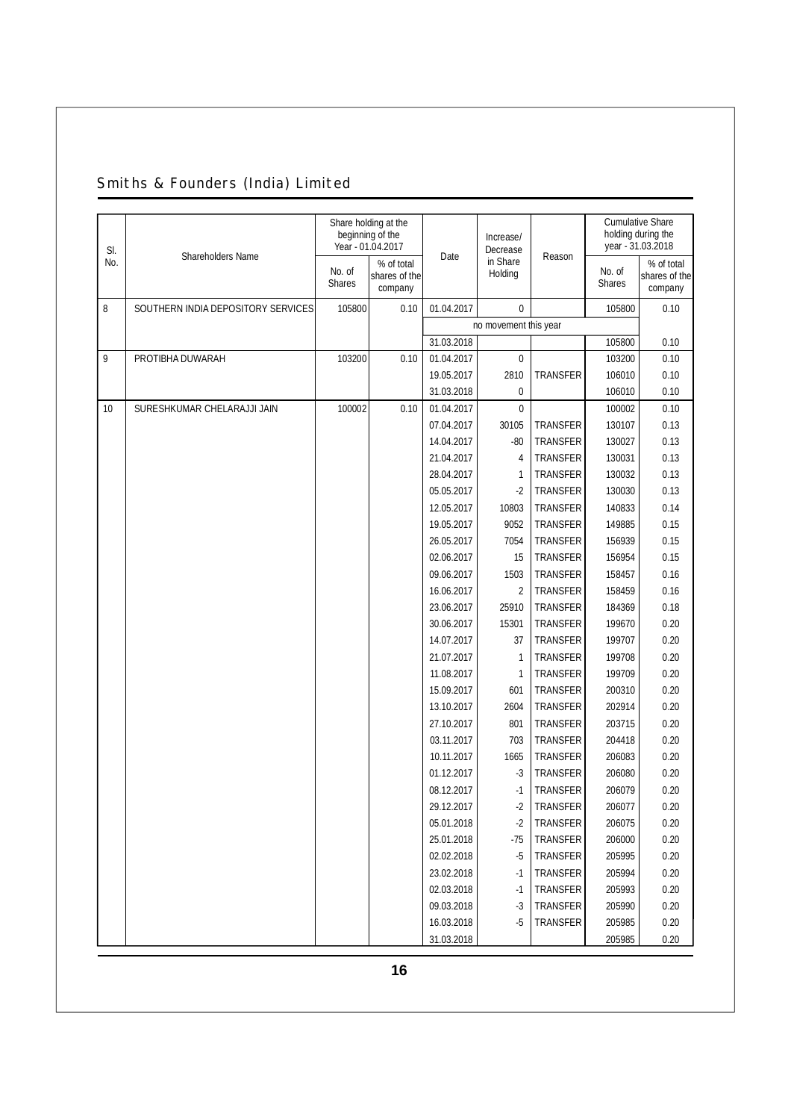| SI. |                                    | Share holding at the<br>beginning of the<br>Year - 01.04.2017 |                                        | <b>Increase/</b><br><b>Decrease</b> |                       |                         |                                        | <b>Reason</b> |  | <b>Cumulative Share</b><br><b>holding during the</b><br>year - 31.03.2018 |  |
|-----|------------------------------------|---------------------------------------------------------------|----------------------------------------|-------------------------------------|-----------------------|-------------------------|----------------------------------------|---------------|--|---------------------------------------------------------------------------|--|
| No. | <b>Shareholders Name</b>           | No. of<br><b>Shares</b>                                       | % of total<br>shares of the<br>company | <b>Date</b>                         | in Share<br>Holding   | No. of<br><b>Shares</b> | % of total<br>shares of the<br>company |               |  |                                                                           |  |
| 8   | SOUTHERN INDIA DEPOSITORY SERVICES | 105800                                                        | 0.10                                   | 01.04.2017                          | 0                     |                         | 105800                                 | 0.10          |  |                                                                           |  |
|     |                                    |                                                               |                                        |                                     | no movement this year |                         |                                        |               |  |                                                                           |  |
|     |                                    |                                                               |                                        | 31.03.2018                          |                       |                         | 105800                                 | 0.10          |  |                                                                           |  |
| 9   | <b>PROTIBHA DUMARAH</b>            | 103200                                                        | 0.10                                   | 01.04.2017                          | 0                     |                         | 103200                                 | 0.10          |  |                                                                           |  |
|     |                                    |                                                               |                                        | 19.05.2017                          | 2810                  | <b>TRANSFER</b>         | 106010                                 | 0.10          |  |                                                                           |  |
|     |                                    |                                                               |                                        | 31.03.2018                          | 0                     |                         | 106010                                 | 0.10          |  |                                                                           |  |
| 10  | <b>SURESHKUMAR CHELARAJJI JAIN</b> | 100002                                                        | 0.10                                   | 01.04.2017                          | 0                     |                         | 100002                                 | 0.10          |  |                                                                           |  |
|     |                                    |                                                               |                                        | 07.04.2017                          | 30105                 | <b>TRANSFER</b>         | 130107                                 | 0.13          |  |                                                                           |  |
|     |                                    |                                                               |                                        | 14.04.2017                          | -80                   | <b>TRANSFER</b>         | 130027                                 | 0.13          |  |                                                                           |  |
|     |                                    |                                                               |                                        | 21.04.2017                          | 4                     | <b>TRANSFER</b>         | 130031                                 | 0.13          |  |                                                                           |  |
|     |                                    |                                                               |                                        | 28.04.2017                          | 1                     | <b>TRANSFER</b>         | 130032                                 | 0.13          |  |                                                                           |  |
|     |                                    |                                                               |                                        | 05.05.2017                          | $\cdot$               | <b>TRANSFER</b>         | 130030                                 | 0.13          |  |                                                                           |  |
|     |                                    |                                                               |                                        | 12.05.2017                          | 10803                 | <b>TRANSFER</b>         | 140833                                 | 0.14          |  |                                                                           |  |
|     |                                    |                                                               |                                        | 19.05.2017                          | 9052                  | <b>TRANSFER</b>         | 149885                                 | 0.15          |  |                                                                           |  |
|     |                                    |                                                               |                                        | 26.05.2017                          | 7054                  | <b>TRANSFER</b>         | 156939                                 | 0.15          |  |                                                                           |  |
|     |                                    |                                                               |                                        | 02.06.2017                          | 15                    | <b>TRANSFER</b>         | 156954                                 | 0.15          |  |                                                                           |  |
|     |                                    |                                                               |                                        | 09.06.2017                          | 1503                  | <b>TRANSFER</b>         | 158457                                 | 0.16          |  |                                                                           |  |
|     |                                    |                                                               |                                        | 16.06.2017                          | 2                     | <b>TRANSFER</b>         | 158459                                 | 0.16          |  |                                                                           |  |
|     |                                    |                                                               |                                        | 23.06.2017                          | 25910                 | <b>TRANSFER</b>         | 184369                                 | 0.18          |  |                                                                           |  |
|     |                                    |                                                               |                                        | 30.06.2017                          | 15301                 | <b>TRANSFER</b>         | 199670                                 | 0.20          |  |                                                                           |  |
|     |                                    |                                                               |                                        | 14.07.2017                          | 37                    | <b>TRANSFER</b>         | 199707                                 | 0.20          |  |                                                                           |  |
|     |                                    |                                                               |                                        | 21.07.2017                          | 1                     | <b>TRANSFER</b>         | 199708                                 | 0.20          |  |                                                                           |  |
|     |                                    |                                                               |                                        | 11.08.2017                          | 1                     | <b>TRANSFER</b>         | 199709                                 | 0.20          |  |                                                                           |  |
|     |                                    |                                                               |                                        | 15.09.2017                          | 601                   | <b>TRANSFER</b>         | 200310                                 | 0.20          |  |                                                                           |  |
|     |                                    |                                                               |                                        | 13.10.2017                          | 2604                  | <b>TRANSFER</b>         | 202914                                 | 0.20          |  |                                                                           |  |
|     |                                    |                                                               |                                        | 27.10.2017                          | 801                   | <b>TRANSFER</b>         | 203715                                 | 0.20          |  |                                                                           |  |
|     |                                    |                                                               |                                        | 03.11.2017                          | 703                   | <b>TRANSFER</b>         | 204418                                 | 0.20          |  |                                                                           |  |
|     |                                    |                                                               |                                        | 10.11.2017                          | 1665                  | <b>TRANSFER</b>         | 206083                                 | 0.20          |  |                                                                           |  |
|     |                                    |                                                               |                                        | 01.12.2017                          | -3                    | <b>TRANSFER</b>         | 206080                                 | 0.20          |  |                                                                           |  |
|     |                                    |                                                               |                                        | 08.12.2017                          | -1                    | <b>TRANSFER</b>         | 206079                                 | 0.20          |  |                                                                           |  |
|     |                                    |                                                               |                                        | 29.12.2017                          | -2                    | <b>TRANSFER</b>         | 206077                                 | 0.20          |  |                                                                           |  |
|     |                                    |                                                               |                                        | 05.01.2018                          | -2                    | <b>TRANSFER</b>         | 206075                                 | 0.20          |  |                                                                           |  |
|     |                                    |                                                               |                                        | 25.01.2018                          | -75                   | <b>TRANSFER</b>         | 206000                                 | 0.20          |  |                                                                           |  |
|     |                                    |                                                               |                                        | 02.02.2018                          | -5                    | <b>TRANSFER</b>         | 205995                                 | 0.20          |  |                                                                           |  |
|     |                                    |                                                               |                                        | 23.02.2018                          | -1                    | <b>TRANSFER</b>         | 205994                                 | 0.20          |  |                                                                           |  |
|     |                                    |                                                               |                                        | 02.03.2018                          | -1                    | <b>TRANSFER</b>         | 205993                                 | 0.20          |  |                                                                           |  |
|     |                                    |                                                               |                                        | 09.03.2018                          | -3                    | <b>TRANSFER</b>         | 205990                                 | 0.20          |  |                                                                           |  |
|     |                                    |                                                               |                                        | 16.03.2018                          | -5                    | <b>TRANSFER</b>         | 205985                                 | 0.20          |  |                                                                           |  |
|     |                                    |                                                               |                                        | 31.03.2018                          |                       |                         | 205985                                 | 0.20          |  |                                                                           |  |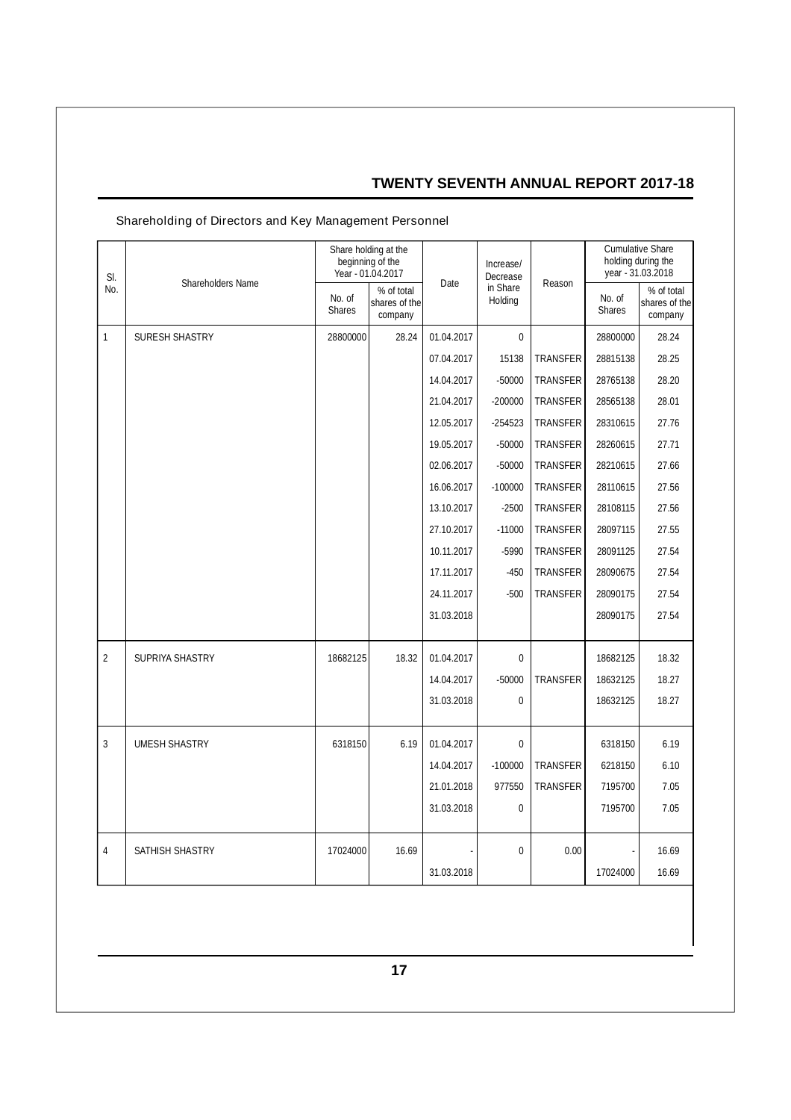| SI. |                          | Share holding at the<br>beginning of the<br>Year - 01.04.2017 |                                        |               |                         | Date            | Increase/<br><b>Decrease</b><br>in Share<br><b>Holding</b> |                                        | <b>Cumulative Share</b><br>holding during the<br>year - 31.03.2018 |  |
|-----|--------------------------|---------------------------------------------------------------|----------------------------------------|---------------|-------------------------|-----------------|------------------------------------------------------------|----------------------------------------|--------------------------------------------------------------------|--|
| No. | <b>Shareholders Name</b> | No. of<br><b>Shares</b>                                       | % of total<br>shares of the<br>company | <b>Reason</b> | No. of<br><b>Shares</b> |                 |                                                            | % of total<br>shares of the<br>company |                                                                    |  |
| 1   | <b>SLRESH SHASTRY</b>    | 28800000                                                      | 28.24                                  | 01.04.2017    | $\bullet$               |                 | 28800000                                                   | 28.24                                  |                                                                    |  |
|     |                          |                                                               |                                        | 07.04.2017    | 15138                   | <b>TRANSFER</b> | 28815138                                                   | 28.25                                  |                                                                    |  |
|     |                          |                                                               |                                        | 14.04.2017    | $-50000$                | <b>TRANSFER</b> | 28765138                                                   | 28.20                                  |                                                                    |  |
|     |                          |                                                               |                                        | 21.04.2017    | $-200000$               | <b>TRANSFER</b> | 28565138                                                   | 28.01                                  |                                                                    |  |
|     |                          |                                                               |                                        | 12.05.2017    | -254523                 | <b>TRANSFER</b> | 28310615                                                   | 27.76                                  |                                                                    |  |
|     |                          |                                                               |                                        | 19.05.2017    | -50000                  | <b>TRANSFER</b> | 28260615                                                   | 27.71                                  |                                                                    |  |
|     |                          |                                                               |                                        | 02.06.2017    | $-50000$                | <b>TRANSFER</b> | 28210615                                                   | 27.66                                  |                                                                    |  |
|     |                          |                                                               |                                        | 16.06.2017    | $-100000$               | <b>TRANSFER</b> | 28110615                                                   | 27.56                                  |                                                                    |  |
|     |                          |                                                               |                                        | 13.10.2017    | $-2500$                 | <b>TRANSFER</b> | 28108115                                                   | 27.56                                  |                                                                    |  |
|     |                          |                                                               |                                        | 27.10.2017    | $-11000$                | <b>TRANSFER</b> | 28097115                                                   | 27.55                                  |                                                                    |  |
|     |                          |                                                               |                                        | 10.11.2017    | $-5990$                 | <b>TRANSFER</b> | 28091125                                                   | 27.54                                  |                                                                    |  |
|     |                          |                                                               |                                        | 17.11.2017    | $-450$                  | <b>TRANSFER</b> | 28090675                                                   | 27.54                                  |                                                                    |  |
|     |                          |                                                               |                                        | 24.11.2017    | $-500$                  | <b>TRANSFER</b> | 28090175                                                   | 27.54                                  |                                                                    |  |
|     |                          |                                                               |                                        | 31.03.2018    |                         |                 | 28090175                                                   | 27.54                                  |                                                                    |  |
| 2   | <b>SUPRIYA SHASTRY</b>   | 18682125                                                      | 18.32                                  | 01.04.2017    | $\bullet$               |                 | 18682125                                                   | 18.32                                  |                                                                    |  |
|     |                          |                                                               |                                        | 14.04.2017    | $-50000$                | <b>TRANSFER</b> | 18632125                                                   | 18.27                                  |                                                                    |  |
|     |                          |                                                               |                                        | 31.03.2018    | $\Omega$                |                 | 18632125                                                   | 18.27                                  |                                                                    |  |
| 3   | <b>UNESH SHASTRY</b>     | 6318150                                                       | 6.19                                   | 01.04.2017    | $\bullet$               |                 | 6318150                                                    | 6.19                                   |                                                                    |  |
|     |                          |                                                               |                                        | 14.04.2017    | $-100000$               | <b>TRANSFER</b> | 6218150                                                    | 6.10                                   |                                                                    |  |
|     |                          |                                                               |                                        | 21.01.2018    | 977550                  | <b>TRANSFER</b> | 7195700                                                    | 7.05                                   |                                                                    |  |
|     |                          |                                                               |                                        | 31.03.2018    | $\bullet$               |                 | 7195700                                                    | 7.05                                   |                                                                    |  |
| 4   | SATH SH SHASTRY          | 17024000                                                      | 16.69                                  |               | $\bullet$               | 0.00            |                                                            | 16.69                                  |                                                                    |  |
|     |                          |                                                               |                                        | 31.03.2018    |                         |                 | 17024000                                                   | 16.69                                  |                                                                    |  |

 **Shareholding of Directors and Key Management Personnel** 

**17**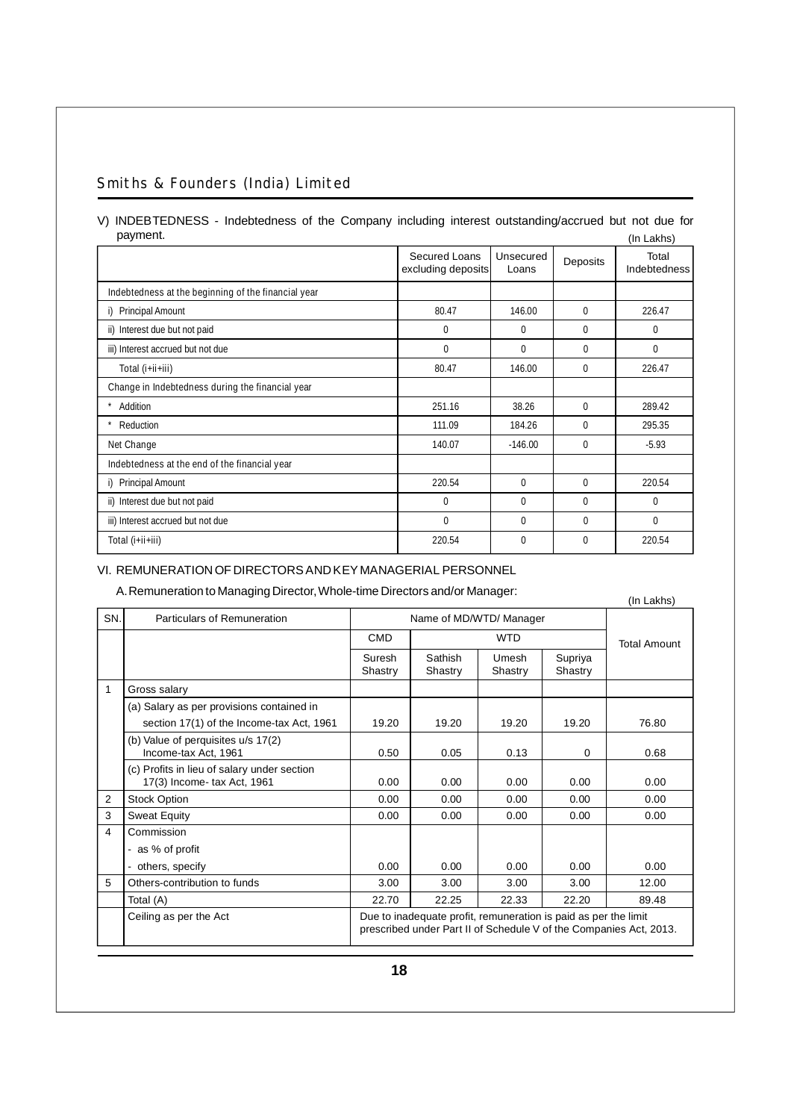**V) INDEBTEDNESS -** Indebtedness of the Company including interest outstanding/accrued but not due for payment. **payment. (In Lakhs)**

| r - 7 · · · - · · ·                                 |                                     |                    |              | $III$ Lanis)                 |
|-----------------------------------------------------|-------------------------------------|--------------------|--------------|------------------------------|
|                                                     | Secured Loans<br>excluding deposits | Unsecured<br>Loans | Deposits     | Total<br><b>Indebtedness</b> |
| Indebtedness at the beginning of the financial year |                                     |                    |              |                              |
| <b>D</b> Principal Amount                           | 80.47                               | 146.00             | $\mathbf{0}$ | 226.47                       |
| ii) Interest due but not paid                       | 0                                   | 0                  | 0            | 0                            |
| iii) Interest accrued but not due                   | 0                                   | $\mathbf{0}$       | 0            | 0                            |
| Total (i+ii+iii)                                    | 80.47                               | 146.00             | $\mathbf 0$  | 226.47                       |
| Change in Indebtedness during the financial year    |                                     |                    |              |                              |
| *<br><b>Addition</b>                                | 251.16                              | 38.26              | $\mathbf 0$  | 289.42                       |
| <b>Reduction</b>                                    | 111.09                              | 184.26             | $\mathbf 0$  | 295.35                       |
| <b>Net Change</b>                                   | 140.07                              | $-146.00$          | $\mathbf 0$  | $-5.93$                      |
| Indebtedness at the end of the financial year       |                                     |                    |              |                              |
| i) Principal Amount                                 | 220.54                              | 0                  | 0            | 220.54                       |
| ii) Interest due but not paid                       | 0                                   | $\mathbf{0}$       | 0            | 0                            |
| iii) Interest accrued but not due                   | 0                                   | 0                  | 0            | 0                            |
| Total (i+ii+iii)                                    | 220.54                              | 0                  | $\mathbf 0$  | 220.54                       |
|                                                     |                                     |                    |              |                              |

## **VI. REMUNERATION OF DIRECTORS AND KEY MANAGERIAL PERSONNEL**

**A. Remuneration to Managing Director, Whole-time Directors and/or Manager:**

| A. Remariciation to managing Director, whole-time Directors and/or manager. |                                                                            |                                                                                                                                       |                         |                  |                    |                     |  |
|-----------------------------------------------------------------------------|----------------------------------------------------------------------------|---------------------------------------------------------------------------------------------------------------------------------------|-------------------------|------------------|--------------------|---------------------|--|
| SN.                                                                         | Particulars of Remuneration                                                |                                                                                                                                       | Name of MD/WTD/ Manager |                  |                    |                     |  |
|                                                                             |                                                                            | <b>CMD</b>                                                                                                                            |                         | <b>WTD</b>       |                    | <b>Total Amount</b> |  |
|                                                                             |                                                                            | Suresh<br>Shastry                                                                                                                     | Sathish<br>Shastry      | Umesh<br>Shastry | Supriya<br>Shastry |                     |  |
| 1                                                                           | Gross salary                                                               |                                                                                                                                       |                         |                  |                    |                     |  |
|                                                                             | (a) Salary as per provisions contained in                                  |                                                                                                                                       |                         |                  |                    |                     |  |
|                                                                             | section 17(1) of the Income-tax Act, 1961                                  | 19.20                                                                                                                                 | 19.20                   | 19.20            | 19.20              | 76.80               |  |
|                                                                             | (b) Value of perquisites u/s 17(2)<br>Income-tax Act, 1961                 | 0.50                                                                                                                                  | 0.05                    | 0.13             | $\Omega$           | 0.68                |  |
|                                                                             | (c) Profits in lieu of salary under section<br>17(3) Income- tax Act, 1961 | 0.00                                                                                                                                  | 0.00                    | 0.00             | 0.00               | 0.00                |  |
| 2                                                                           | <b>Stock Option</b>                                                        | 0.00                                                                                                                                  | 0.00                    | 0.00             | 0.00               | 0.00                |  |
| 3                                                                           | <b>Sweat Equity</b>                                                        | 0.00                                                                                                                                  | 0.00                    | 0.00             | 0.00               | 0.00                |  |
| 4                                                                           | Commission                                                                 |                                                                                                                                       |                         |                  |                    |                     |  |
|                                                                             | - as % of profit                                                           |                                                                                                                                       |                         |                  |                    |                     |  |
|                                                                             | - others, specify                                                          | 0.00                                                                                                                                  | 0.00                    | 0.00             | 0.00               | 0.00                |  |
| 5                                                                           | Others-contribution to funds                                               | 3.00                                                                                                                                  | 3.00                    | 3.00             | 3.00               | 12.00               |  |
|                                                                             | Total (A)                                                                  | 22.70                                                                                                                                 | 22.25                   | 22.33            | 22.20              | 89.48               |  |
|                                                                             | Ceiling as per the Act                                                     | Due to inadequate profit, remuneration is paid as per the limit<br>prescribed under Part II of Schedule V of the Companies Act, 2013. |                         |                  |                    |                     |  |
|                                                                             |                                                                            |                                                                                                                                       |                         |                  |                    |                     |  |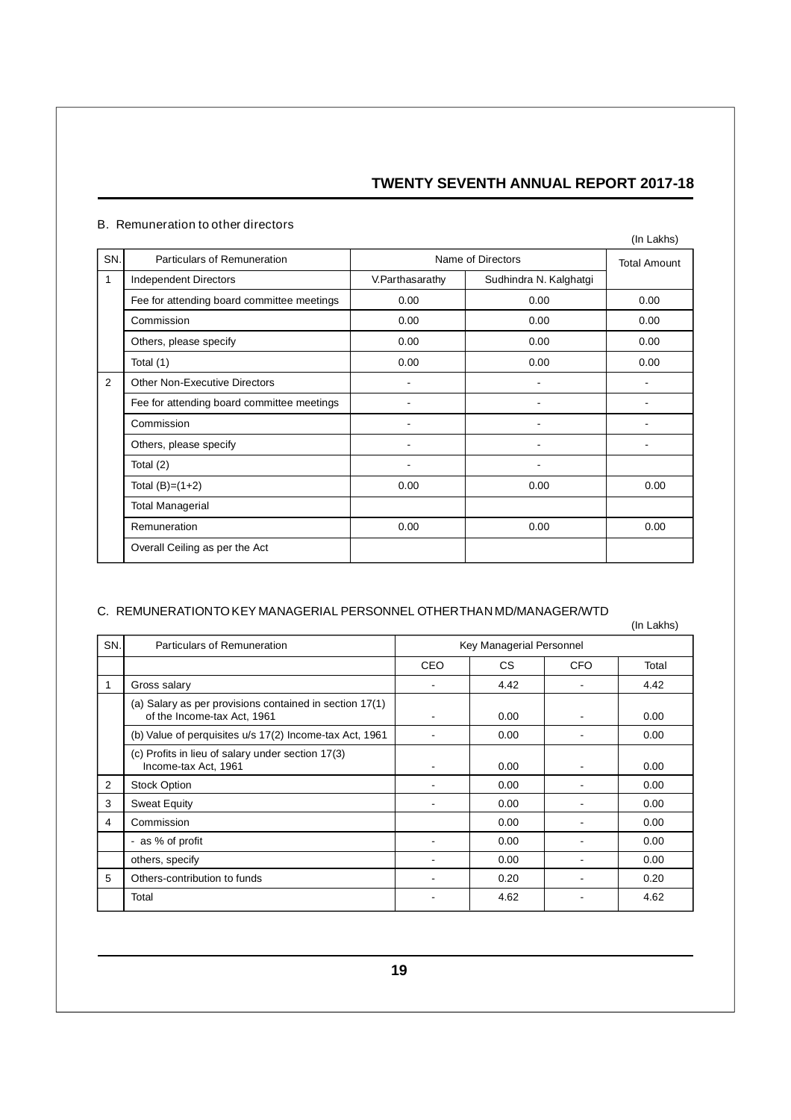|     |                                            |                          |                        | (In Lakhs)          |
|-----|--------------------------------------------|--------------------------|------------------------|---------------------|
| SN. | Particulars of Remuneration                |                          | Name of Directors      | <b>Total Amount</b> |
| 1   | Independent Directors                      | V.Parthasarathy          | Sudhindra N. Kalghatgi |                     |
|     | Fee for attending board committee meetings | 0.00                     | 0.00                   | 0.00                |
|     | Commission                                 | 0.00                     | 0.00                   | 0.00                |
|     | Others, please specify                     | 0.00                     | 0.00                   | 0.00                |
|     | Total (1)                                  | 0.00                     | 0.00                   | 0.00                |
| 2   | <b>Other Non-Executive Directors</b>       | $\overline{\phantom{a}}$ |                        | $\blacksquare$      |
|     | Fee for attending board committee meetings |                          |                        |                     |
|     | Commission                                 |                          |                        |                     |
|     | Others, please specify                     | ۰                        |                        |                     |
|     | Total $(2)$                                |                          |                        |                     |
|     | Total $(B)=(1+2)$                          | 0.00                     | 0.00                   | 0.00                |
|     | <b>Total Managerial</b>                    |                          |                        |                     |
|     | Remuneration                               | 0.00                     | 0.00                   | 0.00                |
|     | Overall Ceiling as per the Act             |                          |                        |                     |

## **B. Remuneration to other directors**

## **C. REMUNERATION TO KEY MANAGERIAL PERSONNEL OTHER THAN MD/MANAGER/WTD**

|                |                                                                                        |     |                          |            | (In Lakhs) |  |
|----------------|----------------------------------------------------------------------------------------|-----|--------------------------|------------|------------|--|
| SN.            | Particulars of Remuneration                                                            |     | Key Managerial Personnel |            |            |  |
|                |                                                                                        | CEO | <b>CS</b>                | <b>CFO</b> | Total      |  |
|                | Gross salary                                                                           |     | 4.42                     |            | 4.42       |  |
|                | (a) Salary as per provisions contained in section 17(1)<br>of the Income-tax Act, 1961 |     | 0.00                     |            | 0.00       |  |
|                | (b) Value of perquisites u/s 17(2) Income-tax Act, 1961                                |     | 0.00                     |            | 0.00       |  |
|                | (c) Profits in lieu of salary under section 17(3)<br>Income-tax Act, 1961              |     | 0.00                     |            | 0.00       |  |
| $\overline{2}$ | <b>Stock Option</b>                                                                    |     | 0.00                     |            | 0.00       |  |
| 3              | <b>Sweat Equity</b>                                                                    |     | 0.00                     |            | 0.00       |  |
| 4              | Commission                                                                             |     | 0.00                     |            | 0.00       |  |
|                | - as % of profit                                                                       |     | 0.00                     |            | 0.00       |  |
|                | others, specify                                                                        |     | 0.00                     | ۰          | 0.00       |  |
| 5              | Others-contribution to funds                                                           |     | 0.20                     |            | 0.20       |  |
|                | Total                                                                                  |     | 4.62                     |            | 4.62       |  |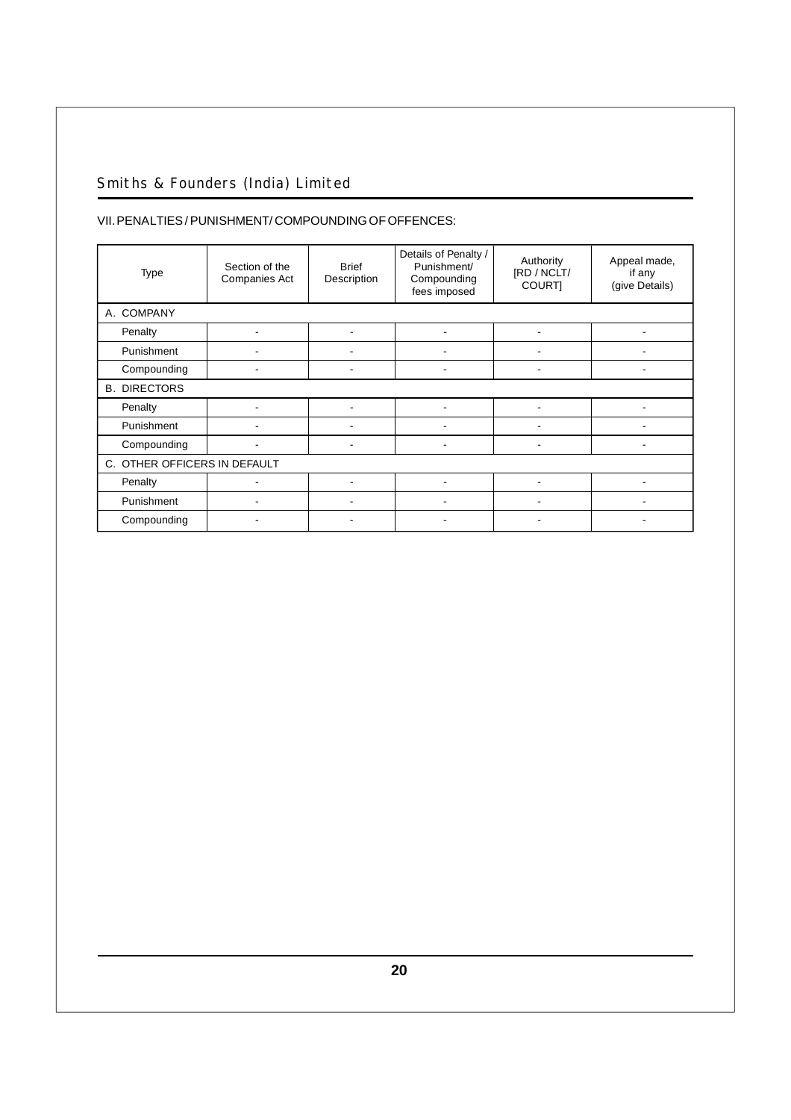## **VII. PENALTIES / PUNISHMENT/ COMPOUNDING OF OFFENCES:**

| Type                                | Section of the<br>Companies Act | <b>Brief</b><br>Description | Details of Penalty /<br>Punishment/<br>Compounding<br>fees imposed | Authority<br>[RD / NCLT/<br>COURT] | Appeal made,<br>if any<br>(give Details) |  |  |  |  |  |
|-------------------------------------|---------------------------------|-----------------------------|--------------------------------------------------------------------|------------------------------------|------------------------------------------|--|--|--|--|--|
| A. COMPANY                          |                                 |                             |                                                                    |                                    |                                          |  |  |  |  |  |
| Penalty                             |                                 |                             |                                                                    |                                    |                                          |  |  |  |  |  |
| Punishment                          |                                 |                             |                                                                    |                                    |                                          |  |  |  |  |  |
| Compounding                         |                                 |                             |                                                                    |                                    |                                          |  |  |  |  |  |
| <b>B. DIRECTORS</b>                 |                                 |                             |                                                                    |                                    |                                          |  |  |  |  |  |
| Penalty                             |                                 |                             |                                                                    |                                    | -                                        |  |  |  |  |  |
| Punishment                          |                                 |                             |                                                                    |                                    |                                          |  |  |  |  |  |
| Compounding                         |                                 |                             |                                                                    |                                    |                                          |  |  |  |  |  |
| <b>C. OTHER OFFICERS IN DEFAULT</b> |                                 |                             |                                                                    |                                    |                                          |  |  |  |  |  |
| Penalty                             |                                 |                             |                                                                    |                                    |                                          |  |  |  |  |  |
| Punishment                          |                                 |                             |                                                                    |                                    |                                          |  |  |  |  |  |
| Compounding                         |                                 |                             |                                                                    |                                    |                                          |  |  |  |  |  |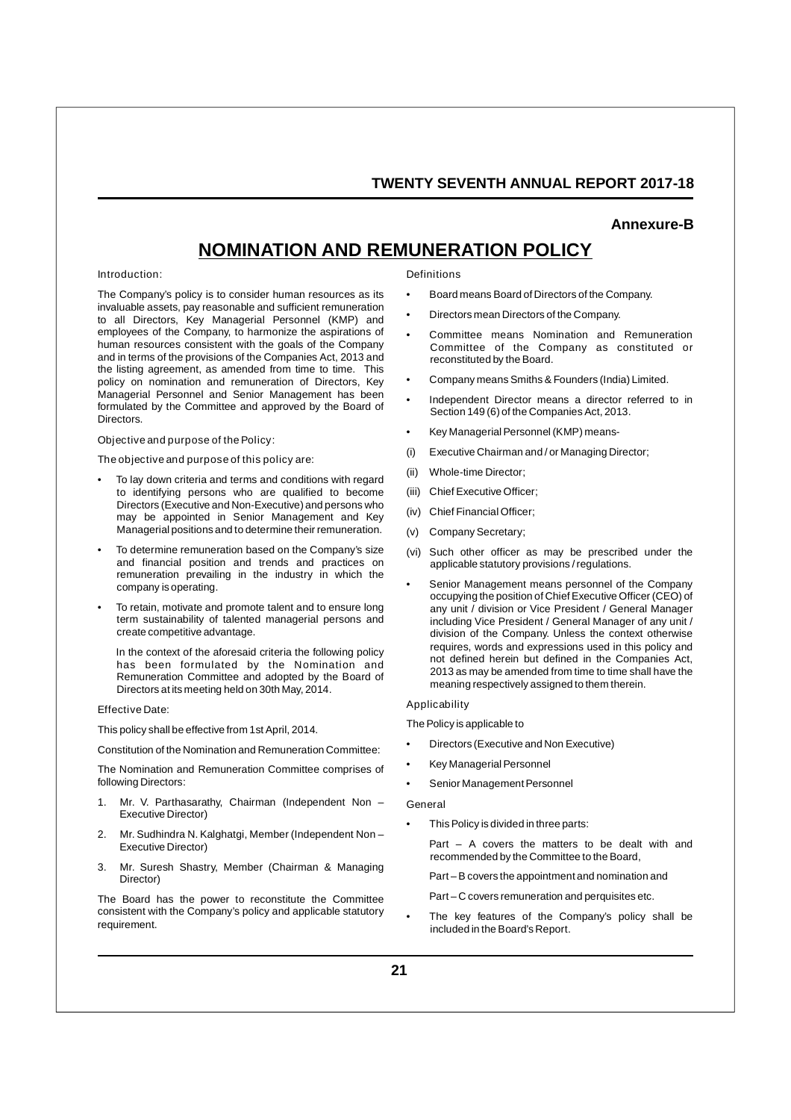### **Annexure-B**

## **NOMINATION AND REMUNERATION POLICY**

#### **Introduction:**

**The Company's policy is to consider human resources as its invaluable assets, pay reasonable and sufficient remuneration to all Directors, Key Managerial Personnel (KMP) and employees of the Company, to harmonize the aspirations of human resources consistent with the goals of the Company and in terms of the provisions of the Companies Act, 2013 and the listing agreement, as amended from time to time. This policy on nomination and remuneration of Directors, Key Managerial Personnel and Senior Management has been formulated by the Committee and approved by the Board of Directors.** 

#### **Objective and purpose of the Policy:**

#### **The objective and purpose of this policy are:**

- **To lay down criteria and terms and conditions with regard to identifying persons who are qualified to become Directors (Executive and Non-Executive) and persons who may be appointed in Senior Management and Key Managerial positions and to determine their remuneration.**
- **To determine remuneration based on the Company's size and financial position and trends and practices on remuneration prevailing in the industry in which the company is operating.**
- **To retain, motivate and promote talent and to ensure long term sustainability of talented managerial persons and create competitive advantage.**

 **In the context of the aforesaid criteria the following policy has been formulated by the Nomination and Remuneration Committee and adopted by the Board of Directors at its meeting held on 30th May, 2014.**

#### **Effective Date:**

**This policy shall be effective from 1st April, 2014.**

**Constitution of the Nomination and Remuneration Committee:** 

**The Nomination and Remuneration Committee comprises of following Directors:**

- **1. Mr. V. Parthasarathy, Chairman (Independent Non Executive Director)**
- **2. Mr. Sudhindra N. Kalghatgi, Member (Independent Non Executive Director)**
- **3. Mr. Suresh Shastry, Member (Chairman & Managing Director)**

**The Board has the power to reconstitute the Committee consistent with the Company's policy and applicable statutory requirement.**

#### **Definitions**

- **Board means Board of Directors of the Company.**
- **Directors mean Directors of the Company.**
- **Committee means Nomination and Remuneration Committee of the Company as constituted or reconstituted by the Board.**
- **Company means Smiths & Founders (India) Limited.**
- **Independent Director means a director referred to in Section 149 (6) of the Companies Act, 2013.**
- **Key Managerial Personnel (KMP) means-**
- **(i) Executive Chairman and / or Managing Director;**
- **(ii) Whole-time Director;**
- **(iii) Chief Executive Officer;**
- **(iv) Chief Financial Officer;**
- **(v) Company Secretary;**
- **(vi) Such other officer as may be prescribed under the applicable statutory provisions / regulations.**
- **Senior Management means personnel of the Company occupying the position of Chief Executive Officer (CEO) of any unit / division or Vice President / General Manager including Vice President / General Manager of any unit / division of the Company. Unless the context otherwise requires, words and expressions used in this policy and not defined herein but defined in the Companies Act, 2013 as may be amended from time to time shall have the meaning respectively assigned to them therein.**

#### **Applicability**

**The Policy is applicable to**

- **Directors (Executive and Non Executive)**
- **Key Managerial Personnel**
- **Senior Management Personnel**

#### **General**

**• This Policy is divided in three parts:** 

 **Part – A covers the matters to be dealt with and recommended by the Committee to the Board,** 

 **Part – B covers the appointment and nomination and** 

 **Part – C covers remuneration and perquisites etc.**

**• The key features of the Company's policy shall be included in the Board's Report.**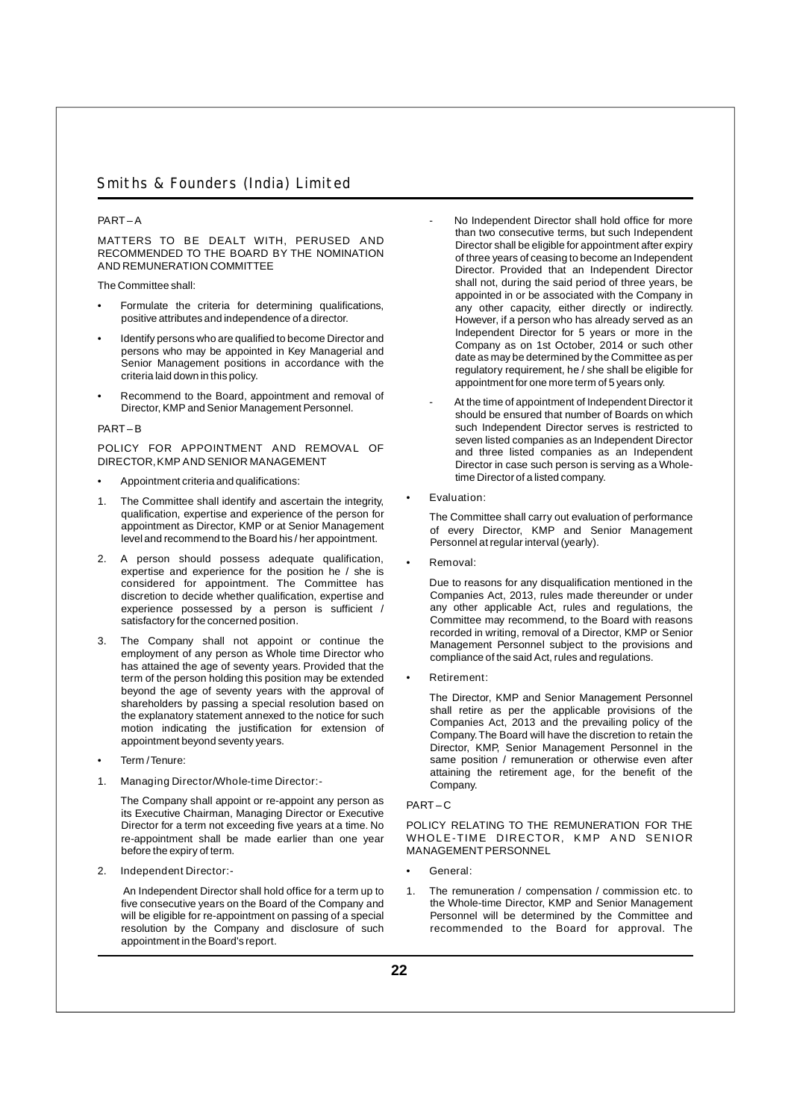#### **PART – A**

#### **MATTERS TO BE DEALT WITH, PERUSED AND RECOMMENDED TO THE BOARD BY THE NOMINATION AND REMUNERATION COMMITTEE**

**The Committee shall:**

- **Formulate the criteria for determining qualifications, positive attributes and independence of a director.**
- **Identify persons who are qualified to become Director and persons who may be appointed in Key Managerial and Senior Management positions in accordance with the criteria laid down in this policy.**
- **Recommend to the Board, appointment and removal of Director, KMP and Senior Management Personnel.**

#### **PART – B**

#### **POLICY FOR APPOINTMENT AND REMOVAL OF DIRECTOR, KMP AND SENIOR MANAGEMENT**

- **Appointment criteria and qualifications:**
- **1. The Committee shall identify and ascertain the integrity, qualification, expertise and experience of the person for appointment as Director, KMP or at Senior Management level and recommend to the Board his / her appointment.**
- **2. A person should possess adequate qualification, expertise and experience for the position he / she is considered for appointment. The Committee has discretion to decide whether qualification, expertise and experience possessed by a person is sufficient / satisfactory for the concerned position.**
- **3. The Company shall not appoint or continue the employment of any person as Whole time Director who has attained the age of seventy years. Provided that the term of the person holding this position may be extended beyond the age of seventy years with the approval of shareholders by passing a special resolution based on the explanatory statement annexed to the notice for such motion indicating the justification for extension of appointment beyond seventy years.**
- **Term / Tenure:**

#### **1. Managing Director/Whole-time Director:-**

 **The Company shall appoint or re-appoint any person as its Executive Chairman, Managing Director or Executive Director for a term not exceeding five years at a time. No re-appointment shall be made earlier than one year before the expiry of term.**

#### **2. Independent Director:-**

 **An Independent Director shall hold office for a term up to five consecutive years on the Board of the Company and will be eligible for re-appointment on passing of a special resolution by the Company and disclosure of such appointment in the Board's report.**

- No Independent Director shall hold office for more **than two consecutive terms, but such Independent Director shall be eligible for appointment after expiry of three years of ceasing to become an Independent Director. Provided that an Independent Director shall not, during the said period of three years, be appointed in or be associated with the Company in any other capacity, either directly or indirectly. However, if a person who has already served as an Independent Director for 5 years or more in the Company as on 1st October, 2014 or such other date as may be determined by the Committee as per regulatory requirement, he / she shall be eligible for appointment for one more term of 5 years only.**
- At the time of appointment of Independent Director it **should be ensured that number of Boards on which such Independent Director serves is restricted to seven listed companies as an Independent Director and three listed companies as an Independent Director in case such person is serving as a Wholetime Director of a listed company.**

#### **• Evaluation:**

 **The Committee shall carry out evaluation of performance of every Director, KMP and Senior Management Personnel at regular interval (yearly).**

#### **• Removal:**

 **Due to reasons for any disqualification mentioned in the Companies Act, 2013, rules made thereunder or under any other applicable Act, rules and regulations, the Committee may recommend, to the Board with reasons recorded in writing, removal of a Director, KMP or Senior Management Personnel subject to the provisions and compliance of the said Act, rules and regulations.**

#### **• Retirement:**

 **The Director, KMP and Senior Management Personnel shall retire as per the applicable provisions of the Companies Act, 2013 and the prevailing policy of the Company. The Board will have the discretion to retain the Director, KMP, Senior Management Personnel in the same position / remuneration or otherwise even after attaining the retirement age, for the benefit of the Company.**

#### **PART – C**

#### **POLICY RELATING TO THE REMUNERATION FOR THE**  WHOLE-TIME DIRECTOR, KMP AND SENIOR **MANAGEMENT PERSONNEL**

- **General:**
- **1. The remuneration / compensation / commission etc. to the Whole-time Director, KMP and Senior Management**  Personnel will be determined by the Committee and **recommended to the Board for approval. The**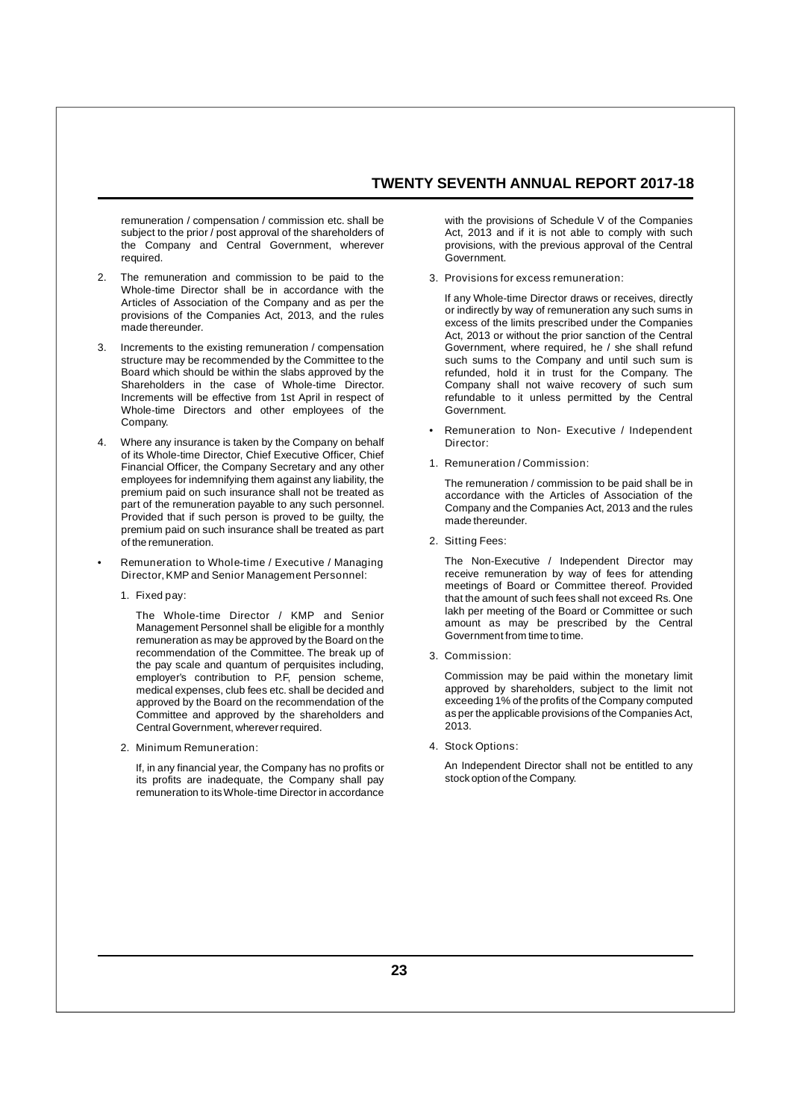**remuneration / compensation / commission etc. shall be subject to the prior / post approval of the shareholders of the Company and Central Government, wherever required.**

- **2. The remuneration and commission to be paid to the Whole-time Director shall be in accordance with the Articles of Association of the Company and as per the provisions of the Companies Act, 2013, and the rules made thereunder.**
- **3. Increments to the existing remuneration / compensation structure may be recommended by the Committee to the Board which should be within the slabs approved by the Shareholders in the case of Whole-time Director. Increments will be effective from 1st April in respect of Whole-time Directors and other employees of the Company.**
- **4. Where any insurance is taken by the Company on behalf of its Whole-time Director, Chief Executive Officer, Chief Financial Officer, the Company Secretary and any other employees for indemnifying them against any liability, the premium paid on such insurance shall not be treated as part of the remuneration payable to any such personnel. Provided that if such person is proved to be guilty, the premium paid on such insurance shall be treated as part of the remuneration.**

#### **• Remuneration to Whole-time / Executive / Managing Director, KMP and Senior Management Personnel:**

#### **1. Fixed pay:**

 **The Whole-time Director / KMP and Senior Management Personnel shall be eligible for a monthly remuneration as may be approved by the Board on the recommendation of the Committee. The break up of the pay scale and quantum of perquisites including, employer's contribution to P.F, pension scheme, medical expenses, club fees etc. shall be decided and approved by the Board on the recommendation of the Committee and approved by the shareholders and Central Government, wherever required.**

#### **2. Minimum Remuneration:**

 **If, in any financial year, the Company has no profits or its profits are inadequate, the Company shall pay remuneration to its Whole-time Director in accordance** 

**with the provisions of Schedule V of the Companies Act, 2013 and if it is not able to comply with such provisions, with the previous approval of the Central Government.**

#### **3. Provisions for excess remuneration:**

 **If any Whole-time Director draws or receives, directly or indirectly by way of remuneration any such sums in excess of the limits prescribed under the Companies Act, 2013 or without the prior sanction of the Central Government, where required, he / she shall refund such sums to the Company and until such sum is refunded, hold it in trust for the Company. The Company shall not waive recovery of such sum refundable to it unless permitted by the Central Government.**

 **• Remuneration to Non- Executive / Independent Director:** 

#### **1. Remuneration / Commission:**

 **The remuneration / commission to be paid shall be in accordance with the Articles of Association of the Company and the Companies Act, 2013 and the rules made thereunder.**

#### **2. Sitting Fees:**

 **The Non-Executive / Independent Director may receive remuneration by way of fees for attending meetings of Board or Committee thereof. Provided that the amount of such fees shall not exceed Rs. One lakh per meeting of the Board or Committee or such amount as may be prescribed by the Central Government from time to time.**

#### **3. Commission:**

 **Commission may be paid within the monetary limit approved by shareholders, subject to the limit not exceeding 1% of the profits of the Company computed as per the applicable provisions of the Companies Act, 2013.**

#### **4. Stock Options:**

 **An Independent Director shall not be entitled to any stock option of the Company.**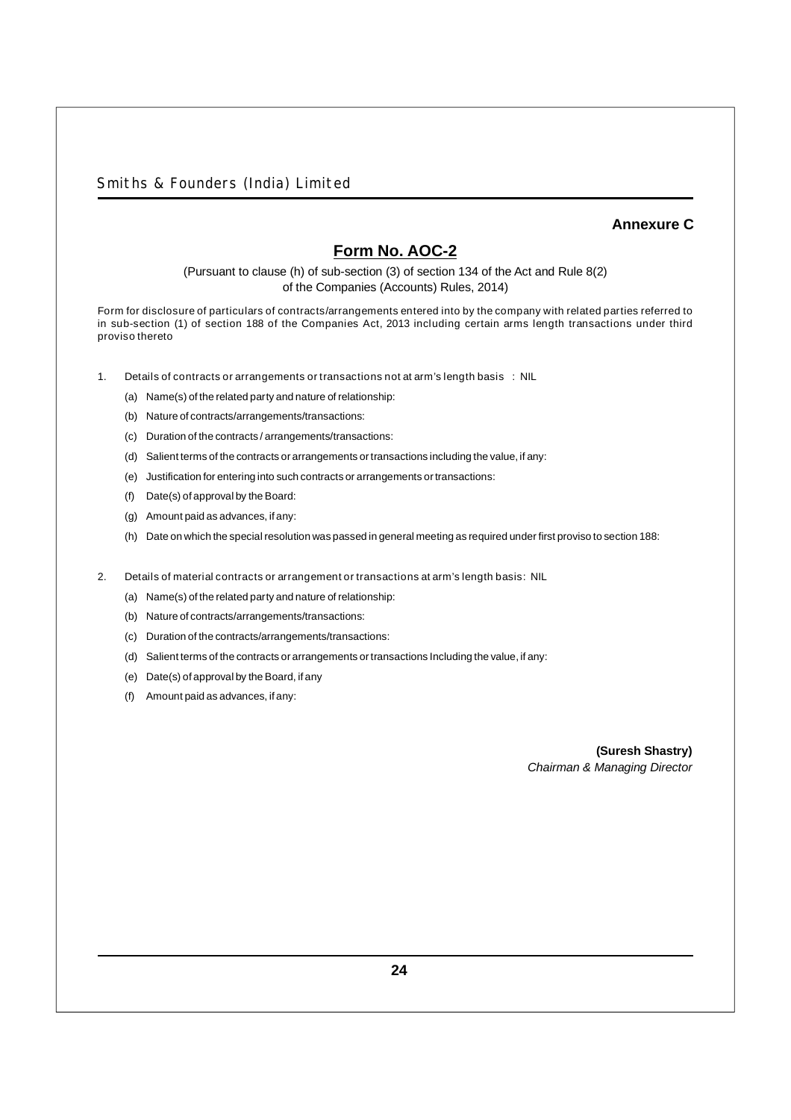## **Annexure C**

## **Form No. AOC-2**

(Pursuant to clause (h) of sub-section (3) of section 134 of the Act and Rule 8(2) of the Companies (Accounts) Rules, 2014)

**Form for disclosure of particulars of contracts/arrangements entered into by the company with related parties referred to in sub-section (1) of section 188 of the Companies Act, 2013 including certain arms length transactions under third proviso thereto**

**1. Details of contracts or arrangements or transactions not at arm's length basis : NIL**

- **(a) Name(s) of the related party and nature of relationship:**
- **(b) Nature of contracts/arrangements/transactions:**
- **(c) Duration of the contracts / arrangements/transactions:**
- **(d) Salient terms of the contracts or arrangements or transactions including the value, if any:**
- **(e) Justification for entering into such contracts or arrangements or transactions:**
- **(f) Date(s) of approval by the Board:**
- **(g) Amount paid as advances, if any:**
- **(h) Date on which the special resolution was passed in general meeting as required under first proviso to section 188:**

#### **2. Details of material contracts or arrangement or transactions at arm's length basis: NIL**

- **(a) Name(s) of the related party and nature of relationship:**
- **(b) Nature of contracts/arrangements/transactions:**
- **(c) Duration of the contracts/arrangements/transactions:**
- **(d) Salient terms of the contracts or arrangements or transactions Including the value, if any:**
- **(e) Date(s) of approval by the Board, if any**
- **(f) Amount paid as advances, if any:**

**(Suresh Shastry)** *Chairman & Managing Director*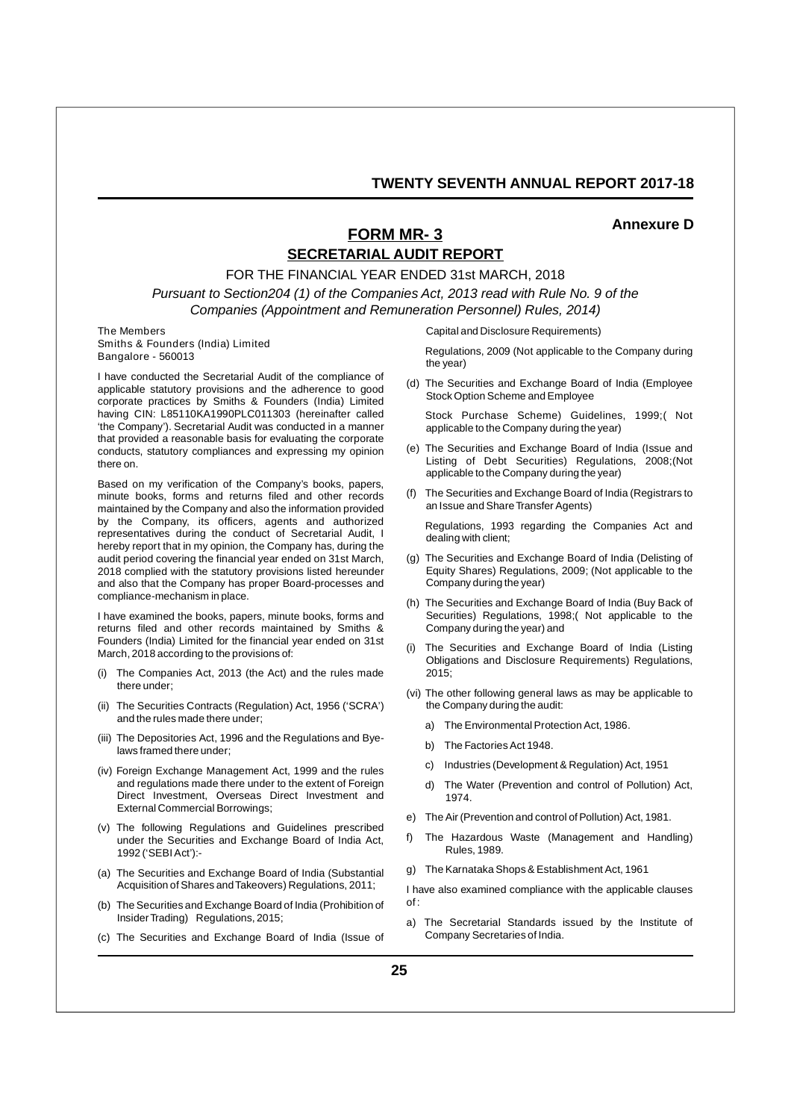# **Annexure D FORM MR- 3 SECRETARIAL AUDIT REPORT**

## FOR THE FINANCIAL YEAR ENDED 31st MARCH, 2018

*Pursuant to Section204 (1) of the Companies Act, 2013 read with Rule No. 9 of the Companies (Appointment and Remuneration Personnel) Rules, 2014)*

#### **The Members Smiths & Founders (India) Limited Bangalore - 560013**

**I have conducted the Secretarial Audit of the compliance of applicable statutory provisions and the adherence to good corporate practices by Smiths & Founders (India) Limited having CIN: L85110KA1990PLC011303 (hereinafter called 'the Company'). Secretarial Audit was conducted in a manner that provided a reasonable basis for evaluating the corporate conducts, statutory compliances and expressing my opinion there on.**

**Based on my verification of the Company's books, papers, minute books, forms and returns filed and other records maintained by the Company and also the information provided by the Company, its officers, agents and authorized representatives during the conduct of Secretarial Audit, I hereby report that in my opinion, the Company has, during the audit period covering the financial year ended on 31st March, 2018 complied with the statutory provisions listed hereunder and also that the Company has proper Board-processes and compliance-mechanism in place.**

**I have examined the books, papers, minute books, forms and returns filed and other records maintained by Smiths & Founders (India) Limited for the financial year ended on 31st March, 2018 according to the provisions of:**

- **(i) The Companies Act, 2013 (the Act) and the rules made there under;**
- **(ii) The Securities Contracts (Regulation) Act, 1956 ('SCRA') and the rules made there under;**
- **(iii) The Depositories Act, 1996 and the Regulations and Byelaws framed there under;**
- **(iv) Foreign Exchange Management Act, 1999 and the rules and regulations made there under to the extent of Foreign Direct Investment, Overseas Direct Investment and External Commercial Borrowings;**
- **(v) The following Regulations and Guidelines prescribed under the Securities and Exchange Board of India Act, 1992 ('SEBI Act'):-**
- **(a) The Securities and Exchange Board of India (Substantial Acquisition of Shares and Takeovers) Regulations, 2011;**
- **(b) The Securities and Exchange Board of India (Prohibition of Insider Trading) Regulations, 2015;**
- **(c) The Securities and Exchange Board of India (Issue of**

**Capital and Disclosure Requirements)**

 **Regulations, 2009 (Not applicable to the Company during the year)**

**(d) The Securities and Exchange Board of India (Employee Stock Option Scheme and Employee**

 **Stock Purchase Scheme) Guidelines, 1999;( Not applicable to the Company during the year)**

- **(e) The Securities and Exchange Board of India (Issue and Listing of Debt Securities) Regulations, 2008;(Not applicable to the Company during the year)**
- **(f) The Securities and Exchange Board of India (Registrars to an Issue and Share Transfer Agents)**

 **Regulations, 1993 regarding the Companies Act and dealing with client;**

- **(g) The Securities and Exchange Board of India (Delisting of Equity Shares) Regulations, 2009; (Not applicable to the Company during the year)**
- **(h) The Securities and Exchange Board of India (Buy Back of Securities) Regulations, 1998;( Not applicable to the Company during the year) and**
- **(i) The Securities and Exchange Board of India (Listing Obligations and Disclosure Requirements) Regulations, 2015;**
- **(vi) The other following general laws as may be applicable to the Company during the audit:**
	- **a) The Environmental Protection Act, 1986.**
	- **b) The Factories Act 1948.**
	- **c) Industries (Development & Regulation) Act, 1951**
	- **d) The Water (Prevention and control of Pollution) Act, 1974.**
- **e) The Air (Prevention and control of Pollution) Act, 1981.**
- **f) The Hazardous Waste (Management and Handling) Rules, 1989.**
- **g) The Karnataka Shops & Establishment Act, 1961**

**I have also examined compliance with the applicable clauses of :**

**a) The Secretarial Standards issued by the Institute of Company Secretaries of India.**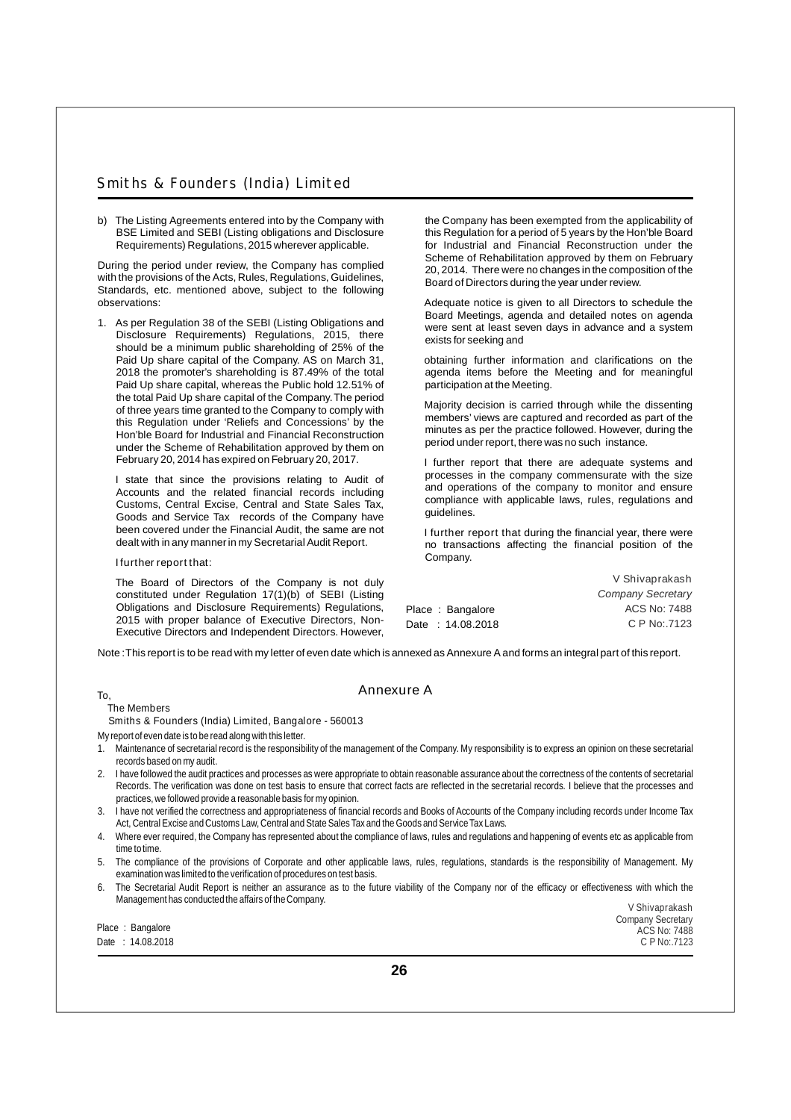**b) The Listing Agreements entered into by the Company with BSE Limited and SEBI (Listing obligations and Disclosure Requirements) Regulations, 2015 wherever applicable.**

**During the period under review, the Company has complied with the provisions of the Acts, Rules, Regulations, Guidelines, Standards, etc. mentioned above, subject to the following observations:**

**1. As per Regulation 38 of the SEBI (Listing Obligations and Disclosure Requirements) Regulations, 2015, there should be a minimum public shareholding of 25% of the Paid Up share capital of the Company. AS on March 31, 2018 the promoter's shareholding is 87.49% of the total Paid Up share capital, whereas the Public hold 12.51% of the total Paid Up share capital of the Company. The period of three years time granted to the Company to comply with this Regulation under 'Reliefs and Concessions' by the Hon'ble Board for Industrial and Financial Reconstruction under the Scheme of Rehabilitation approved by them on February 20, 2014 has expired on February 20, 2017.**

 **I state that since the provisions relating to Audit of Accounts and the related financial records including Customs, Central Excise, Central and State Sales Tax, Goods and Service Tax records of the Company have been covered under the Financial Audit, the same are not dealt with in any manner in my Secretarial Audit Report.**

#### **I further report that:**

 **The Board of Directors of the Company is not duly constituted under Regulation 17(1)(b) of SEBI (Listing Obligations and Disclosure Requirements) Regulations, 2015 with proper balance of Executive Directors, Non-Executive Directors and Independent Directors. However,** 

**the Company has been exempted from the applicability of this Regulation for a period of 5 years by the Hon'ble Board for Industrial and Financial Reconstruction under the Scheme of Rehabilitation approved by them on February 20, 2014. There were no changes in the composition of the Board of Directors during the year under review.**

 **Adequate notice is given to all Directors to schedule the Board Meetings, agenda and detailed notes on agenda were sent at least seven days in advance and a system exists for seeking and** 

 **obtaining further information and clarifications on the agenda items before the Meeting and for meaningful participation at the Meeting.**

 **Majority decision is carried through while the dissenting members' views are captured and recorded as part of the minutes as per the practice followed. However, during the period under report, there was no such instance.**

 **I further report that there are adequate systems and processes in the company commensurate with the size and operations of the company to monitor and ensure compliance with applicable laws, rules, regulations and guidelines.** 

**I further report that** during the financial year, there were **no transactions affecting the financial position of the Company.** 

|                  | V Shivaprakash      |
|------------------|---------------------|
|                  | Company Secretary   |
| Place: Bangalore | <b>ACS No: 7488</b> |
| Date: 14.08.2018 | C P No: 7123        |

**Note : This report is to be read with my letter of even date which is annexed as Annexure A and forms an integral part of this report.**

## **Annexure A To,**

 **The Members**

 **Smiths & Founders (India) Limited, Bangalore - 560013**

#### **My report of even date is to be read along with this letter.**

- **1. Maintenance of secretarial record is the responsibility of the management of the Company. My responsibility is to express an opinion on these secretarial records based on my audit.**
- **2. I have followed the audit practices and processes as were appropriate to obtain reasonable assurance about the correctness of the contents of secretarial Records. The verification was done on test basis to ensure that correct facts are reflected in the secretarial records. I believe that the processes and practices, we followed provide a reasonable basis for my opinion.**
- **3. I have not verified the correctness and appropriateness of financial records and Books of Accounts of the Company including records under Income Tax Act, Central Excise and Customs Law, Central and State Sales Tax and the Goods and Service Tax Laws.**
- **4. Where ever required, the Company has represented about the compliance of laws, rules and regulations and happening of events etc as applicable from time to time.**
- **5. The compliance of the provisions of Corporate and other applicable laws, rules, regulations, standards is the responsibility of Management. My examination was limited to the verification of procedures on test basis.**
- **6. The Secretarial Audit Report is neither an assurance as to the future viability of the Company nor of the efficacy or effectiveness with which the Management has conducted the affairs of the Company. V Shivaprakash**

| <b>Place: Bangalore</b> | <b>Company Secretary</b><br><b>ACS No: 7488</b> |
|-------------------------|-------------------------------------------------|
| Dale: 14.08.2018        | C P No.7123                                     |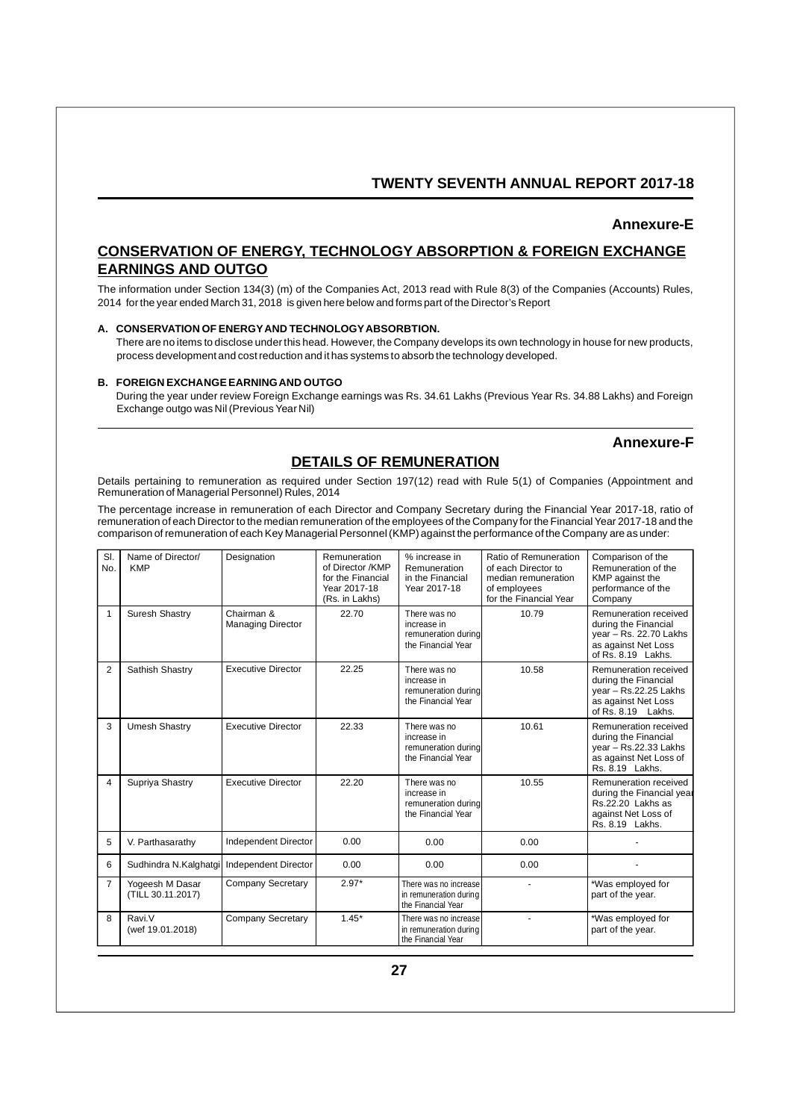## **Annexure-E**

## **CONSERVATION OF ENERGY, TECHNOLOGY ABSORPTION & FOREIGN EXCHANGE EARNINGS AND OUTGO**

The information under Section 134(3) (m) of the Companies Act, 2013 read with Rule 8(3) of the Companies (Accounts) Rules, 2014 for the year ended March 31, 2018 is given here below and forms part of the Director's Report

#### **A. CONSERVATION OF ENERGY AND TECHNOLOGY ABSORBTION.**

 There are no items to disclose under this head. However, the Company develops its own technology in house for new products, process development and cost reduction and it has systems to absorb the technology developed.

#### **B. FOREIGN EXCHANGE EARNING AND OUTGO**

 During the year under review Foreign Exchange earnings was Rs. 34.61 Lakhs (Previous Year Rs. 34.88 Lakhs) and Foreign Exchange outgo was Nil (Previous Year Nil)

#### **Annexure-F**

## **DETAILS OF REMUNERATION**

Details pertaining to remuneration as required under Section 197(12) read with Rule 5(1) of Companies (Appointment and Remuneration of Managerial Personnel) Rules, 2014

The percentage increase in remuneration of each Director and Company Secretary during the Financial Year 2017-18, ratio of remuneration of each Director to the median remuneration of the employees of the Company for the Financial Year 2017-18 and the comparison of remuneration of each Key Managerial Personnel (KMP) against the performance of the Company are as under:

| SI.<br>No.     | Name of Director/<br><b>KMP</b>      | Designation                     | Remuneration<br>of Director /KMP<br>for the Financial<br>Year 2017-18<br>(Rs. in Lakhs) | % increase in<br>Remuneration<br>in the Financial<br>Year 2017-18        | Ratio of Remuneration<br>of each Director to<br>median remuneration<br>of employees<br>for the Financial Year | Comparison of the<br>Remuneration of the<br>KMP against the<br>performance of the<br>Company                           |
|----------------|--------------------------------------|---------------------------------|-----------------------------------------------------------------------------------------|--------------------------------------------------------------------------|---------------------------------------------------------------------------------------------------------------|------------------------------------------------------------------------------------------------------------------------|
| 1              | Suresh Shastry                       | Chairman &<br>Managing Director | 22.70                                                                                   | There was no<br>increase in<br>remuneration during<br>the Financial Year | 10.79                                                                                                         | Remuneration received<br>during the Financial<br>year $-$ Rs. 22.70 Lakhs<br>as against Net Loss<br>of Rs. 8.19 Lakhs. |
| $\overline{2}$ | Sathish Shastry                      | <b>Executive Director</b>       | 22.25                                                                                   | There was no<br>increase in<br>remuneration during<br>the Financial Year | 10.58                                                                                                         | Remuneration received<br>during the Financial<br>year - Rs.22.25 Lakhs<br>as against Net Loss<br>of Rs. $8.19$ Lakhs.  |
| 3              | <b>Umesh Shastry</b>                 | <b>Executive Director</b>       | 22.33                                                                                   | There was no<br>increase in<br>remuneration during<br>the Financial Year | 10.61                                                                                                         | Remuneration received<br>during the Financial<br>year - Rs.22.33 Lakhs<br>as against Net Loss of<br>Rs. 8.19 Lakhs.    |
| 4              | Supriya Shastry                      | <b>Executive Director</b>       | 22.20                                                                                   | There was no<br>increase in<br>remuneration during<br>the Financial Year | 10.55                                                                                                         | Remuneration received<br>during the Financial year<br>Rs.22.20 Lakhs as<br>against Net Loss of<br>Rs. 8.19 Lakhs.      |
| 5              | V. Parthasarathy                     | Independent Director            | 0.00                                                                                    | 0.00                                                                     | 0.00                                                                                                          |                                                                                                                        |
| 6              | Sudhindra N.Kalghatgi                | Independent Director            | 0.00                                                                                    | 0.00                                                                     | 0.00                                                                                                          |                                                                                                                        |
| $\overline{7}$ | Yogeesh M Dasar<br>(TILL 30.11.2017) | <b>Company Secretary</b>        | $2.97*$                                                                                 | There was no increase<br>in remuneration during<br>the Financial Year    |                                                                                                               | *Was employed for<br>part of the year.                                                                                 |
| 8              | Ravi.V<br>(wef 19.01.2018)           | <b>Company Secretary</b>        | $1.45*$                                                                                 | There was no increase<br>in remuneration during<br>the Financial Year    |                                                                                                               | *Was employed for<br>part of the year.                                                                                 |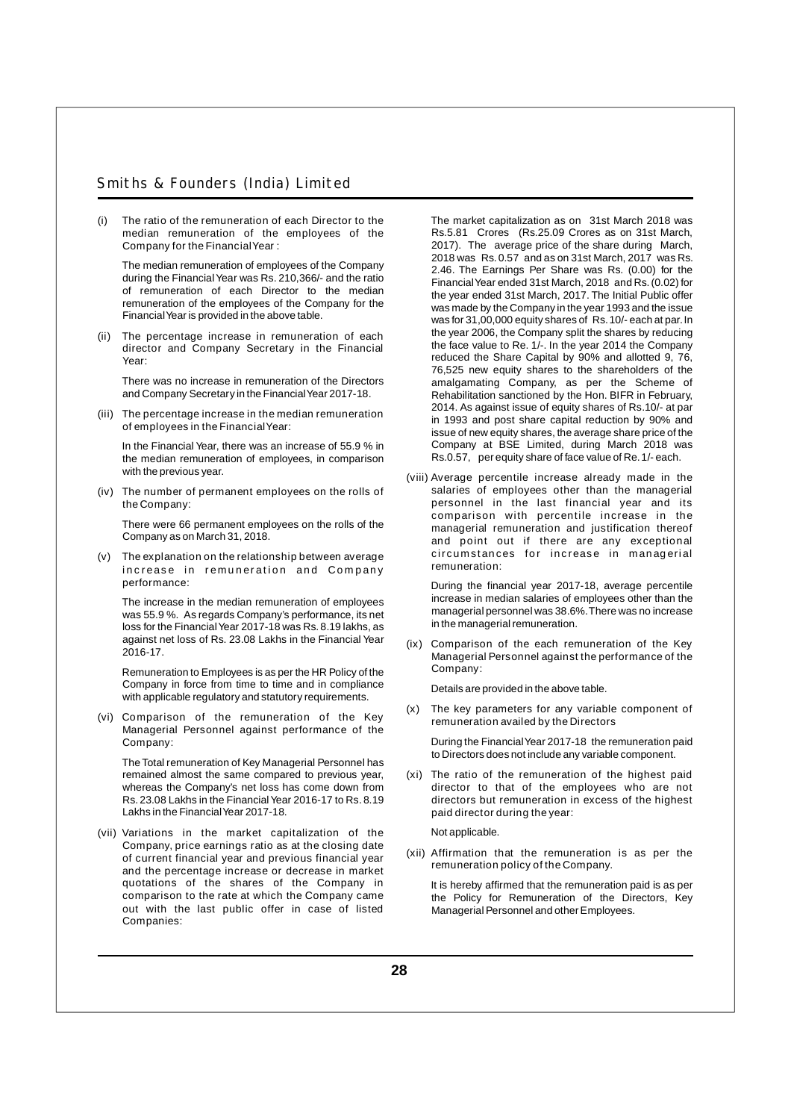**(i) The ratio of the remuneration of each Director to the median remuneration of the employees of the Company for the Financial Year :**

 **The median remuneration of employees of the Company during the Financial Year was Rs. 210,366/- and the ratio of remuneration of each Director to the median remuneration of the employees of the Company for the Financial Year is provided in the above table.** 

**(ii) The percentage increase in remuneration of each director and Company Secretary in the Financial Year:** 

 **There was no increase in remuneration of the Directors and Company Secretary in the Financial Year 2017-18.**

**(iii) The percentage increase in the median remuneration of employees in the Financial Year:** 

 **In the Financial Year, there was an increase of 55.9 % in the median remuneration of employees, in comparison with the previous year.**

**(iv) The number of permanent employees on the rolls of the Company:**

 **There were 66 permanent employees on the rolls of the Company as on March 31, 2018.**

**(v) The explanation on the relationship between average**  increase in remuneration and Company **performance:**

 **The increase in the median remuneration of employees was 55.9 %. As regards Company's performance, its net loss for the Financial Year 2017-18 was Rs. 8.19 lakhs, as against net loss of Rs. 23.08 Lakhs in the Financial Year 2016-17.**

 **Remuneration to Employees is as per the HR Policy of the Company in force from time to time and in compliance with applicable regulatory and statutory requirements.**

**(vi) Comparison of the remuneration of the Key Managerial Personnel against performance of the Company:**

 **The Total remuneration of Key Managerial Personnel has remained almost the same compared to previous year, whereas the Company's net loss has come down from Rs. 23.08 Lakhs in the Financial Year 2016-17 to Rs. 8.19 Lakhs in the Financial Year 2017-18.** 

**(vii) Variations in the market capitalization of the Company, price earnings ratio as at the closing date of current financial year and previous financial year and the percentage increase or decrease in market quotations of the shares of the Company in comparison to the rate at which the Company came out with the last public offer in case of listed Companies:**

 **The market capitalization as on 31st March 2018 was Rs.5.81 Crores (Rs.25.09 Crores as on 31st March, 2017). The average price of the share during March, 2018 was Rs. 0.57 and as on 31st March, 2017 was Rs. 2.46. The Earnings Per Share was Rs. (0.00) for the Financial Year ended 31st March, 2018 and Rs. (0.02) for the year ended 31st March, 2017. The Initial Public offer was made by the Company in the year 1993 and the issue was for 31,00,000 equity shares of Rs. 10/- each at par. In the year 2006, the Company split the shares by reducing the face value to Re. 1/-. In the year 2014 the Company reduced the Share Capital by 90% and allotted 9, 76, 76,525 new equity shares to the shareholders of the amalgamating Company, as per the Scheme of Rehabilitation sanctioned by the Hon. BIFR in February, 2014. As against issue of equity shares of Rs.10/- at par in 1993 and post share capital reduction by 90% and issue of new equity shares, the average share price of the Company at BSE Limited, during March 2018 was Rs.0.57, per equity share of face value of Re. 1/- each.** 

**(viii) Average percentile increase already made in the salaries of employees other than the managerial personnel in the last financial year and its comparison with percentile increase in the managerial remuneration and justification thereof and point out if there are any exceptional**  circumstances for increase in managerial **remuneration:** 

 **During the financial year 2017-18, average percentile increase in median salaries of employees other than the managerial personnel was 38.6%. There was no increase in the managerial remuneration.** 

**(ix) Comparison of the each remuneration of the Key Managerial Personnel against the performance of the Company:**

 **Details are provided in the above table.**

**(x) The key parameters for any variable component of remuneration availed by the Directors**

 **During the Financial Year 2017-18 the remuneration paid to Directors does not include any variable component.**

**(xi) The ratio of the remuneration of the highest paid director to that of the employees who are not directors but remuneration in excess of the highest paid director during the year:**

 **Not applicable.**

**(xii) Affirmation that the remuneration is as per the remuneration policy of the Company.**

 **It is hereby affirmed that the remuneration paid is as per the Policy for Remuneration of the Directors, Key Managerial Personnel and other Employees.**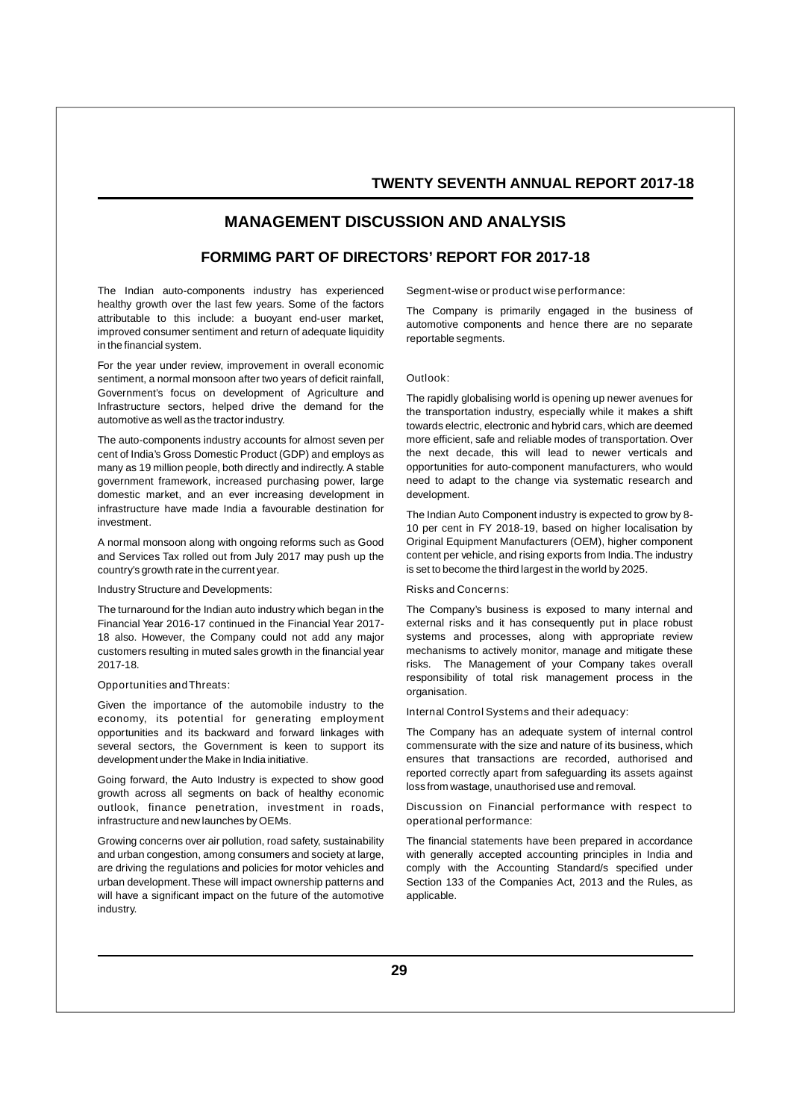## **MANAGEMENT DISCUSSION AND ANALYSIS**

## **FORMIMG PART OF DIRECTORS' REPORT FOR 2017-18**

**The Indian auto-components industry has experienced healthy growth over the last few years. Some of the factors attributable to this include: a buoyant end-user market, improved consumer sentiment and return of adequate liquidity in the financial system.**

**For the year under review, improvement in overall economic sentiment, a normal monsoon after two years of deficit rainfall, Government's focus on development of Agriculture and Infrastructure sectors, helped drive the demand for the automotive as well as the tractor industry.** 

**The auto-components industry accounts for almost seven per cent of India's Gross Domestic Product (GDP) and employs as many as 19 million people, both directly and indirectly. A stable government framework, increased purchasing power, large domestic market, and an ever increasing development in infrastructure have made India a favourable destination for investment.**

**A normal monsoon along with ongoing reforms such as Good and Services Tax rolled out from July 2017 may push up the country's growth rate in the current year.**

#### **Industry Structure and Developments:**

**The turnaround for the Indian auto industry which began in the Financial Year 2016-17 continued in the Financial Year 2017- 18 also. However, the Company could not add any major customers resulting in muted sales growth in the financial year 2017-18.**

#### **Opportunities and Threats:**

**Given the importance of the automobile industry to the economy, its potential for generating employment opportunities and its backward and forward linkages with several sectors, the Government is keen to support its development under the Make in India initiative.**

**Going forward, the Auto Industry is expected to show good growth across all segments on back of healthy economic outlook, finance penetration, investment in roads, infrastructure and new launches by OEMs.** 

**Growing concerns over air pollution, road safety, sustainability and urban congestion, among consumers and society at large, are driving the regulations and policies for motor vehicles and urban development. These will impact ownership patterns and will have a significant impact on the future of the automotive industry.** 

#### **Segment-wise or product wise performance:**

**The Company is primarily engaged in the business of automotive components and hence there are no separate reportable segments.**

#### **Outlook:**

**The rapidly globalising world is opening up newer avenues for the transportation industry, especially while it makes a shift towards electric, electronic and hybrid cars, which are deemed more efficient, safe and reliable modes of transportation. Over the next decade, this will lead to newer verticals and opportunities for auto-component manufacturers, who would need to adapt to the change via systematic research and development.**

**The Indian Auto Component industry is expected to grow by 8- 10 per cent in FY 2018-19, based on higher localisation by Original Equipment Manufacturers (OEM), higher component content per vehicle, and rising exports from India. The industry is set to become the third largest in the world by 2025.** 

#### **Risks and Concerns:**

**The Company's business is exposed to many internal and external risks and it has consequently put in place robust systems and processes, along with appropriate review mechanisms to actively monitor, manage and mitigate these risks. The Management of your Company takes overall responsibility of total risk management process in the organisation.** 

#### **Internal Control Systems and their adequacy:**

**The Company has an adequate system of internal control commensurate with the size and nature of its business, which ensures that transactions are recorded, authorised and reported correctly apart from safeguarding its assets against loss from wastage, unauthorised use and removal.**

#### **Discussion on Financial performance with respect to operational performance:**

**The financial statements have been prepared in accordance with generally accepted accounting principles in India and comply with the Accounting Standard/s specified under Section 133 of the Companies Act, 2013 and the Rules, as applicable.**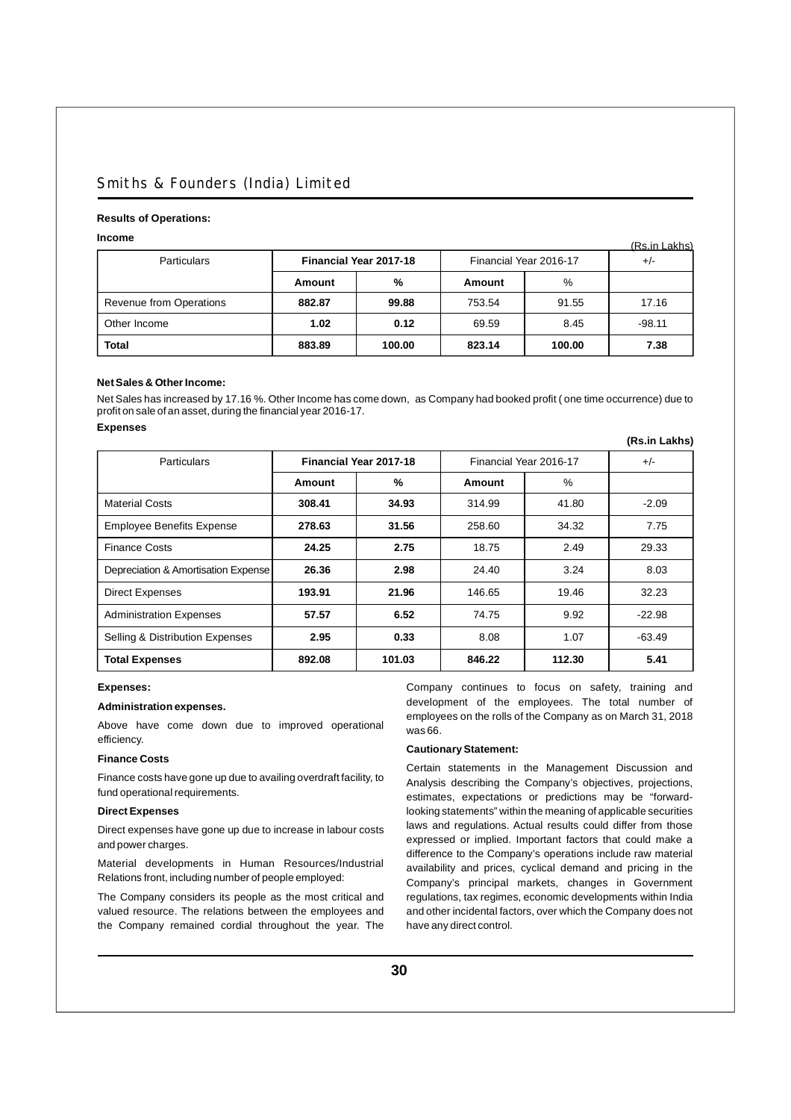#### **Results of Operations:**

#### **Income**

| ıncome<br>(Rs.in Lakhs)        |                               |        |                        |        |          |  |  |  |
|--------------------------------|-------------------------------|--------|------------------------|--------|----------|--|--|--|
| <b>Particulars</b>             | <b>Financial Year 2017-18</b> |        | Financial Year 2016-17 | $+/-$  |          |  |  |  |
|                                | Amount                        | %      | Amount                 | $\%$   |          |  |  |  |
| <b>Revenue from Operations</b> | 882.87                        | 99.88  | 753.54                 | 91.55  | 17.16    |  |  |  |
| Other Income                   | 1.02                          | 0.12   | 69.59                  | 8.45   | $-98.11$ |  |  |  |
| <b>Total</b>                   | 883.89                        | 100.00 | 823.14                 | 100.00 | 7.38     |  |  |  |

#### **Net Sales & Other Income:**

Net Sales has increased by 17.16 %. Other Income has come down, as Company had booked profit ( one time occurrence) due to profit on sale of an asset, during the financial year 2016-17.

#### **Expenses**

| <b>Particulars</b>                  |        | <b>Financial Year 2017-18</b> |        | Financial Year 2016-17 | $+/-$    |
|-------------------------------------|--------|-------------------------------|--------|------------------------|----------|
|                                     | Amount | %                             | Amount | %                      |          |
| <b>Material Costs</b>               | 308.41 | 34.93                         | 314.99 | 41.80                  | $-2.09$  |
| <b>Employee Benefits Expense</b>    | 278.63 | 31.56                         | 258.60 | 34.32                  | 7.75     |
| <b>Finance Costs</b>                | 24.25  | 2.75                          | 18.75  | 2.49                   | 29.33    |
| Depreciation & Amortisation Expense | 26.36  | 2.98                          | 24.40  | 3.24                   | 8.03     |
| <b>Direct Expenses</b>              | 193.91 | 21.96                         | 146.65 | 19.46                  | 32.23    |
| <b>Administration Expenses</b>      | 57.57  | 6.52                          | 74.75  | 9.92                   | $-22.98$ |
| Selling & Distribution Expenses     | 2.95   | 0.33                          | 8.08   | 1.07                   | $-63.49$ |
| <b>Total Expenses</b>               | 892.08 | 101.03                        | 846.22 | 112.30                 | 5.41     |

#### **Expenses:**

#### **Administration expenses.**

Above have come down due to improved operational efficiency.

#### **Finance Costs**

Finance costs have gone up due to availing overdraft facility, to fund operational requirements.

### **Direct Expenses**

Direct expenses have gone up due to increase in labour costs and power charges.

Material developments in Human Resources/Industrial Relations front, including number of people employed:

The Company considers its people as the most critical and valued resource. The relations between the employees and the Company remained cordial throughout the year. The

Company continues to focus on safety, training and development of the employees. The total number of employees on the rolls of the Company as on March 31, 2018 was 66.

**(Rs.in Lakhs)**

#### **Cautionary Statement:**

Certain statements in the Management Discussion and Analysis describing the Company's objectives, projections, estimates, expectations or predictions may be "forwardlooking statements" within the meaning of applicable securities laws and regulations. Actual results could differ from those expressed or implied. Important factors that could make a difference to the Company's operations include raw material availability and prices, cyclical demand and pricing in the Company's principal markets, changes in Government regulations, tax regimes, economic developments within India and other incidental factors, over which the Company does not have any direct control.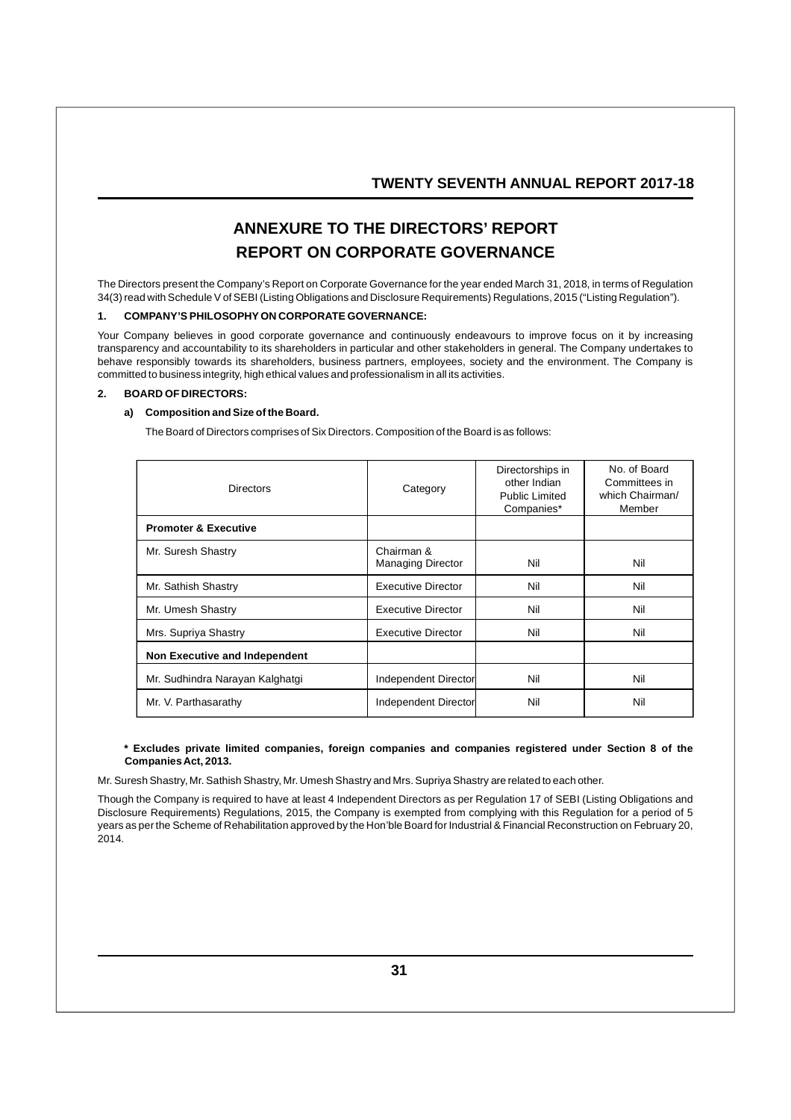## **ANNEXURE TO THE DIRECTORS' REPORT REPORT ON CORPORATE GOVERNANCE**

The Directors present the Company's Report on Corporate Governance for the year ended March 31, 2018, in terms of Regulation 34(3) read with Schedule V of SEBI (Listing Obligations and Disclosure Requirements) Regulations, 2015 ("Listing Regulation").

### **1. COMPANY'S PHILOSOPHY ON CORPORATE GOVERNANCE:**

Your Company believes in good corporate governance and continuously endeavours to improve focus on it by increasing transparency and accountability to its shareholders in particular and other stakeholders in general. The Company undertakes to behave responsibly towards its shareholders, business partners, employees, society and the environment. The Company is committed to business integrity, high ethical values and professionalism in all its activities.

#### **2. BOARD OF DIRECTORS:**

#### **a) Composition and Size of the Board.**

The Board of Directors comprises of Six Directors. Composition of the Board is as follows:

| <b>Directors</b>                | Category                               | Directorships in<br>other Indian<br><b>Public Limited</b><br>Companies* | No. of Board<br>Committees in<br>which Chairman/<br>Member |
|---------------------------------|----------------------------------------|-------------------------------------------------------------------------|------------------------------------------------------------|
| <b>Promoter &amp; Executive</b> |                                        |                                                                         |                                                            |
| Mr. Suresh Shastry              | Chairman &<br><b>Managing Director</b> | Nil                                                                     | Nil                                                        |
| Mr. Sathish Shastry             | <b>Executive Director</b>              | Nil                                                                     | Nil                                                        |
| Mr. Umesh Shastry               | <b>Executive Director</b>              | Nil                                                                     | Nil                                                        |
| Mrs. Supriya Shastry            | <b>Executive Director</b>              | Nil                                                                     | Nil                                                        |
| Non Executive and Independent   |                                        |                                                                         |                                                            |
| Mr. Sudhindra Narayan Kalghatgi | Independent Director                   | Nil                                                                     | Nil                                                        |
| Mr. V. Parthasarathy            | Independent Director                   | Nil                                                                     | Nil                                                        |

**\* Excludes private limited companies, foreign companies and companies registered under Section 8 of the Companies Act, 2013.**

Mr. Suresh Shastry, Mr. Sathish Shastry, Mr. Umesh Shastry and Mrs. Supriya Shastry are related to each other.

Though the Company is required to have at least 4 Independent Directors as per Regulation 17 of SEBI (Listing Obligations and Disclosure Requirements) Regulations, 2015, the Company is exempted from complying with this Regulation for a period of 5 years as per the Scheme of Rehabilitation approved by the Hon'ble Board for Industrial & Financial Reconstruction on February 20, 2014.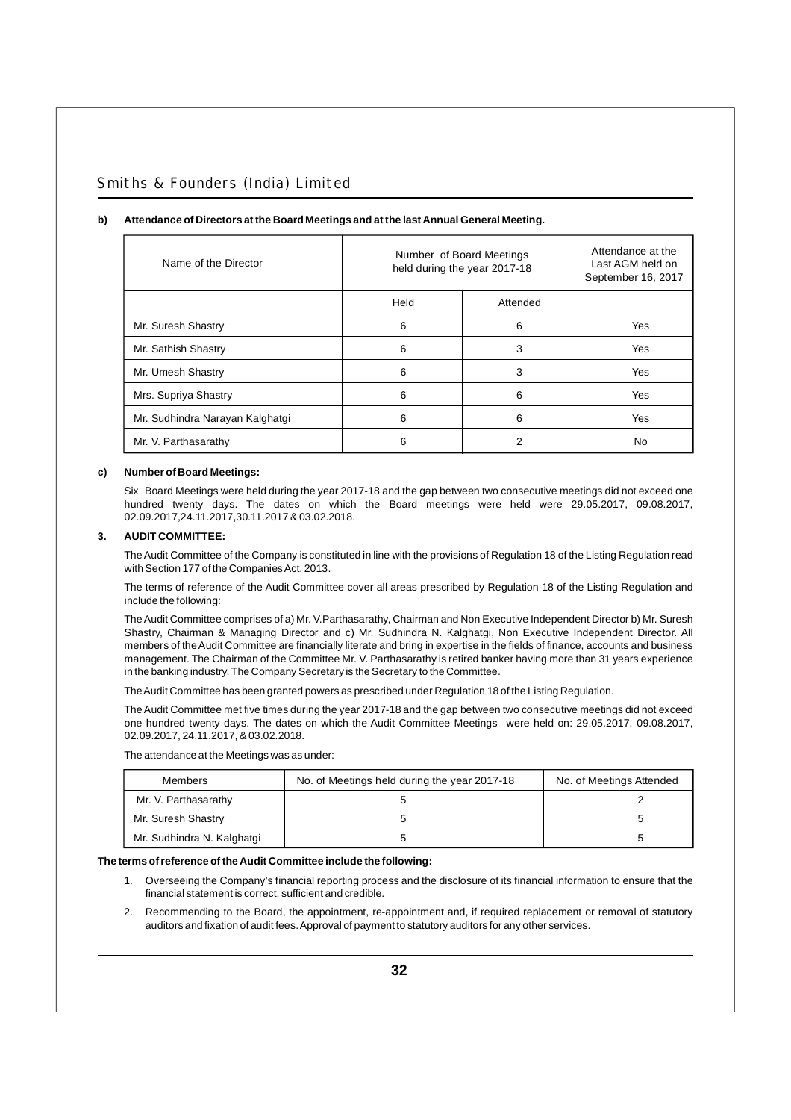| Name of the Director            | Number of Board Meetings<br>held during the year 2017-18 | Attendance at the<br>Last AGM held on<br>September 16, 2017 |     |
|---------------------------------|----------------------------------------------------------|-------------------------------------------------------------|-----|
|                                 | Held                                                     | Attended                                                    |     |
| Mr. Suresh Shastry              | 6                                                        | 6                                                           | Yes |
| Mr. Sathish Shastry             | 6                                                        | 3                                                           | Yes |
| Mr. Umesh Shastry               | 6<br>3                                                   |                                                             | Yes |
| Mrs. Supriya Shastry            | 6                                                        | 6                                                           | Yes |
| Mr. Sudhindra Narayan Kalghatgi | 6<br>6                                                   |                                                             | Yes |
| Mr. V. Parthasarathy            | 6                                                        | 2                                                           | No  |

#### **b) Attendance of Directors at the Board Meetings and at the last Annual General Meeting.**

#### **c) Number of Board Meetings:**

 Six Board Meetings were held during the year 2017-18 and the gap between two consecutive meetings did not exceed one hundred twenty days. The dates on which the Board meetings were held were 29.05.2017, 09.08.2017, 02.09.2017,24.11.2017,30.11.2017 & 03.02.2018.

#### **3. AUDIT COMMITTEE:**

 The Audit Committee of the Company is constituted in line with the provisions of Regulation 18 of the Listing Regulation read with Section 177 of the Companies Act, 2013.

 The terms of reference of the Audit Committee cover all areas prescribed by Regulation 18 of the Listing Regulation and include the following:

 The Audit Committee comprises of a) Mr. V.Parthasarathy, Chairman and Non Executive Independent Director b) Mr. Suresh Shastry, Chairman & Managing Director and c) Mr. Sudhindra N. Kalghatgi, Non Executive Independent Director. All members of the Audit Committee are financially literate and bring in expertise in the fields of finance, accounts and business management. The Chairman of the Committee Mr. V. Parthasarathy is retired banker having more than 31 years experience in the banking industry. The Company Secretary is the Secretary to the Committee.

The Audit Committee has been granted powers as prescribed under Regulation 18 of the Listing Regulation.

 The Audit Committee met five times during the year 2017-18 and the gap between two consecutive meetings did not exceed one hundred twenty days. The dates on which the Audit Committee Meetings were held on: 29.05.2017, 09.08.2017, 02.09.2017, 24.11.2017, & 03.02.2018.

The attendance at the Meetings was as under:

| <b>Members</b>             | No. of Meetings held during the year 2017-18 | No. of Meetings Attended |
|----------------------------|----------------------------------------------|--------------------------|
| Mr. V. Parthasarathy       |                                              |                          |
| Mr. Suresh Shastry         |                                              |                          |
| Mr. Sudhindra N. Kalghatgi |                                              |                          |

#### **The terms of reference of the Audit Committee include the following:**

- 1. Overseeing the Company's financial reporting process and the disclosure of its financial information to ensure that the financial statement is correct, sufficient and credible.
- 2. Recommending to the Board, the appointment, re-appointment and, if required replacement or removal of statutory auditors and fixation of audit fees. Approval of payment to statutory auditors for any other services.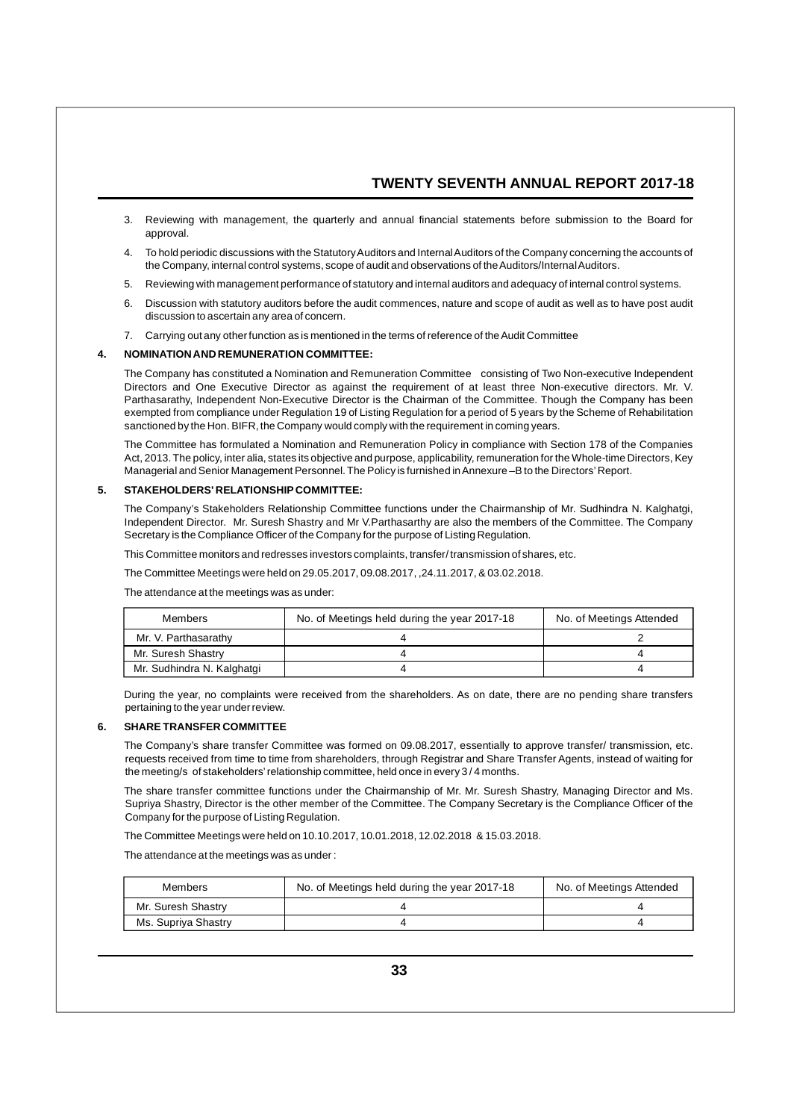- 3. Reviewing with management, the quarterly and annual financial statements before submission to the Board for approval.
- 4. To hold periodic discussions with the Statutory Auditors and Internal Auditors of the Company concerning the accounts of the Company, internal control systems, scope of audit and observations of the Auditors/Internal Auditors.
- 5. Reviewing with management performance of statutory and internal auditors and adequacy of internal control systems.
- 6. Discussion with statutory auditors before the audit commences, nature and scope of audit as well as to have post audit discussion to ascertain any area of concern.
- 7. Carrying out any other function as is mentioned in the terms of reference of the Audit Committee

#### **4. NOMINATION AND REMUNERATION COMMITTEE:**

 The Company has constituted a Nomination and Remuneration Committee consisting of Two Non-executive Independent Directors and One Executive Director as against the requirement of at least three Non-executive directors. Mr. V. Parthasarathy, Independent Non-Executive Director is the Chairman of the Committee. Though the Company has been exempted from compliance under Regulation 19 of Listing Regulation for a period of 5 years by the Scheme of Rehabilitation sanctioned by the Hon. BIFR, the Company would comply with the requirement in coming years.

 The Committee has formulated a Nomination and Remuneration Policy in compliance with Section 178 of the Companies Act, 2013. The policy, inter alia, states its objective and purpose, applicability, remuneration for the Whole-time Directors, Key Managerial and Senior Management Personnel. The Policy is furnished in Annexure –B to the Directors' Report.

#### **5. STAKEHOLDERS' RELATIONSHIP COMMITTEE:**

 The Company's Stakeholders Relationship Committee functions under the Chairmanship of Mr. Sudhindra N. Kalghatgi, Independent Director. Mr. Suresh Shastry and Mr V.Parthasarthy are also the members of the Committee. The Company Secretary is the Compliance Officer of the Company for the purpose of Listing Regulation.

This Committee monitors and redresses investors complaints, transfer/ transmission of shares, etc.

The Committee Meetings were held on 29.05.2017, 09.08.2017, ,24.11.2017, & 03.02.2018.

The attendance at the meetings was as under:

| <b>Members</b>             | No. of Meetings held during the year 2017-18 | No. of Meetings Attended |
|----------------------------|----------------------------------------------|--------------------------|
| Mr. V. Parthasarathy       |                                              |                          |
| Mr. Suresh Shastry         |                                              |                          |
| Mr. Sudhindra N. Kalghatgi |                                              |                          |

 During the year, no complaints were received from the shareholders. As on date, there are no pending share transfers pertaining to the year under review.

#### **6. SHARE TRANSFER COMMITTEE**

 The Company's share transfer Committee was formed on 09.08.2017, essentially to approve transfer/ transmission, etc. requests received from time to time from shareholders, through Registrar and Share Transfer Agents, instead of waiting for the meeting/s of stakeholders' relationship committee, held once in every 3 / 4 months.

 The share transfer committee functions under the Chairmanship of Mr. Mr. Suresh Shastry, Managing Director and Ms. Supriya Shastry, Director is the other member of the Committee. The Company Secretary is the Compliance Officer of the Company for the purpose of Listing Regulation.

The Committee Meetings were held on 10.10.2017, 10.01.2018, 12.02.2018 & 15.03.2018.

The attendance at the meetings was as under :

| <b>Members</b>      | No. of Meetings held during the year 2017-18 | No. of Meetings Attended |
|---------------------|----------------------------------------------|--------------------------|
| Mr. Suresh Shastry  |                                              |                          |
| Ms. Supriya Shastry |                                              |                          |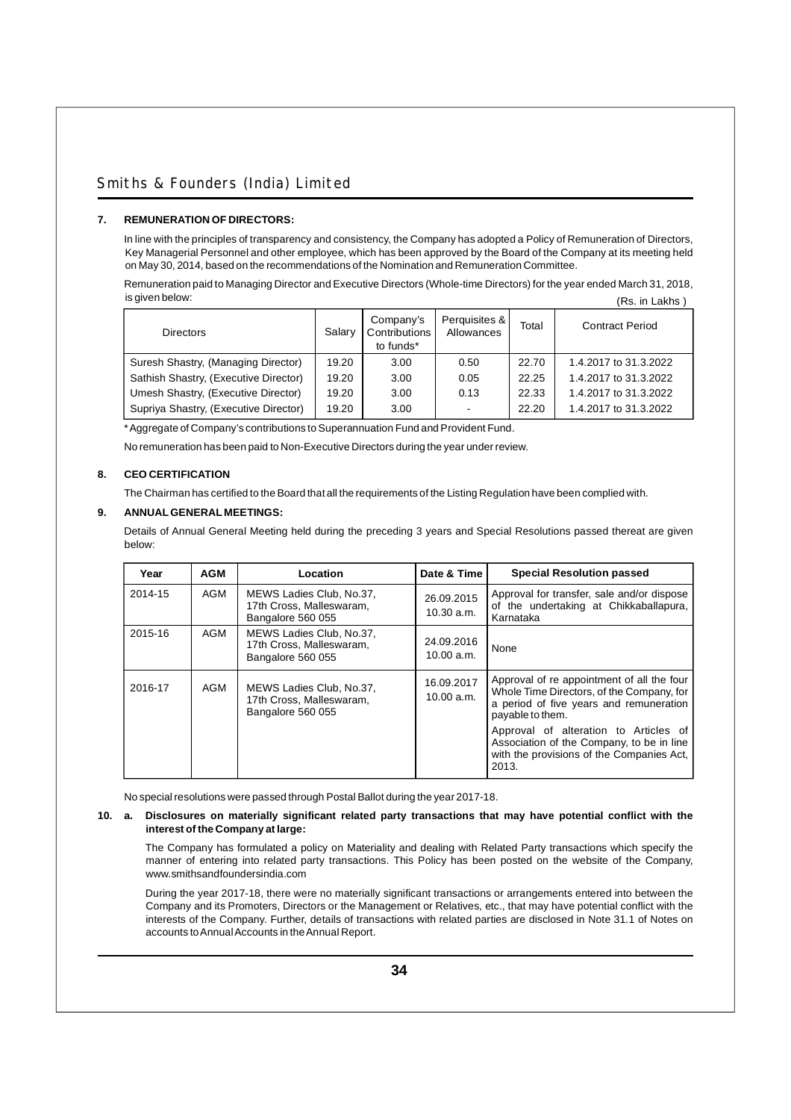#### **7. REMUNERATION OF DIRECTORS:**

 In line with the principles of transparency and consistency, the Company has adopted a Policy of Remuneration of Directors, Key Managerial Personnel and other employee, which has been approved by the Board of the Company at its meeting held on May 30, 2014, based on the recommendations of the Nomination and Remuneration Committee.

 Remuneration paid to Managing Director and Executive Directors (Whole-time Directors) for the year ended March 31, 2018, is given below: (Rs. in Lakhs )

| <b>Directors</b>                      | Salary | Company's<br>Contributions<br>to funds* | Perquisites &<br>Allowances | Total | <b>Contract Period</b> |
|---------------------------------------|--------|-----------------------------------------|-----------------------------|-------|------------------------|
| Suresh Shastry, (Managing Director)   | 19.20  | 3.00                                    | 0.50                        | 22.70 | 1.4.2017 to 31.3.2022  |
| Sathish Shastry, (Executive Director) | 19.20  | 3.00                                    | 0.05                        | 22.25 | 1.4.2017 to 31.3.2022  |
| Umesh Shastry, (Executive Director)   | 19.20  | 3.00                                    | 0.13                        | 22.33 | 1.4.2017 to 31.3.2022  |
| Supriya Shastry, (Executive Director) | 19.20  | 3.00                                    | $\overline{\phantom{a}}$    | 22.20 | 1.4.2017 to 31.3.2022  |

\* Aggregate of Company's contributions to Superannuation Fund and Provident Fund.

No remuneration has been paid to Non-Executive Directors during the year under review.

#### **8. CEO CERTIFICATION**

The Chairman has certified to the Board that all the requirements of the Listing Regulation have been complied with.

#### **9. ANNUAL GENERAL MEETINGS:**

 Details of Annual General Meeting held during the preceding 3 years and Special Resolutions passed thereat are given below:

| Year    | <b>AGM</b> | Location                                                                  | Date & Time              | <b>Special Resolution passed</b>                                                                                                                       |
|---------|------------|---------------------------------------------------------------------------|--------------------------|--------------------------------------------------------------------------------------------------------------------------------------------------------|
| 2014-15 | AGM        | MEWS Ladies Club, No.37,<br>17th Cross, Malleswaram,<br>Bangalore 560 055 | 26.09.2015<br>10.30 a.m. | Approval for transfer, sale and/or dispose<br>of the undertaking at Chikkaballapura,<br>Karnataka                                                      |
| 2015-16 | AGM        | MEWS Ladies Club, No.37,<br>17th Cross, Malleswaram.<br>Bangalore 560 055 | 24.09.2016<br>10.00 a.m. | None                                                                                                                                                   |
| 2016-17 | AGM        | MEWS Ladies Club, No.37,<br>17th Cross, Malleswaram,<br>Bangalore 560 055 | 16.09.2017<br>10.00 a.m. | Approval of re appointment of all the four<br>Whole Time Directors, of the Company, for<br>a period of five years and remuneration<br>payable to them. |
|         |            |                                                                           |                          | Approval of alteration to Articles of<br>Association of the Company, to be in line<br>with the provisions of the Companies Act,<br>2013.               |

No special resolutions were passed through Postal Ballot during the year 2017-18.

#### **10. a. Disclosures on materially significant related party transactions that may have potential conflict with the interest of the Company at large:**

 The Company has formulated a policy on Materiality and dealing with Related Party transactions which specify the manner of entering into related party transactions. This Policy has been posted on the website of the Company, www.smithsandfoundersindia.com

 During the year 2017-18, there were no materially significant transactions or arrangements entered into between the Company and its Promoters, Directors or the Management or Relatives, etc., that may have potential conflict with the interests of the Company. Further, details of transactions with related parties are disclosed in Note 31.1 of Notes on accounts to Annual Accounts in the Annual Report.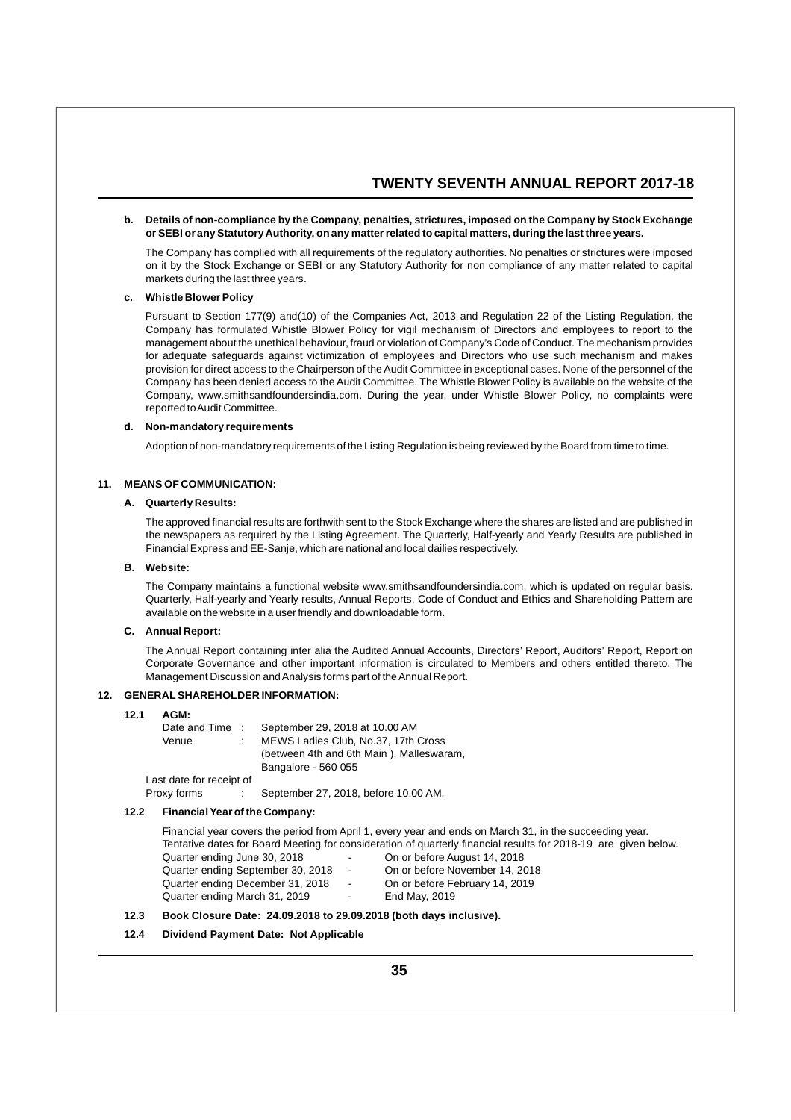**b. Details of non-compliance by the Company, penalties, strictures, imposed on the Company by Stock Exchange or SEBI or any Statutory Authority, on any matter related to capital matters, during the last three years.**

The Company has complied with all requirements of the regulatory authorities. No penalties or strictures were imposed on it by the Stock Exchange or SEBI or any Statutory Authority for non compliance of any matter related to capital markets during the last three years.

#### **c. Whistle Blower Policy**

 Pursuant to Section 177(9) and(10) of the Companies Act, 2013 and Regulation 22 of the Listing Regulation, the Company has formulated Whistle Blower Policy for vigil mechanism of Directors and employees to report to the management about the unethical behaviour, fraud or violation of Company's Code of Conduct. The mechanism provides for adequate safeguards against victimization of employees and Directors who use such mechanism and makes provision for direct access to the Chairperson of the Audit Committee in exceptional cases. None of the personnel of the Company has been denied access to the Audit Committee. The Whistle Blower Policy is available on the website of the Company, www.smithsandfoundersindia.com. During the year, under Whistle Blower Policy, no complaints were reported to Audit Committee.

#### **d. Non-mandatory requirements**

Adoption of non-mandatory requirements of the Listing Regulation is being reviewed by the Board from time to time.

#### **11. MEANS OF COMMUNICATION:**

#### **A. Quarterly Results:**

 The approved financial results are forthwith sent to the Stock Exchange where the shares are listed and are published in the newspapers as required by the Listing Agreement. The Quarterly, Half-yearly and Yearly Results are published in Financial Express and EE-Sanje, which are national and local dailies respectively.

#### **B. Website:**

 The Company maintains a functional website www.smithsandfoundersindia.com, which is updated on regular basis. Quarterly, Half-yearly and Yearly results, Annual Reports, Code of Conduct and Ethics and Shareholding Pattern are available on the website in a user friendly and downloadable form.

#### **C. Annual Report:**

 The Annual Report containing inter alia the Audited Annual Accounts, Directors' Report, Auditors' Report, Report on Corporate Governance and other important information is circulated to Members and others entitled thereto. The Management Discussion and Analysis forms part of the Annual Report.

#### **12. GENERAL SHAREHOLDER INFORMATION:**

#### **12.1 AGM:**

Date and Time : September 29, 2018 at 10.00 AM Venue : MEWS Ladies Club, No.37, 17th Cross (between 4th and 6th Main ), Malleswaram, Bangalore - 560 055 Last date for receipt of Proxy forms : September 27, 2018, before 10.00 AM.

#### **12.2 Financial Year of the Company:**

Financial year covers the period from April 1, every year and ends on March 31, in the succeeding year.

Tentative dates for Board Meeting for consideration of quarterly financial results for 2018-19 are given below.

- Quarter ending June 30, 2018 On or before August 14, 2018 Quarter ending September 30, 2018 - On or before November 14, 2018
	-
	-
- Quarter ending March 31, 2019
- Quarter ending December 31, 2018 On or before February 14, 2019<br>Quarter ending March 31, 2019 End May, 2019
	-

## **12.3 Book Closure Date: 24.09.2018 to 29.09.2018 (both days inclusive).**

 **12.4 Dividend Payment Date: Not Applicable**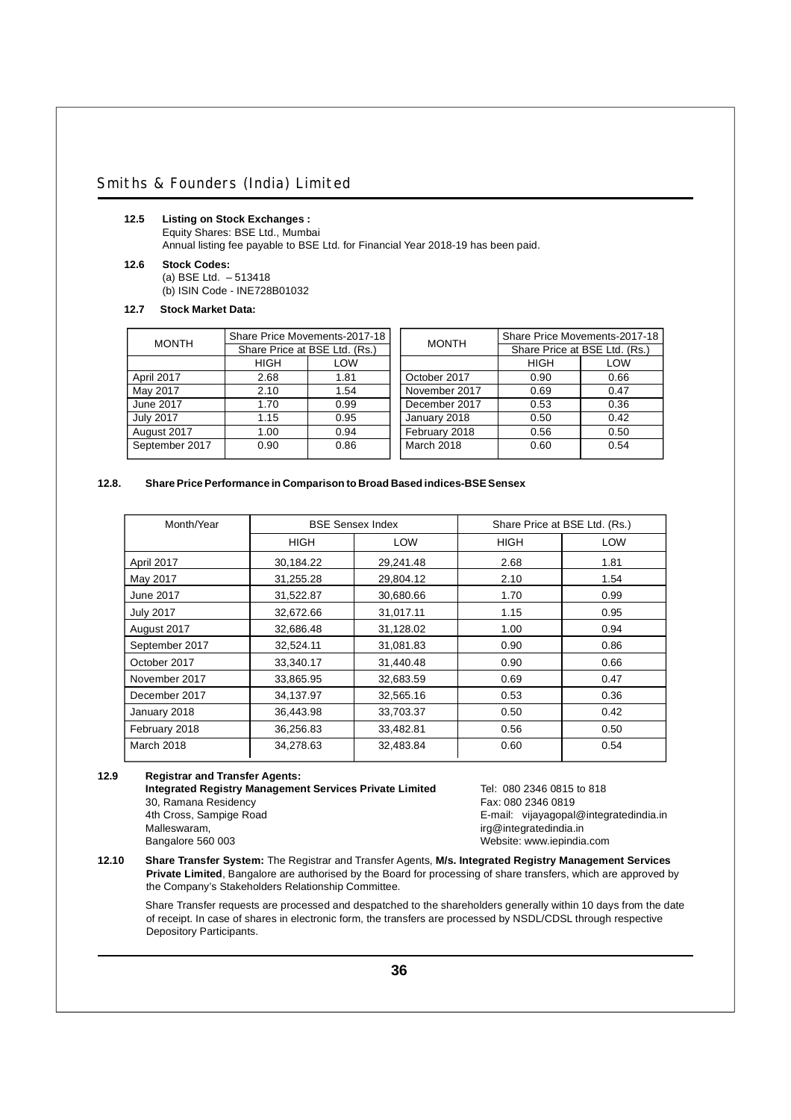#### **12.5 Listing on Stock Exchanges :** Equity Shares: BSE Ltd., Mumbai Annual listing fee payable to BSE Ltd. for Financial Year 2018-19 has been paid.

#### **12.6 Stock Codes:**  (a) BSE Ltd. – 513418 (b) ISIN Code - INE728B01032

#### **12.7 Stock Market Data:**

| <b>MONTH</b>     | Share Price Movements-2017-18 |            |               | Share Price Movements-2017-18 |                               |
|------------------|-------------------------------|------------|---------------|-------------------------------|-------------------------------|
|                  | Share Price at BSE Ltd. (Rs.) |            | <b>MONTH</b>  |                               | Share Price at BSE Ltd. (Rs.) |
|                  | <b>HIGH</b>                   | <b>LOW</b> |               | <b>HIGH</b>                   | <b>LOW</b>                    |
| April 2017       | 2.68                          | 1.81       | October 2017  | 0.90                          | 0.66                          |
| May 2017         | 2.10                          | 1.54       | November 2017 | 0.69                          | 0.47                          |
| June 2017        | 1.70                          | 0.99       | December 2017 | 0.53                          | 0.36                          |
| <b>July 2017</b> | 1.15                          | 0.95       | January 2018  | 0.50                          | 0.42                          |
| August 2017      | 1.00                          | 0.94       | February 2018 | 0.56                          | 0.50                          |
| September 2017   | 0.90                          | 0.86       | March 2018    | 0.60                          | 0.54                          |

#### **12.8. Share Price Performance in Comparison to Broad Based indices-BSE Sensex**

| Month/Year        | <b>BSE Sensex Index</b> |            | Share Price at BSE Ltd. (Rs.) |            |
|-------------------|-------------------------|------------|-------------------------------|------------|
|                   | <b>HIGH</b>             | <b>LOW</b> | <b>HIGH</b>                   | <b>LOW</b> |
| April 2017        | 30,184.22               | 29,241.48  | 2.68                          | 1.81       |
| May 2017          | 31,255.28               | 29,804.12  | 2.10                          | 1.54       |
| June 2017         | 31,522.87               | 30,680.66  | 1.70                          | 0.99       |
| <b>July 2017</b>  | 32,672.66               | 31,017.11  | 1.15                          | 0.95       |
| August 2017       | 32,686.48               | 31,128.02  | 1.00                          | 0.94       |
| September 2017    | 32,524.11               | 31,081.83  | 0.90                          | 0.86       |
| October 2017      | 33,340.17               | 31,440.48  | 0.90                          | 0.66       |
| November 2017     | 33,865.95               | 32,683.59  | 0.69                          | 0.47       |
| December 2017     | 34,137.97               | 32,565.16  | 0.53                          | 0.36       |
| January 2018      | 36,443.98               | 33,703.37  | 0.50                          | 0.42       |
| February 2018     | 36,256.83               | 33,482.81  | 0.56                          | 0.50       |
| <b>March 2018</b> | 34,278.63               | 32,483.84  | 0.60                          | 0.54       |

## **12.9 Registrar and Transfer Agents:**

 **Integrated Registry Management Services Private Limited** Tel: 080 2346 0815 to 818 30, Ramana Residency Fax: 080 2346 0819<br>4th Cross, Sampige Road Fax: 080 2346 0819<br>F-mail: vijayagopal Malleswaram, ing@integratedindia.in<br>
Malleswaram, ing@integratedindia.in<br>
Mebsite: www.iepindia

E-mail: vijayagopal@integratedindia.in Website: www.iepindia.com

12.10 Share Transfer System: The Registrar and Transfer Agents, M/s. Integrated Registry Management Services **Private Limited**, Bangalore are authorised by the Board for processing of share transfers, which are approved by the Company's Stakeholders Relationship Committee.

 Share Transfer requests are processed and despatched to the shareholders generally within 10 days from the date of receipt. In case of shares in electronic form, the transfers are processed by NSDL/CDSL through respective Depository Participants.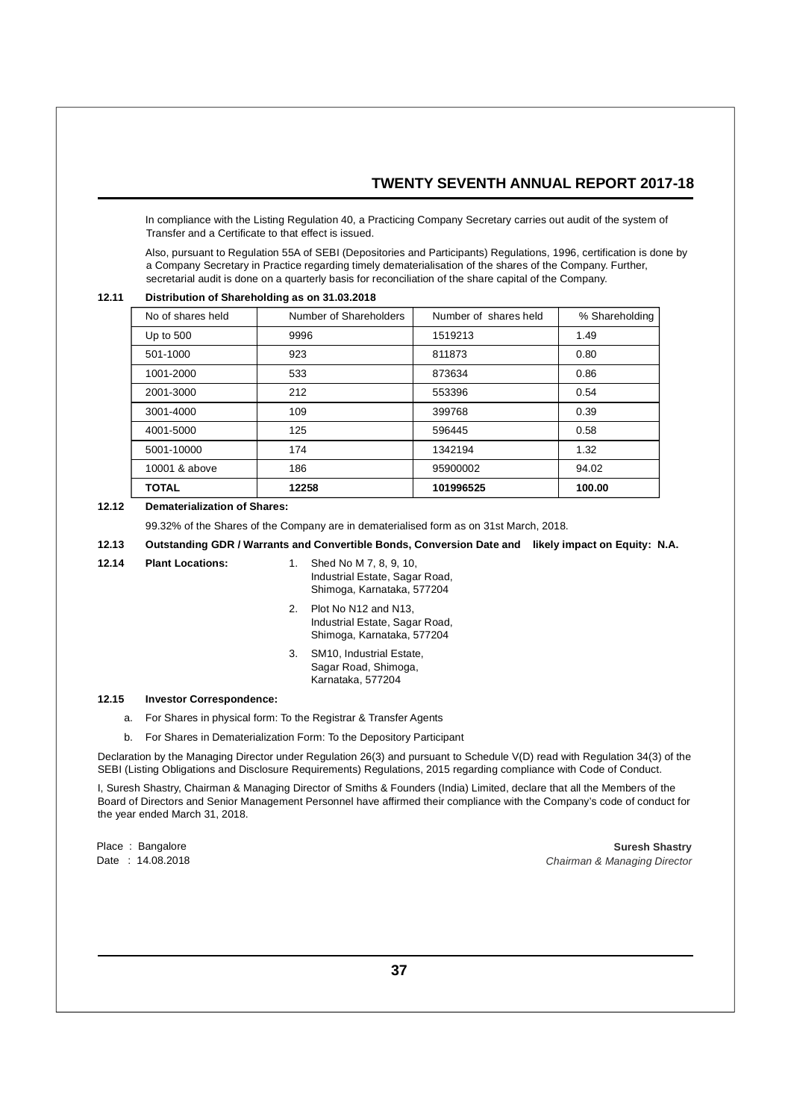In compliance with the Listing Regulation 40, a Practicing Company Secretary carries out audit of the system of Transfer and a Certificate to that effect is issued.

 Also, pursuant to Regulation 55A of SEBI (Depositories and Participants) Regulations, 1996, certification is done by a Company Secretary in Practice regarding timely dematerialisation of the shares of the Company. Further, secretarial audit is done on a quarterly basis for reconciliation of the share capital of the Company.

**12.11 Distribution of Shareholding as on 31.03.2018**

| No of shares held | Number of Shareholders | Number of shares held | % Shareholding |
|-------------------|------------------------|-----------------------|----------------|
| Up to $500$       | 9996                   | 1519213               | 1.49           |
| 501-1000          | 923                    | 811873                | 0.80           |
| 1001-2000         | 533                    | 873634                | 0.86           |
| 2001-3000         | 212                    | 553396                | 0.54           |
| 3001-4000         | 109                    | 399768                | 0.39           |
| 4001-5000         | 125                    | 596445                | 0.58           |
| 5001-10000        | 174                    | 1342194               | 1.32           |
| 10001 & above     | 186                    | 95900002              | 94.02          |
| <b>TOTAL</b>      | 12258                  | 101996525             | 100.00         |

#### **12.12 Dematerialization of Shares:**

99.32% of the Shares of the Company are in dematerialised form as on 31st March, 2018.

#### **12.13 Outstanding GDR / Warrants and Convertible Bonds, Conversion Date and likely impact on Equity: N.A.**

| 12.14 | <b>Plant Locations:</b> |  |
|-------|-------------------------|--|

- 1. Shed No M 7, 8, 9, 10, Industrial Estate, Sagar Road, Shimoga, Karnataka, 577204
- 2. Plot No N12 and N13, Industrial Estate, Sagar Road, Shimoga, Karnataka, 577204
- 3. SM10, Industrial Estate, Sagar Road, Shimoga, Karnataka, 577204

#### **12.15 Investor Correspondence:**

- a. For Shares in physical form: To the Registrar & Transfer Agents
- b. For Shares in Dematerialization Form: To the Depository Participant

Declaration by the Managing Director under Regulation 26(3) and pursuant to Schedule V(D) read with Regulation 34(3) of the SEBI (Listing Obligations and Disclosure Requirements) Regulations, 2015 regarding compliance with Code of Conduct.

I, Suresh Shastry, Chairman & Managing Director of Smiths & Founders (India) Limited, declare that all the Members of the Board of Directors and Senior Management Personnel have affirmed their compliance with the Company's code of conduct for the year ended March 31, 2018.

Place : Bangalore Date : 14.08.2018

**Suresh Shastry** *Chairman & Managing Director*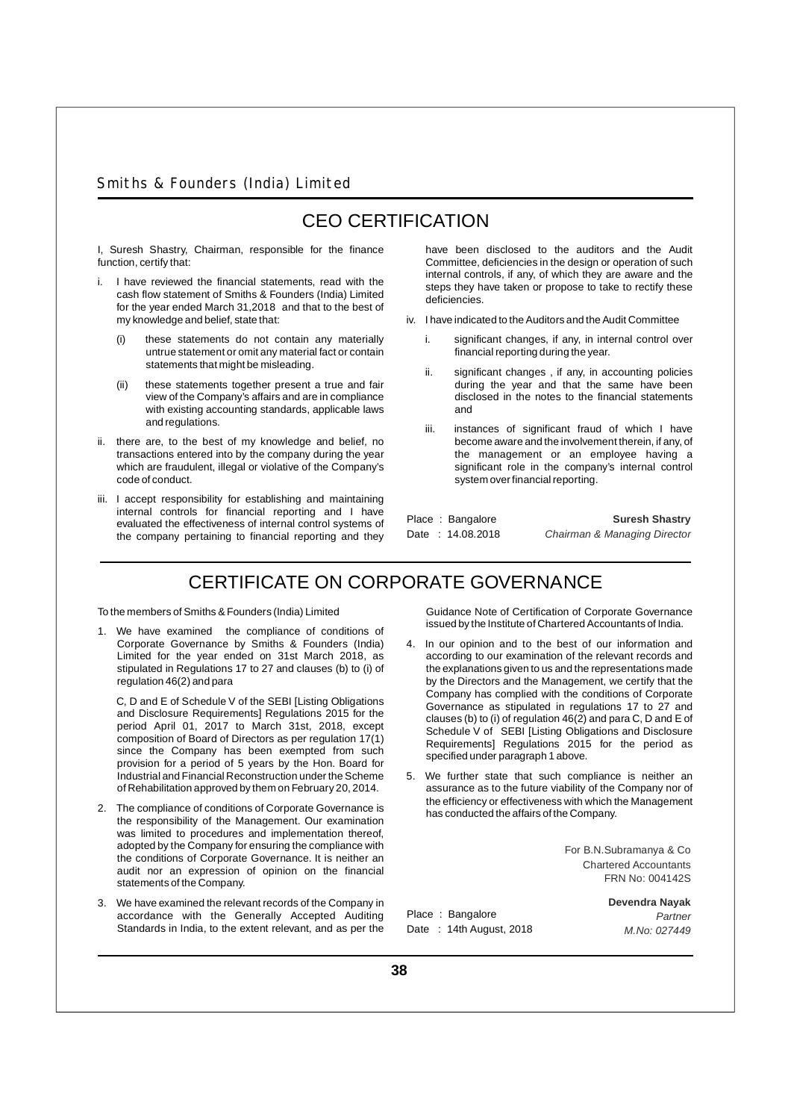## **CEO CERTIFICATION**

**I, Suresh Shastry, Chairman, responsible for the finance function, certify that:**

- **i. I have reviewed the financial statements, read with the cash flow statement of Smiths & Founders (India) Limited for the year ended March 31,2018 and that to the best of my knowledge and belief, state that:**
	- **(i) these statements do not contain any materially untrue statement or omit any material fact or contain statements that might be misleading.**
	- **(ii) these statements together present a true and fair view of the Company's affairs and are in compliance with existing accounting standards, applicable laws and regulations.**
- **ii. there are, to the best of my knowledge and belief, no transactions entered into by the company during the year which are fraudulent, illegal or violative of the Company's code of conduct.**
- **iii. I accept responsibility for establishing and maintaining internal controls for financial reporting and I have evaluated the effectiveness of internal control systems of the company pertaining to financial reporting and they**

**have been disclosed to the auditors and the Audit Committee, deficiencies in the design or operation of such internal controls, if any, of which they are aware and the steps they have taken or propose to take to rectify these deficiencies.**

- **iv. I have indicated to the Auditors and the Audit Committee**
	- **i. significant changes, if any, in internal control over financial reporting during the year.**
	- **ii. significant changes , if any, in accounting policies during the year and that the same have been disclosed in the notes to the financial statements and**
	- **iii. instances of significant fraud of which I have become aware and the involvement therein, if any, of the management or an employee having a significant role in the company's internal control system over financial reporting.**

Place : Bangalore Date : 14.08.2018

**Suresh Shastry** *Chairman & Managing Director*

## **CERTIFICATE ON CORPORATE GOVERNANCE**

**To the members of Smiths & Founders (India) Limited**

**1. We have examined the compliance of conditions of Corporate Governance by Smiths & Founders (India) Limited for the year ended on 31st March 2018, as stipulated in Regulations 17 to 27 and clauses (b) to (i) of regulation 46(2) and para**

 **C, D and E of Schedule V of the SEBI [Listing Obligations and Disclosure Requirements] Regulations 2015 for the period April 01, 2017 to March 31st, 2018, except composition of Board of Directors as per regulation 17(1) since the Company has been exempted from such provision for a period of 5 years by the Hon. Board for Industrial and Financial Reconstruction under the Scheme of Rehabilitation approved by them on February 20, 2014.**

- **2. The compliance of conditions of Corporate Governance is the responsibility of the Management. Our examination was limited to procedures and implementation thereof, adopted by the Company for ensuring the compliance with the conditions of Corporate Governance. It is neither an audit nor an expression of opinion on the financial statements of the Company.**
- **3. We have examined the relevant records of the Company in accordance with the Generally Accepted Auditing Standards in India, to the extent relevant, and as per the**

**Guidance Note of Certification of Corporate Governance issued by the Institute of Chartered Accountants of India.**

- **4. In our opinion and to the best of our information and according to our examination of the relevant records and the explanations given to us and the representations made by the Directors and the Management, we certify that the Company has complied with the conditions of Corporate Governance as stipulated in regulations 17 to 27 and clauses (b) to (i) of regulation 46(2) and para C, D and E of Schedule V of SEBI [Listing Obligations and Disclosure Requirements] Regulations 2015 for the period as specified under paragraph 1 above.**
- **5. We further state that such compliance is neither an assurance as to the future viability of the Company nor of the efficiency or effectiveness with which the Management has conducted the affairs of the Company.**

For B.N.Subramanya & Co Chartered Accountants FRN No: 004142S

Place : Bangalore Date: 14th August, 2018 **Devendra Nayak** *Partner M.No: 027449*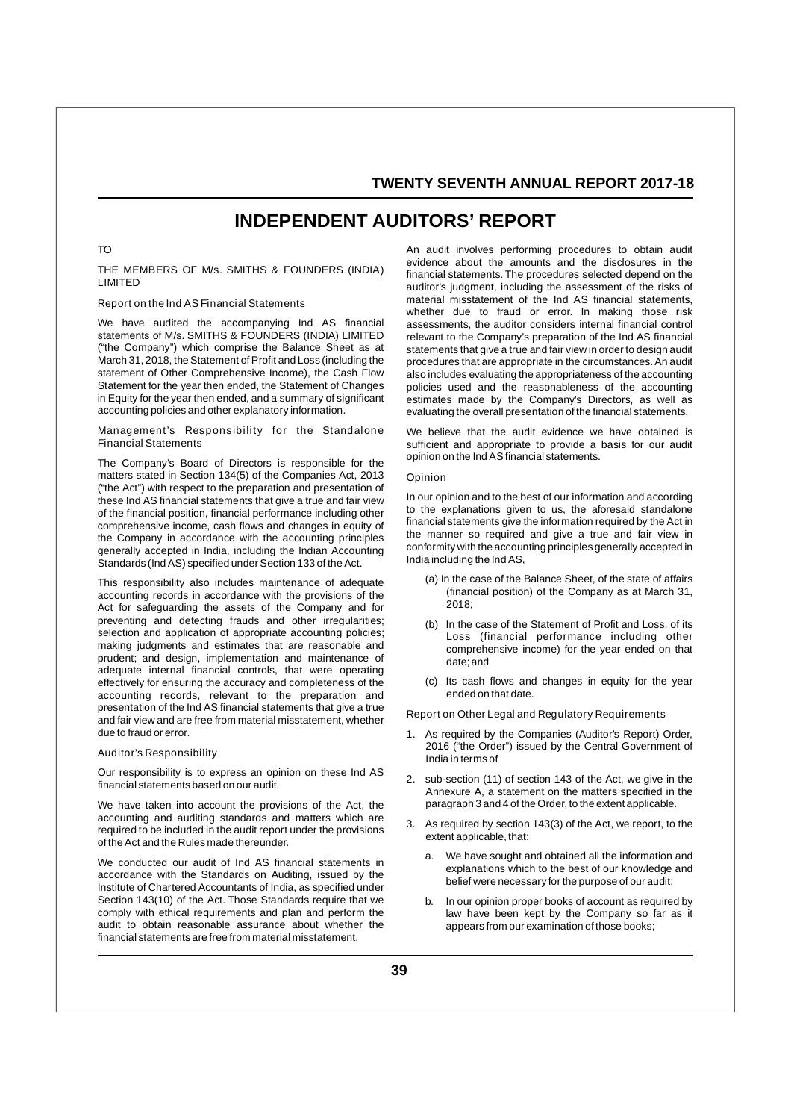## **INDEPENDENT AUDITORS' REPORT**

#### **TO**

#### **THE MEMBERS OF M/s. SMITHS & FOUNDERS (INDIA) LIMITED**

#### **Report on the Ind AS Financial Statements**

**We have audited the accompanying Ind AS financial statements of M/s. SMITHS & FOUNDERS (INDIA) LIMITED ("the Company") which comprise the Balance Sheet as at March 31, 2018, the Statement of Profit and Loss (including the statement of Other Comprehensive Income), the Cash Flow Statement for the year then ended, the Statement of Changes in Equity for the year then ended, and a summary of significant accounting policies and other explanatory information.**

#### **Management's Responsibility for the Standalone Financial Statements**

**The Company's Board of Directors is responsible for the matters stated in Section 134(5) of the Companies Act, 2013 ("the Act") with respect to the preparation and presentation of these Ind AS financial statements that give a true and fair view of the financial position, financial performance including other comprehensive income, cash flows and changes in equity of the Company in accordance with the accounting principles generally accepted in India, including the Indian Accounting Standards (Ind AS) specified under Section 133 of the Act.**

**This responsibility also includes maintenance of adequate accounting records in accordance with the provisions of the Act for safeguarding the assets of the Company and for preventing and detecting frauds and other irregularities; selection and application of appropriate accounting policies; making judgments and estimates that are reasonable and prudent; and design, implementation and maintenance of adequate internal financial controls, that were operating effectively for ensuring the accuracy and completeness of the accounting records, relevant to the preparation and presentation of the Ind AS financial statements that give a true and fair view and are free from material misstatement, whether due to fraud or error.**

#### **Auditor's Responsibility**

**Our responsibility is to express an opinion on these Ind AS financial statements based on our audit.**

**We have taken into account the provisions of the Act, the accounting and auditing standards and matters which are required to be included in the audit report under the provisions of the Act and the Rules made thereunder.**

**We conducted our audit of Ind AS financial statements in accordance with the Standards on Auditing, issued by the Institute of Chartered Accountants of India, as specified under Section 143(10) of the Act. Those Standards require that we comply with ethical requirements and plan and perform the audit to obtain reasonable assurance about whether the financial statements are free from material misstatement.**

**An audit involves performing procedures to obtain audit evidence about the amounts and the disclosures in the financial statements. The procedures selected depend on the auditor's judgment, including the assessment of the risks of material misstatement of the Ind AS financial statements, whether due to fraud or error. In making those risk assessments, the auditor considers internal financial control relevant to the Company's preparation of the Ind AS financial statements that give a true and fair view in order to design audit procedures that are appropriate in the circumstances. An audit also includes evaluating the appropriateness of the accounting policies used and the reasonableness of the accounting estimates made by the Company's Directors, as well as evaluating the overall presentation of the financial statements.**

**We believe that the audit evidence we have obtained is sufficient and appropriate to provide a basis for our audit opinion on the Ind AS financial statements.**

#### **Opinion**

**In our opinion and to the best of our information and according to the explanations given to us, the aforesaid standalone financial statements give the information required by the Act in the manner so required and give a true and fair view in conformity with the accounting principles generally accepted in India including the Ind AS,**

- **(a) In the case of the Balance Sheet, of the state of affairs (financial position) of the Company as at March 31, 2018;**
- **(b) In the case of the Statement of Profit and Loss, of its Loss (financial performance including other comprehensive income) for the year ended on that date; and**
- **(c) Its cash flows and changes in equity for the year ended on that date.**

#### **Report on Other Legal and Regulatory Requirements**

- **1. As required by the Companies (Auditor's Report) Order, 2016 ("the Order") issued by the Central Government of India in terms of**
- **2. sub-section (11) of section 143 of the Act, we give in the Annexure A, a statement on the matters specified in the paragraph 3 and 4 of the Order, to the extent applicable.**
- **3. As required by section 143(3) of the Act, we report, to the extent applicable, that:**
	- **a. We have sought and obtained all the information and explanations which to the best of our knowledge and belief were necessary for the purpose of our audit;**
	- **b. In our opinion proper books of account as required by law have been kept by the Company so far as it appears from our examination of those books;**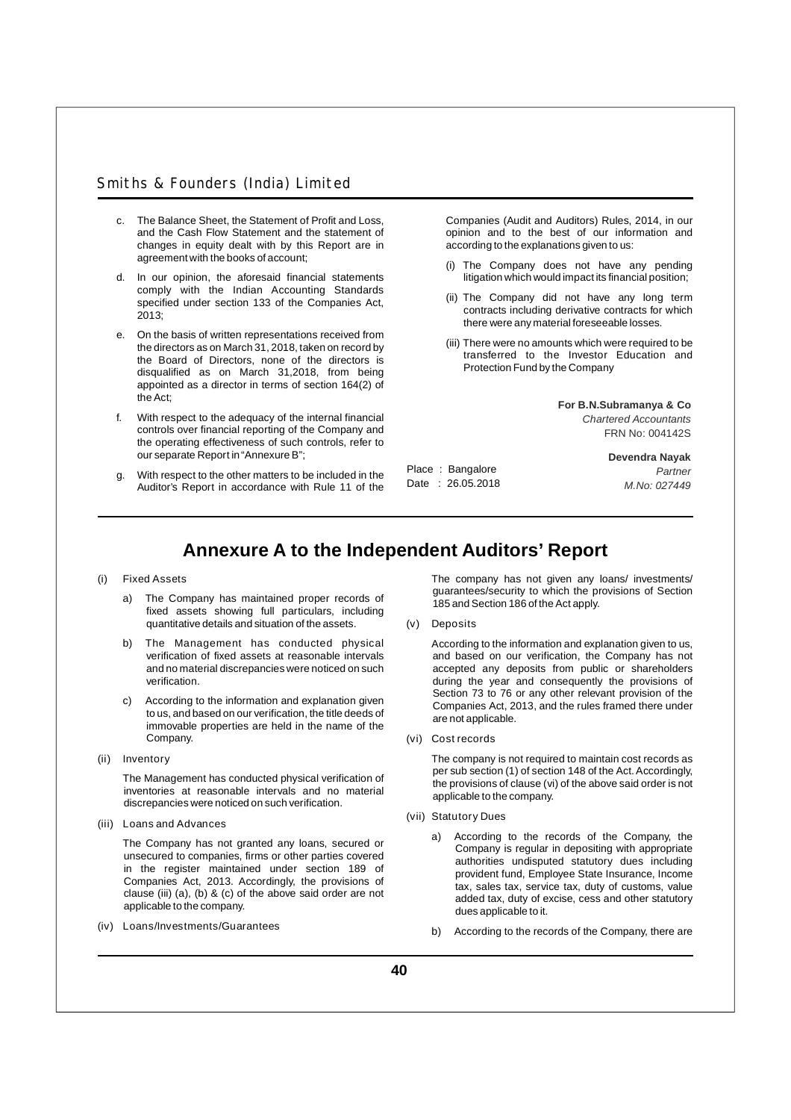- **c. The Balance Sheet, the Statement of Profit and Loss, and the Cash Flow Statement and the statement of changes in equity dealt with by this Report are in agreement with the books of account;**
- **d. In our opinion, the aforesaid financial statements comply with the Indian Accounting Standards specified under section 133 of the Companies Act, 2013;**
- **e. On the basis of written representations received from the directors as on March 31, 2018, taken on record by the Board of Directors, none of the directors is disqualified as on March 31,2018, from being appointed as a director in terms of section 164(2) of the Act;**
- **f. With respect to the adequacy of the internal financial controls over financial reporting of the Company and the operating effectiveness of such controls, refer to our separate Report in "Annexure B";**
- With respect to the other matters to be included in the **Auditor's Report in accordance with Rule 11 of the**

**Companies (Audit and Auditors) Rules, 2014, in our opinion and to the best of our information and according to the explanations given to us:**

- **(i) The Company does not have any pending litigation which would impact its financial position;**
- **(ii) The Company did not have any long term contracts including derivative contracts for which there were any material foreseeable losses.**
- **(iii) There were no amounts which were required to be transferred to the Investor Education and Protection Fund by the Company**

**For B.N.Subramanya & Co** *Chartered Accountants* FRN No: 004142S

Place : Bangalore Date : 26.05.2018 **Devendra Nayak** *Partner M.No: 027449*

## **Annexure A to the Independent Auditors' Report**

#### **(i) Fixed Assets**

- **a) The Company has maintained proper records of fixed assets showing full particulars, including quantitative details and situation of the assets.**
- **b) The Management has conducted physical verification of fixed assets at reasonable intervals and no material discrepancies were noticed on such verification.**
- **c) According to the information and explanation given to us, and based on our verification, the title deeds of immovable properties are held in the name of the Company.**

#### **(ii) Inventory**

 **The Management has conducted physical verification of inventories at reasonable intervals and no material discrepancies were noticed on such verification.**

#### **(iii) Loans and Advances**

 **The Company has not granted any loans, secured or unsecured to companies, firms or other parties covered in the register maintained under section 189 of Companies Act, 2013. Accordingly, the provisions of clause (iii) (a), (b) & (c) of the above said order are not applicable to the company.**

#### **(iv) Loans/Investments/Guarantees**

 **The company has not given any loans/ investments/ guarantees/security to which the provisions of Section 185 and Section 186 of the Act apply.**

#### **(v) Deposits**

 **According to the information and explanation given to us, and based on our verification, the Company has not accepted any deposits from public or shareholders during the year and consequently the provisions of Section 73 to 76 or any other relevant provision of the Companies Act, 2013, and the rules framed there under are not applicable.**

#### **(vi) Cost records**

 **The company is not required to maintain cost records as per sub section (1) of section 148 of the Act. Accordingly, the provisions of clause (vi) of the above said order is not applicable to the company.**

#### **(vii) Statutory Dues**

- **a) According to the records of the Company, the Company is regular in depositing with appropriate authorities undisputed statutory dues including provident fund, Employee State Insurance, Income tax, sales tax, service tax, duty of customs, value added tax, duty of excise, cess and other statutory dues applicable to it.**
- **b) According to the records of the Company, there are**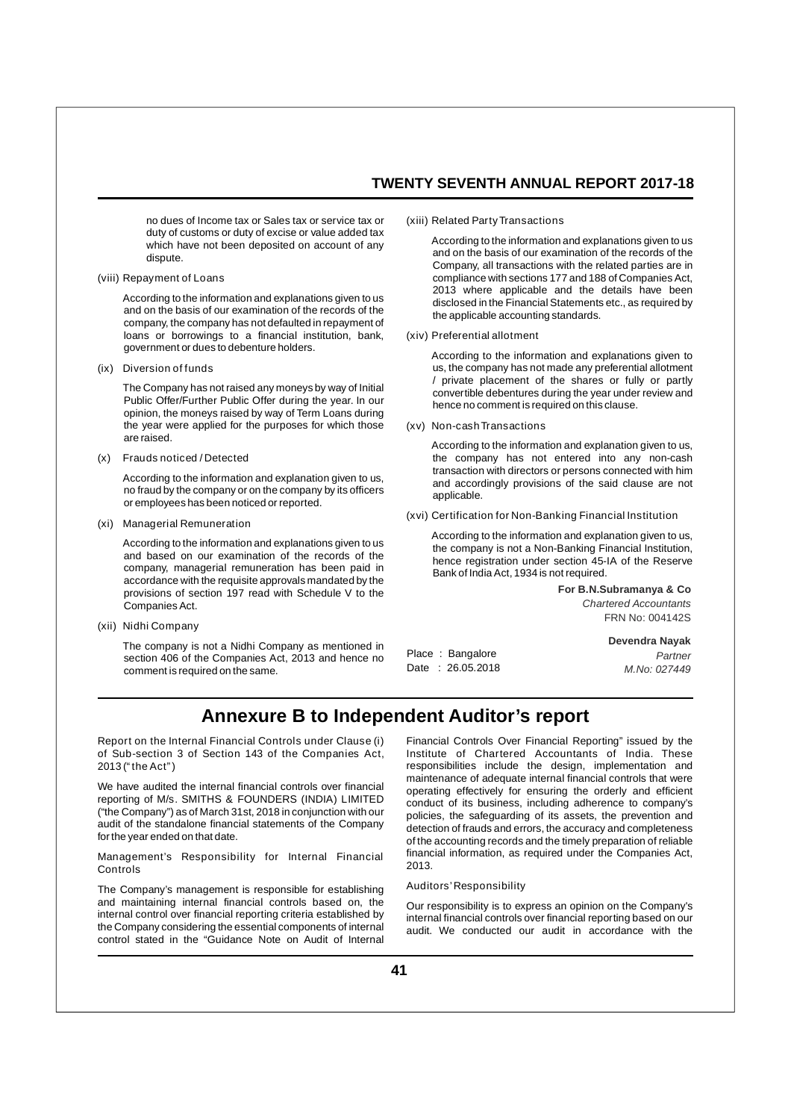**no dues of Income tax or Sales tax or service tax or duty of customs or duty of excise or value added tax which have not been deposited on account of any dispute.**

#### **(viii) Repayment of Loans**

 **According to the information and explanations given to us and on the basis of our examination of the records of the company, the company has not defaulted in repayment of loans or borrowings to a financial institution, bank, government or dues to debenture holders.**

#### **(ix) Diversion of funds**

 **The Company has not raised any moneys by way of Initial Public Offer/Further Public Offer during the year. In our opinion, the moneys raised by way of Term Loans during the year were applied for the purposes for which those are raised.**

#### **(x) Frauds noticed / Detected**

 **According to the information and explanation given to us, no fraud by the company or on the company by its officers or employees has been noticed or reported.**

#### **(xi) Managerial Remuneration**

 **According to the information and explanations given to us and based on our examination of the records of the company, managerial remuneration has been paid in accordance with the requisite approvals mandated by the provisions of section 197 read with Schedule V to the Companies Act.**

#### **(xii) Nidhi Company**

 **The company is not a Nidhi Company as mentioned in section 406 of the Companies Act, 2013 and hence no comment is required on the same.**

#### **(xiii) Related Party Transactions**

 **According to the information and explanations given to us and on the basis of our examination of the records of the Company, all transactions with the related parties are in compliance with sections 177 and 188 of Companies Act, 2013 where applicable and the details have been disclosed in the Financial Statements etc., as required by the applicable accounting standards.**

#### **(xiv) Preferential allotment**

 **According to the information and explanations given to us, the company has not made any preferential allotment / private placement of the shares or fully or partly convertible debentures during the year under review and hence no comment is required on this clause.**

#### **(xv) Non-cash Transactions**

 **According to the information and explanation given to us, the company has not entered into any non-cash transaction with directors or persons connected with him and accordingly provisions of the said clause are not applicable.**

#### **(xvi) Certification for Non-Banking Financial Institution**

 **According to the information and explanation given to us, the company is not a Non-Banking Financial Institution, hence registration under section 45-IA of the Reserve Bank of India Act, 1934 is not required.**

> **For B.N.Subramanya & Co** *Chartered Accountants* FRN No: 004142S

Place : Bangalore Date : 26.05.2018 **Devendra Nayak** *Partner M.No: 027449*

## **Annexure B to Independent Auditor's report**

**Report on the Internal Financial Controls under Clause (i) of Sub-section 3 of Section 143 of the Companies Act, 2013 ("the Act")**

**We have audited the internal financial controls over financial reporting of M/s. SMITHS & FOUNDERS (INDIA) LIMITED ("the Company") as of March 31st, 2018 in conjunction with our audit of the standalone financial statements of the Company for the year ended on that date.**

#### **Management's Responsibility for Internal Financial Controls**

**The Company's management is responsible for establishing and maintaining internal financial controls based on, the internal control over financial reporting criteria established by the Company considering the essential components of internal control stated in the "Guidance Note on Audit of Internal**  **Financial Controls Over Financial Reporting" issued by the Institute of Chartered Accountants of India. These responsibilities include the design, implementation and maintenance of adequate internal financial controls that were operating effectively for ensuring the orderly and efficient conduct of its business, including adherence to company's policies, the safeguarding of its assets, the prevention and detection of frauds and errors, the accuracy and completeness of the accounting records and the timely preparation of reliable financial information, as required under the Companies Act, 2013.**

#### **Auditors' Responsibility**

**Our responsibility is to express an opinion on the Company's internal financial controls over financial reporting based on our audit. We conducted our audit in accordance with the**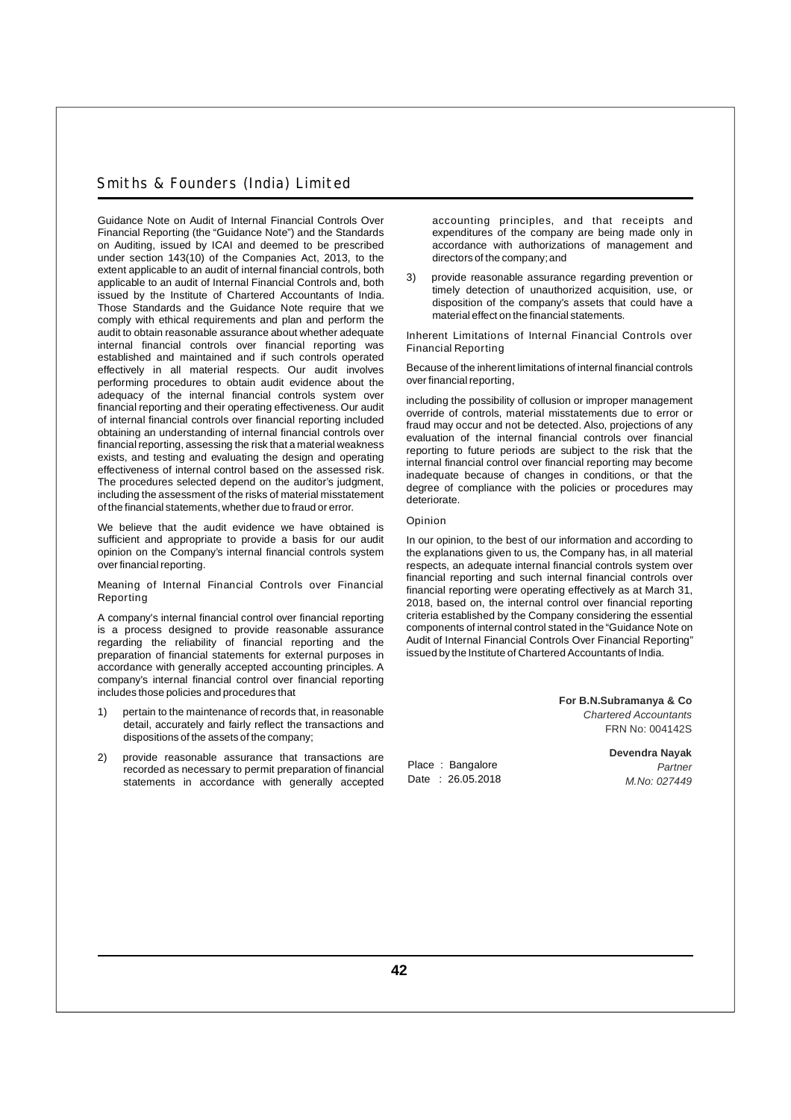**Guidance Note on Audit of Internal Financial Controls Over Financial Reporting (the "Guidance Note") and the Standards on Auditing, issued by ICAI and deemed to be prescribed under section 143(10) of the Companies Act, 2013, to the extent applicable to an audit of internal financial controls, both applicable to an audit of Internal Financial Controls and, both issued by the Institute of Chartered Accountants of India. Those Standards and the Guidance Note require that we comply with ethical requirements and plan and perform the audit to obtain reasonable assurance about whether adequate internal financial controls over financial reporting was established and maintained and if such controls operated effectively in all material respects. Our audit involves performing procedures to obtain audit evidence about the adequacy of the internal financial controls system over financial reporting and their operating effectiveness. Our audit of internal financial controls over financial reporting included obtaining an understanding of internal financial controls over financial reporting, assessing the risk that a material weakness exists, and testing and evaluating the design and operating effectiveness of internal control based on the assessed risk. The procedures selected depend on the auditor's judgment, including the assessment of the risks of material misstatement of the financial statements, whether due to fraud or error.**

**We believe that the audit evidence we have obtained is sufficient and appropriate to provide a basis for our audit opinion on the Company's internal financial controls system over financial reporting.**

#### **Meaning of Internal Financial Controls over Financial Reporting**

**A company's internal financial control over financial reporting is a process designed to provide reasonable assurance regarding the reliability of financial reporting and the preparation of financial statements for external purposes in accordance with generally accepted accounting principles. A company's internal financial control over financial reporting includes those policies and procedures that**

- **1) pertain to the maintenance of records that, in reasonable detail, accurately and fairly reflect the transactions and dispositions of the assets of the company;**
- **2) provide reasonable assurance that transactions are recorded as necessary to permit preparation of financial statements in accordance with generally accepted**

**accounting principles, and that receipts and expenditures of the company are being made only in accordance with authorizations of management and directors of the company; and**

**3) provide reasonable assurance regarding prevention or timely detection of unauthorized acquisition, use, or disposition of the company's assets that could have a material effect on the financial statements.**

#### **Inherent Limitations of Internal Financial Controls over Financial Reporting**

**Because of the inherent limitations of internal financial controls over financial reporting,**

**including the possibility of collusion or improper management override of controls, material misstatements due to error or fraud may occur and not be detected. Also, projections of any evaluation of the internal financial controls over financial reporting to future periods are subject to the risk that the internal financial control over financial reporting may become inadequate because of changes in conditions, or that the degree of compliance with the policies or procedures may deteriorate.**

#### **Opinion**

Place : Bangalore Date : 26.05.2018

**In our opinion, to the best of our information and according to the explanations given to us, the Company has, in all material respects, an adequate internal financial controls system over financial reporting and such internal financial controls over financial reporting were operating effectively as at March 31, 2018, based on, the internal control over financial reporting criteria established by the Company considering the essential components of internal control stated in the "Guidance Note on Audit of Internal Financial Controls Over Financial Reporting" issued by the Institute of Chartered Accountants of India.**

> **For B.N.Subramanya & Co** *Chartered Accountants* FRN No: 004142S

> > **Devendra Nayak** *Partner M.No: 027449*

**42**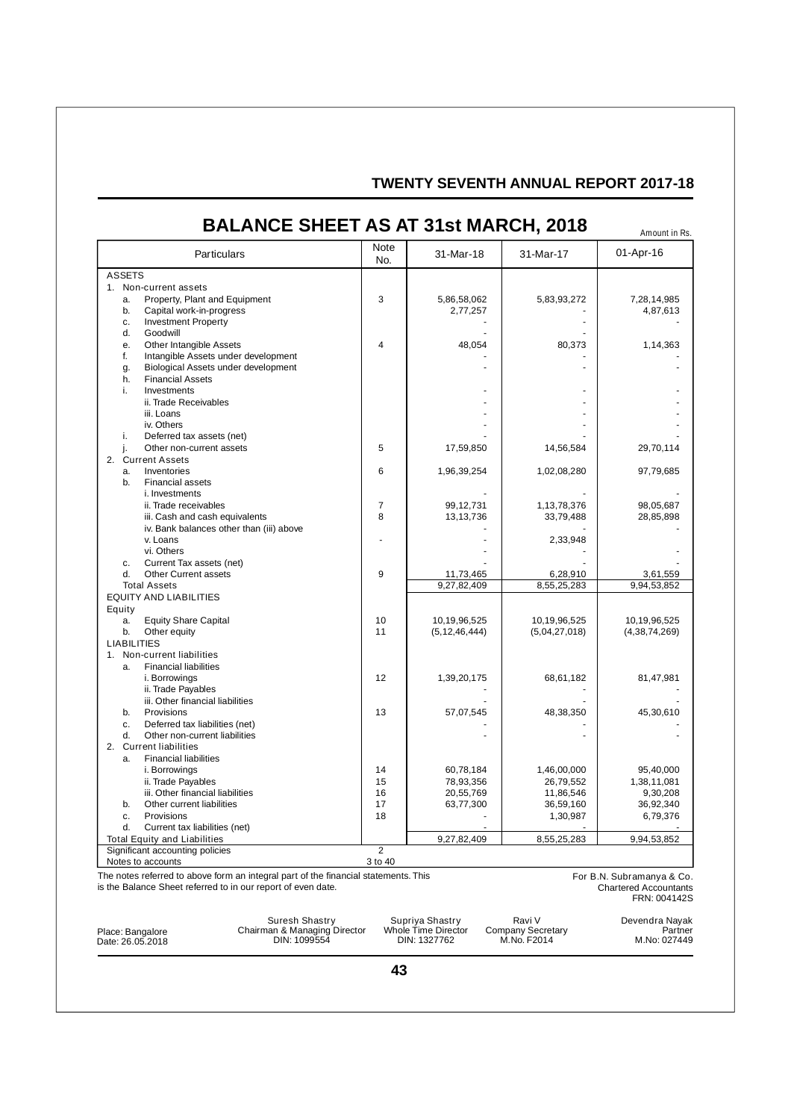# **BALANCE SHEET AS AT 31st MARCH, 2018**

|                                           |                | DALANCE SHEET AS AT 31ST MARCH, 2016 |               | <b>Amount in Rs.</b> |  |
|-------------------------------------------|----------------|--------------------------------------|---------------|----------------------|--|
| Particulars                               | Note<br>No.    | 31-Mar-18                            | 31-Mar-17     | 01-Apr-16            |  |
| <b>ASSETS</b>                             |                |                                      |               |                      |  |
| 1. Non-current assets                     |                |                                      |               |                      |  |
| Property, Plant and Equipment<br>a.       | 3              | 5,86,58,062                          | 5,83,93,272   | 7,28,14,985          |  |
| Capital work-in-progress<br>b.            |                | 2,77,257                             |               | 4,87,613             |  |
| <b>Investment Property</b><br>c.          |                |                                      |               |                      |  |
| d.<br>Goodwill                            |                |                                      |               |                      |  |
| Other Intangible Assets<br>е.             | $\overline{4}$ | 48,054                               | 80,373        | 1,14,363             |  |
| f.<br>Intangible Assets under development |                |                                      |               |                      |  |
| Biological Assets under development<br>g. |                |                                      |               |                      |  |
| <b>Financial Assets</b><br>h.             |                |                                      |               |                      |  |
| Investments<br>i.                         |                |                                      |               |                      |  |
| ii. Trade Receivables                     |                |                                      |               |                      |  |
| iii. Loans                                |                |                                      |               |                      |  |
| iv. Others                                |                |                                      |               |                      |  |
| Deferred tax assets (net)<br>i.           |                |                                      |               |                      |  |
| j.<br>Other non-current assets            | 5              | 17,59,850                            | 14,56,584     | 29,70,114            |  |
| 2. Current Assets                         |                |                                      |               |                      |  |
| Inventories<br>a.                         | 6              | 1,96,39,254                          | 1,02,08,280   | 97,79,685            |  |
| <b>Financial assets</b><br>b.             |                |                                      |               |                      |  |
| i. Investments                            |                |                                      |               |                      |  |
| ii. Trade receivables                     | $\overline{7}$ | 99,12,731                            | 1,13,78,376   | 98,05,687            |  |
| iii. Cash and cash equivalents            | 8              | 13, 13, 736                          | 33,79,488     | 28,85,898            |  |
| iv. Bank balances other than (iii) above  |                |                                      |               |                      |  |
| v. Loans                                  |                |                                      | 2,33,948      |                      |  |
| vi. Others                                |                |                                      |               |                      |  |
| Current Tax assets (net)<br>c.            |                |                                      |               |                      |  |
| Other Current assets<br>$d_{\cdot}$       | 9              | 11,73,465                            | 6,28,910      | 3,61,559             |  |
| <b>Total Assets</b>                       |                | 9,27,82,409                          | 8,55,25,283   | 9,94,53,852          |  |
| <b>EQUITY AND LIABILITIES</b>             |                |                                      |               |                      |  |
|                                           |                |                                      |               |                      |  |
| Equity                                    |                |                                      |               |                      |  |
| <b>Equity Share Capital</b><br>a.         | 10             | 10,19,96,525                         | 10,19,96,525  | 10,19,96,525         |  |
| Other equity<br>b.                        | 11             | (5, 12, 46, 444)                     | (5,04,27,018) | (4, 38, 74, 269)     |  |
| <b>LIABILITIES</b>                        |                |                                      |               |                      |  |
| 1. Non-current liabilities                |                |                                      |               |                      |  |
| <b>Financial liabilities</b><br>a.        |                |                                      |               |                      |  |
| i. Borrowings                             | 12             | 1,39,20,175                          | 68,61,182     | 81,47,981            |  |
| ii. Trade Payables                        |                |                                      |               |                      |  |
| iii. Other financial liabilities          |                |                                      |               |                      |  |
| Provisions<br>b.                          | 13             | 57,07,545                            | 48,38,350     | 45,30,610            |  |
| Deferred tax liabilities (net)<br>c.      |                |                                      |               |                      |  |
| Other non-current liabilities<br>d.       |                |                                      |               |                      |  |
| 2. Current liabilities                    |                |                                      |               |                      |  |
| <b>Financial liabilities</b><br>a.        |                |                                      |               |                      |  |
| i. Borrowings                             | 14             | 60,78,184                            | 1,46,00,000   | 95,40,000            |  |
| ii. Trade Payables                        | 15             | 78,93,356                            | 26,79,552     | 1,38,11,081          |  |
| iii. Other financial liabilities          | 16             | 20,55,769                            | 11,86,546     | 9,30,208             |  |
| Other current liabilities<br>b.           | 17             | 63,77,300                            | 36,59,160     | 36,92,340            |  |
| Provisions<br>c.                          | 18             |                                      | 1,30,987      | 6,79,376             |  |
| d.<br>Current tax liabilities (net)       |                |                                      |               |                      |  |
| <b>Total Equity and Liabilities</b>       |                | 9,27,82,409                          | 8,55,25,283   | 9,94,53,852          |  |
| Significant accounting policies           | $\overline{2}$ |                                      |               |                      |  |
| Notes to accounts                         | 3 to 40        |                                      |               |                      |  |

**The notes referred to above form an integral part of the financial statements. This is the Balance Sheet referred to in our report of even date.**

**For B.N. Subramanya & Co. Chartered Accountants FRN: 004142S**

| Place: Bangalore<br>Date: 26.05.2018 | <b>Suresh Shastry</b><br>Chairman & Managing Director<br>DIN: 1099554 | Supriya Shastry<br>Whole Time Director<br>DIN: 1327762 | Ravi V<br>Company Secretary<br>M.No. F2014 | Devendra Nayak<br>Partner<br>M.No: 027449 |
|--------------------------------------|-----------------------------------------------------------------------|--------------------------------------------------------|--------------------------------------------|-------------------------------------------|
|                                      |                                                                       |                                                        |                                            |                                           |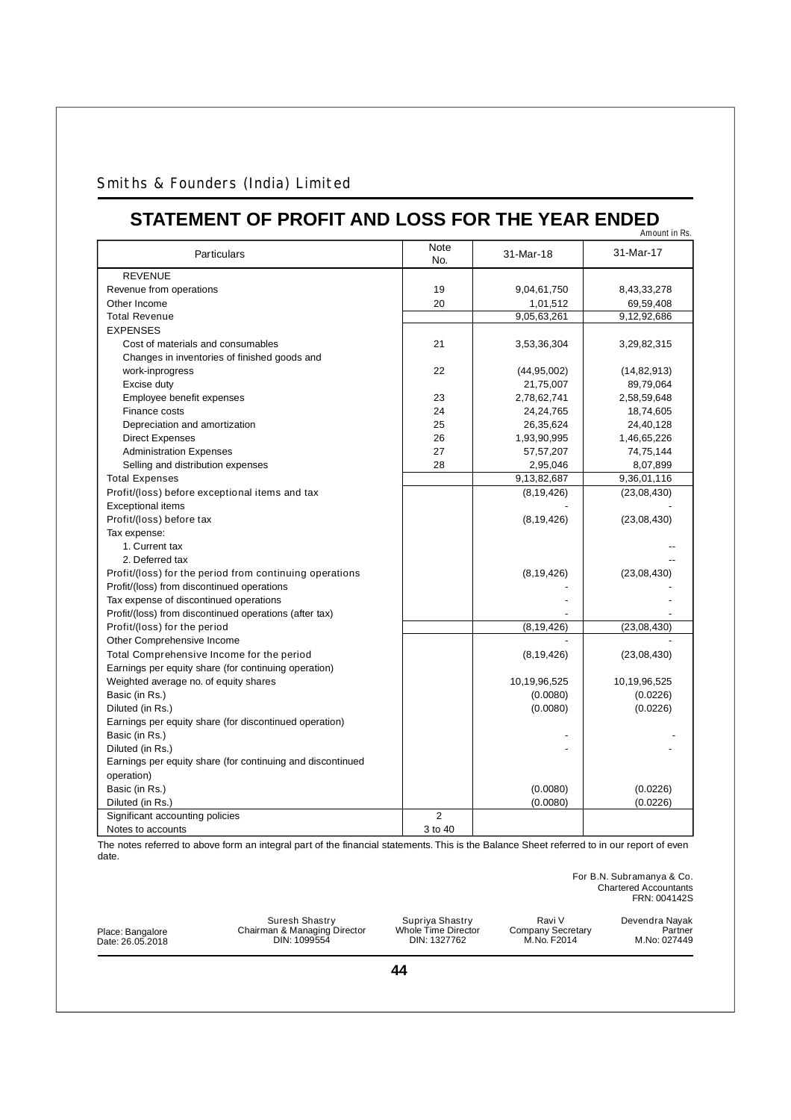# **STATEMENT OF PROFIT AND LOSS FOR THE YEAR ENDED Amount in Rs.**

| Particulars                                                | Note<br>No.    | 31-Mar-18     | 31-Mar-17     |
|------------------------------------------------------------|----------------|---------------|---------------|
| <b>REVENUE</b>                                             |                |               |               |
| Revenue from operations                                    | 19             | 9,04,61,750   | 8,43,33,278   |
| Other Income                                               | 20             | 1,01,512      | 69,59,408     |
| <b>Total Revenue</b>                                       |                | 9,05,63,261   | 9,12,92,686   |
| <b>EXPENSES</b>                                            |                |               |               |
| Cost of materials and consumables                          | 21             | 3,53,36,304   | 3,29,82,315   |
| Changes in inventories of finished goods and               |                |               |               |
| work-inprogress                                            | 22             | (44, 95, 002) | (14, 82, 913) |
| Excise duty                                                |                | 21,75,007     | 89,79,064     |
| Employee benefit expenses                                  | 23             | 2,78,62,741   | 2,58,59,648   |
| Finance costs                                              | 24             | 24,24,765     | 18,74,605     |
| Depreciation and amortization                              | 25             | 26,35,624     | 24,40,128     |
| <b>Direct Expenses</b>                                     | 26             | 1,93,90,995   | 1,46,65,226   |
| <b>Administration Expenses</b>                             | 27             | 57, 57, 207   | 74,75,144     |
| Selling and distribution expenses                          | 28             | 2,95,046      | 8,07,899      |
| <b>Total Expenses</b>                                      |                | 9,13,82,687   | 9,36,01,116   |
| Profit/(loss) before exceptional items and tax             |                | (8, 19, 426)  | (23,08,430)   |
| <b>Exceptional items</b>                                   |                |               |               |
| Profit/(loss) before tax                                   |                | (8, 19, 426)  | (23,08,430)   |
| Tax expense:                                               |                |               |               |
| 1. Current tax                                             |                |               |               |
| 2. Deferred tax                                            |                |               |               |
| Profit/(loss) for the period from continuing operations    |                | (8, 19, 426)  | (23,08,430)   |
| Profit/(loss) from discontinued operations                 |                |               |               |
| Tax expense of discontinued operations                     |                |               |               |
| Profit/(loss) from discontinued operations (after tax)     |                |               |               |
| Profit/(loss) for the period                               |                | (8, 19, 426)  | (23,08,430)   |
| Other Comprehensive Income                                 |                |               |               |
| Total Comprehensive Income for the period                  |                | (8, 19, 426)  | (23,08,430)   |
| Earnings per equity share (for continuing operation)       |                |               |               |
| Weighted average no. of equity shares                      |                | 10,19,96,525  | 10,19,96,525  |
| Basic (in Rs.)                                             |                | (0.0080)      | (0.0226)      |
| Diluted (in Rs.)                                           |                | (0.0080)      | (0.0226)      |
| Earnings per equity share (for discontinued operation)     |                |               |               |
| Basic (in Rs.)                                             |                |               |               |
| Diluted (in Rs.)                                           |                |               |               |
| Earnings per equity share (for continuing and discontinued |                |               |               |
| operation)                                                 |                |               |               |
| Basic (in Rs.)                                             |                | (0.0080)      | (0.0226)      |
| Diluted (in Rs.)                                           |                | (0.0080)      | (0.0226)      |
| Significant accounting policies                            | $\overline{2}$ |               |               |
| Notes to accounts                                          | 3 to 40        |               |               |

**The notes referred to above form an integral part of the financial statements. This is the Balance Sheet referred to in our report of even date.**

|                                      |                                                                       |                                                               |                                                   | For B.N. Subramanya & Co.<br><b>Chartered Accountants</b><br>FRN: 004142S |
|--------------------------------------|-----------------------------------------------------------------------|---------------------------------------------------------------|---------------------------------------------------|---------------------------------------------------------------------------|
| Place: Bangalore<br>Date: 26.05.2018 | <b>Suresh Shastry</b><br>Chairman & Managing Director<br>DIN: 1099554 | <b>Supriya Shastry</b><br>Whole Time Director<br>DIN: 1327762 | Ravi V<br><b>Company Secretary</b><br>M.No. F2014 | Devendra Nayak<br>Partner<br>M.No: 027449                                 |
|                                      |                                                                       | 44                                                            |                                                   |                                                                           |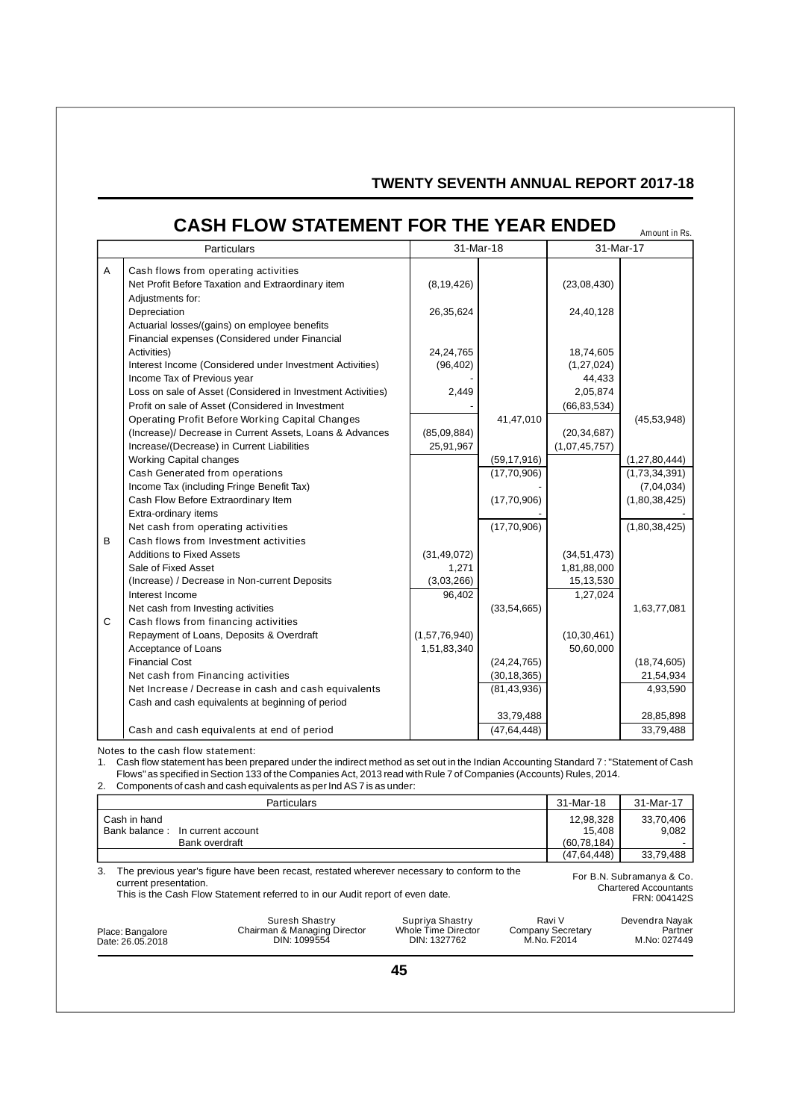## **CASH FLOW STATEMENT FOR THE YEAR ENDED**

|   | CASH FLOW STATEWENT FOR THE TEAR ENDED                                             |               |               |               | <b>Amount in Rs.</b>        |
|---|------------------------------------------------------------------------------------|---------------|---------------|---------------|-----------------------------|
|   | Particulars                                                                        | 31-Mar-18     |               |               | 31-Mar-17                   |
| A | Cash flows from operating activities                                               |               |               |               |                             |
|   | Net Profit Before Taxation and Extraordinary item                                  | (8, 19, 426)  |               | (23,08,430)   |                             |
|   | Adjustments for:                                                                   |               |               |               |                             |
|   | Depreciation                                                                       | 26,35,624     |               | 24,40,128     |                             |
|   | Actuarial losses/(gains) on employee benefits                                      |               |               |               |                             |
|   | Financial expenses (Considered under Financial                                     |               |               |               |                             |
|   | Activities)                                                                        | 24, 24, 765   |               | 18,74,605     |                             |
|   | Interest Income (Considered under Investment Activities)                           | (96, 402)     |               | (1, 27, 024)  |                             |
|   | Income Tax of Previous year                                                        |               |               | 44,433        |                             |
|   | Loss on sale of Asset (Considered in Investment Activities)                        | 2,449         |               | 2,05,874      |                             |
|   | Profit on sale of Asset (Considered in Investment                                  |               |               | (66, 83, 534) |                             |
|   | <b>Operating Profit Before Working Capital Changes</b>                             |               | 41,47,010     |               | (45, 53, 948)               |
|   | (Increase)/ Decrease in Current Assets, Loans & Advances                           | (85,09,884)   |               | (20, 34, 687) |                             |
|   | Increase/(Decrease) in Current Liabilities                                         | 25,91,967     |               | (1,07,45,757) |                             |
|   | <b>Working Capital changes</b>                                                     |               | (59, 17, 916) |               | (1, 27, 80, 444)            |
|   | <b>Cash Generated from operations</b><br>Income Tax (including Fringe Benefit Tax) |               | (17,70,906)   |               | (1,73,34,391)<br>(7,04,034) |
|   | Cash Flow Before Extraordinary Item                                                |               | (17, 70, 906) |               | (1,80,38,425)               |
|   | Extra-ordinary items                                                               |               |               |               |                             |
|   | Net cash from operating activities                                                 |               | (17, 70, 906) |               | (1,80,38,425)               |
| в | Cash flows from Investment activities                                              |               |               |               |                             |
|   | <b>Additions to Fixed Assets</b>                                                   | (31, 49, 072) |               | (34, 51, 473) |                             |
|   | Sale of Fixed Asset                                                                | 1,271         |               | 1,81,88,000   |                             |
|   | (Increase) / Decrease in Non-current Deposits                                      | (3,03,266)    |               | 15,13,530     |                             |
|   | Interest Income                                                                    | 96,402        |               | 1,27,024      |                             |
|   | Net cash from Investing activities                                                 |               | (33, 54, 665) |               | 1,63,77,081                 |
| C | Cash flows from financing activities                                               |               |               |               |                             |
|   | Repayment of Loans, Deposits & Overdraft                                           | (1,57,76,940) |               | (10, 30, 461) |                             |
|   | Acceptance of Loans                                                                | 1,51,83,340   |               | 50,60,000     |                             |
|   | <b>Financial Cost</b>                                                              |               | (24, 24, 765) |               | (18, 74, 605)               |
|   | Net cash from Financing activities                                                 |               | (30, 18, 365) |               | 21,54,934                   |
|   | Net Increase / Decrease in cash and cash equivalents                               |               | (81, 43, 936) |               | 4,93,590                    |
|   | Cash and cash equivalents at beginning of period                                   |               |               |               |                             |
|   |                                                                                    |               | 33,79,488     |               | 28,85,898                   |
|   | Cash and cash equivalents at end of period                                         |               | (47, 64, 448) |               | 33,79,488                   |

**Notes to the cash flow statement:**

**1. Cash flow statement has been prepared under the indirect method as set out in the Indian Accounting Standard 7 : "Statement of Cash Flows" as specified in Section 133 of the Companies Act, 2013 read with Rule 7 of Companies (Accounts) Rules, 2014.**

**2. Components of cash and cash equivalents as per Ind AS 7 is as under:**

|                                      | <b>Particulars</b>                                                                                                                                                          |                                                               | 31-Mar-18                                         | 31-Mar-17                                                                 |
|--------------------------------------|-----------------------------------------------------------------------------------------------------------------------------------------------------------------------------|---------------------------------------------------------------|---------------------------------------------------|---------------------------------------------------------------------------|
| Cash in hand                         |                                                                                                                                                                             |                                                               | 12,98,328                                         | 33,70,406                                                                 |
|                                      | Bank balance: In current account                                                                                                                                            |                                                               | 15.408                                            | 9,082                                                                     |
|                                      | Bank overdraft                                                                                                                                                              |                                                               | (60, 78, 184)                                     |                                                                           |
|                                      |                                                                                                                                                                             |                                                               | (47, 64, 448)                                     | 33,79,488                                                                 |
| 3.<br>current presentation.          | The previous year's figure have been recast, restated wherever necessary to conform to the<br>This is the Cash Flow Statement referred to in our Audit report of even date. |                                                               |                                                   | For B.N. Subramanya & Co.<br><b>Chartered Accountants</b><br>FRN: 004142S |
| Place: Bangalore<br>Date: 26.05.2018 | <b>Suresh Shastry</b><br>Chairman & Managing Director<br>DIN: 1099554                                                                                                       | <b>Supriya Shastry</b><br>Whole Time Director<br>DIN: 1327762 | Ravi V<br><b>Company Secretary</b><br>M.No. F2014 | Devendra Nayak<br>Partner<br>M.No: 027449                                 |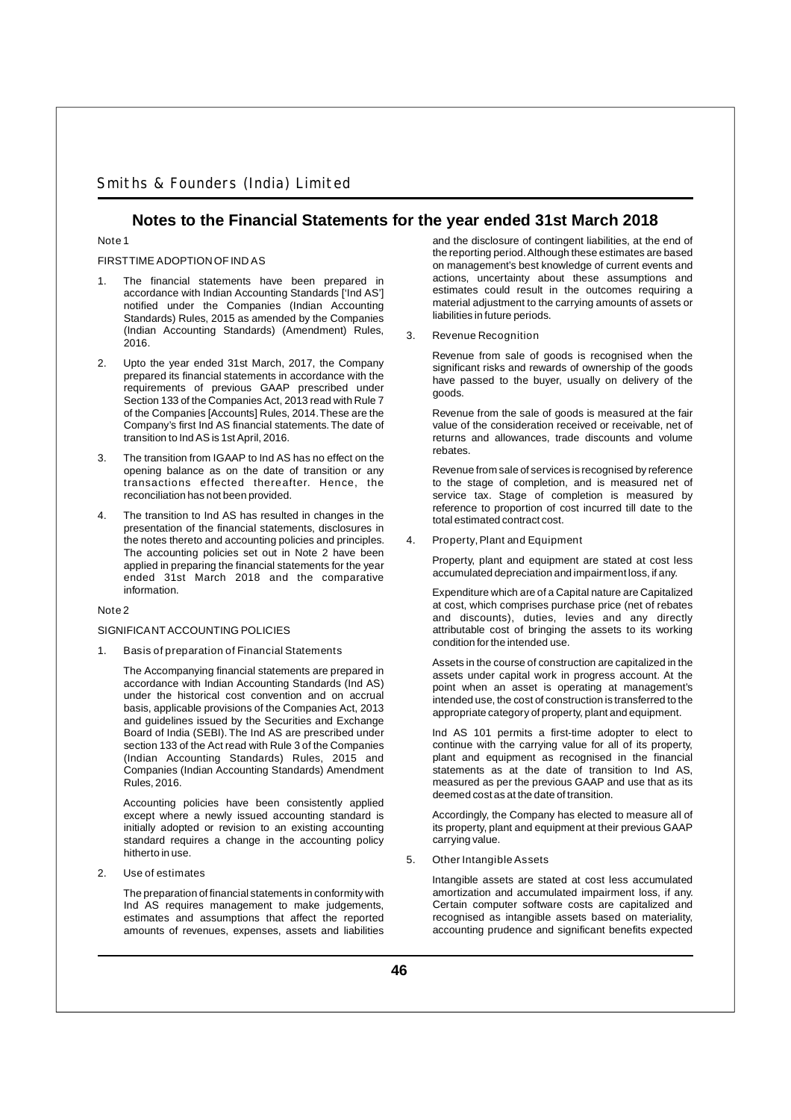## **Notes to the Financial Statements for the year ended 31st March 2018**

#### **Note 1**

#### **FIRST TIME ADOPTION OF IND AS**

- **1. The financial statements have been prepared in accordance with Indian Accounting Standards ['Ind AS'] notified under the Companies (Indian Accounting Standards) Rules, 2015 as amended by the Companies (Indian Accounting Standards) (Amendment) Rules, 2016.**
- **2. Upto the year ended 31st March, 2017, the Company prepared its financial statements in accordance with the requirements of previous GAAP prescribed under Section 133 of the Companies Act, 2013 read with Rule 7 of the Companies [Accounts] Rules, 2014. These are the Company's first Ind AS financial statements. The date of transition to Ind AS is 1st April, 2016.**
- **3. The transition from IGAAP to Ind AS has no effect on the opening balance as on the date of transition or any transactions effected thereafter. Hence, the reconciliation has not been provided.**
- **4. The transition to Ind AS has resulted in changes in the presentation of the financial statements, disclosures in the notes thereto and accounting policies and principles. The accounting policies set out in Note 2 have been applied in preparing the financial statements for the year ended 31st March 2018 and the comparative information.**

#### **Note 2**

#### **SIGNIFICANT ACCOUNTING POLICIES**

#### **1. Basis of preparation of Financial Statements**

 **The Accompanying financial statements are prepared in accordance with Indian Accounting Standards (Ind AS) under the historical cost convention and on accrual basis, applicable provisions of the Companies Act, 2013 and guidelines issued by the Securities and Exchange Board of India (SEBI). The Ind AS are prescribed under section 133 of the Act read with Rule 3 of the Companies (Indian Accounting Standards) Rules, 2015 and Companies (Indian Accounting Standards) Amendment Rules, 2016.**

 **Accounting policies have been consistently applied except where a newly issued accounting standard is initially adopted or revision to an existing accounting standard requires a change in the accounting policy hitherto in use.**

#### **2. Use of estimates**

 **The preparation of financial statements in conformity with Ind AS requires management to make judgements, estimates and assumptions that affect the reported amounts of revenues, expenses, assets and liabilities** 

**and the disclosure of contingent liabilities, at the end of the reporting period. Although these estimates are based on management's best knowledge of current events and actions, uncertainty about these assumptions and estimates could result in the outcomes requiring a material adjustment to the carrying amounts of assets or liabilities in future periods.**

#### **3. Revenue Recognition**

 **Revenue from sale of goods is recognised when the significant risks and rewards of ownership of the goods have passed to the buyer, usually on delivery of the goods.**

 **Revenue from the sale of goods is measured at the fair value of the consideration received or receivable, net of returns and allowances, trade discounts and volume rebates.**

 **Revenue from sale of services is recognised by reference to the stage of completion, and is measured net of service tax. Stage of completion is measured by reference to proportion of cost incurred till date to the total estimated contract cost.**

#### **4. Property, Plant and Equipment**

 **Property, plant and equipment are stated at cost less accumulated depreciation and impairment loss, if any.**

 **Expenditure which are of a Capital nature are Capitalized at cost, which comprises purchase price (net of rebates and discounts), duties, levies and any directly attributable cost of bringing the assets to its working condition for the intended use.**

 **Assets in the course of construction are capitalized in the assets under capital work in progress account. At the point when an asset is operating at management's intended use, the cost of construction is transferred to the appropriate category of property, plant and equipment.**

 **Ind AS 101 permits a first-time adopter to elect to continue with the carrying value for all of its property, plant and equipment as recognised in the financial statements as at the date of transition to Ind AS, measured as per the previous GAAP and use that as its deemed cost as at the date of transition.**

 **Accordingly, the Company has elected to measure all of its property, plant and equipment at their previous GAAP carrying value.**

#### **5. Other Intangible Assets**

 **Intangible assets are stated at cost less accumulated amortization and accumulated impairment loss, if any. Certain computer software costs are capitalized and recognised as intangible assets based on materiality, accounting prudence and significant benefits expected**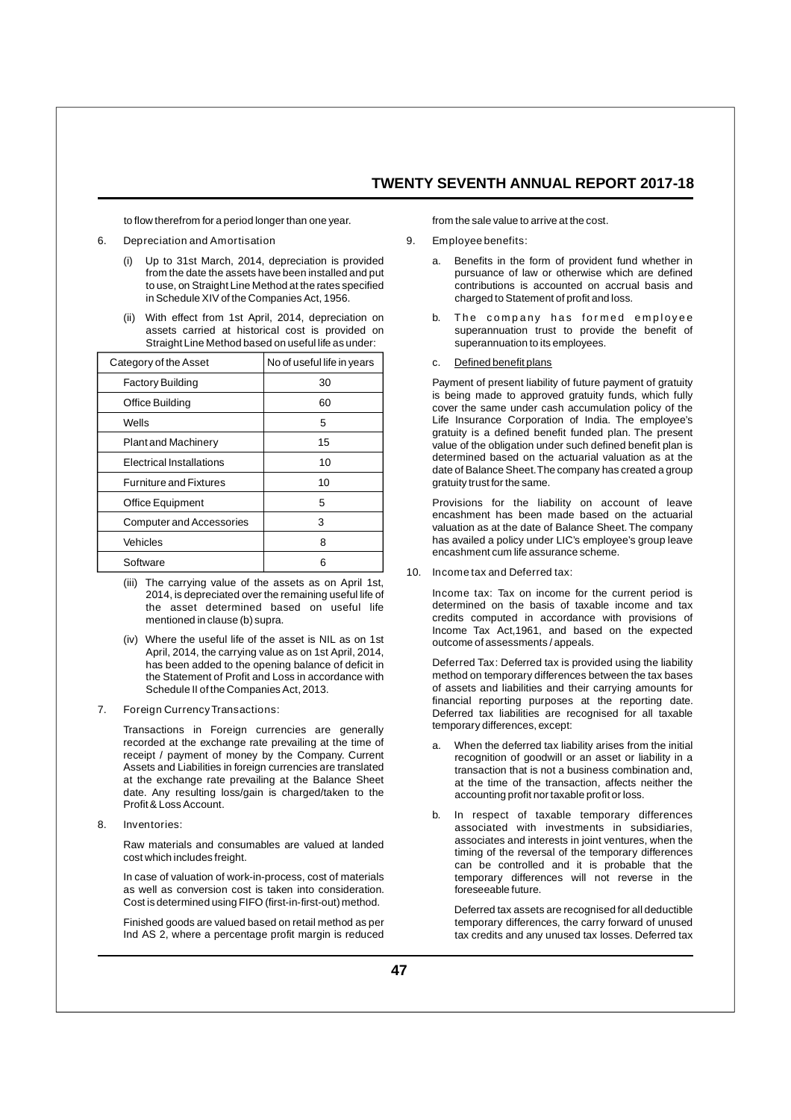**to flow therefrom for a period longer than one year.**

#### **6. Depreciation and Amortisation**

- **(i) Up to 31st March, 2014, depreciation is provided from the date the assets have been installed and put to use, on Straight Line Method at the rates specified in Schedule XIV of the Companies Act, 1956.**
- **(ii) With effect from 1st April, 2014, depreciation on assets carried at historical cost is provided on Straight Line Method based on useful life as under:**

| Category of the Asset           | No of useful life in years |
|---------------------------------|----------------------------|
| <b>Factory Building</b>         | 30                         |
| Office Building                 | 60                         |
| Wells                           | 5                          |
| <b>Plant and Machinery</b>      | 15                         |
| Electrical Installations        | 10                         |
| <b>Furniture and Fixtures</b>   | 10                         |
| Office Equipment                | 5                          |
| <b>Computer and Accessories</b> | 3                          |
| Vehicles                        | 8                          |
| Software                        | ค                          |

- **(iii) The carrying value of the assets as on April 1st, 2014, is depreciated over the remaining useful life of the asset determined based on useful life mentioned in clause (b) supra.**
- **(iv) Where the useful life of the asset is NIL as on 1st April, 2014, the carrying value as on 1st April, 2014, has been added to the opening balance of deficit in the Statement of Profit and Loss in accordance with Schedule II of the Companies Act, 2013.**

#### **7. Foreign Currency Transactions:**

 **Transactions in Foreign currencies are generally recorded at the exchange rate prevailing at the time of receipt / payment of money by the Company. Current Assets and Liabilities in foreign currencies are translated at the exchange rate prevailing at the Balance Sheet date. Any resulting loss/gain is charged/taken to the Profit & Loss Account.**

#### **8. Inventories:**

 **Raw materials and consumables are valued at landed cost which includes freight.**

 **In case of valuation of work-in-process, cost of materials as well as conversion cost is taken into consideration. Cost is determined using FIFO (first-in-first-out) method.**

 **Finished goods are valued based on retail method as per Ind AS 2, where a percentage profit margin is reduced**  **from the sale value to arrive at the cost.**

#### **9. Employee benefits:**

- **a. Benefits in the form of provident fund whether in pursuance of law or otherwise which are defined contributions is accounted on accrual basis and charged to Statement of profit and loss.**
- **b.** The company has formed employee **superannuation trust to provide the benefit of superannuation to its employees.**

#### **c. Defined benefit plans**

 **Payment of present liability of future payment of gratuity is being made to approved gratuity funds, which fully cover the same under cash accumulation policy of the Life Insurance Corporation of India. The employee's gratuity is a defined benefit funded plan. The present value of the obligation under such defined benefit plan is determined based on the actuarial valuation as at the date of Balance Sheet. The company has created a group gratuity trust for the same.**

 **Provisions for the liability on account of leave encashment has been made based on the actuarial valuation as at the date of Balance Sheet. The company has availed a policy under LIC's employee's group leave encashment cum life assurance scheme.**

#### **10. Income tax and Deferred tax:**

**Income tax:** Tax on income for the current period is **determined on the basis of taxable income and tax credits computed in accordance with provisions of Income Tax Act,1961, and based on the expected outcome of assessments / appeals.**

**Deferred Tax:** Deferred tax is provided using the liability **method on temporary differences between the tax bases of assets and liabilities and their carrying amounts for financial reporting purposes at the reporting date. Deferred tax liabilities are recognised for all taxable temporary differences, except:**

- When the deferred tax liability arises from the initial **recognition of goodwill or an asset or liability in a transaction that is not a business combination and, at the time of the transaction, affects neither the accounting profit nor taxable profit or loss.**
- **b. In respect of taxable temporary differences associated with investments in subsidiaries, associates and interests in joint ventures, when the timing of the reversal of the temporary differences can be controlled and it is probable that the temporary differences will not reverse in the foreseeable future.**

 **Deferred tax assets are recognised for all deductible temporary differences, the carry forward of unused tax credits and any unused tax losses. Deferred tax**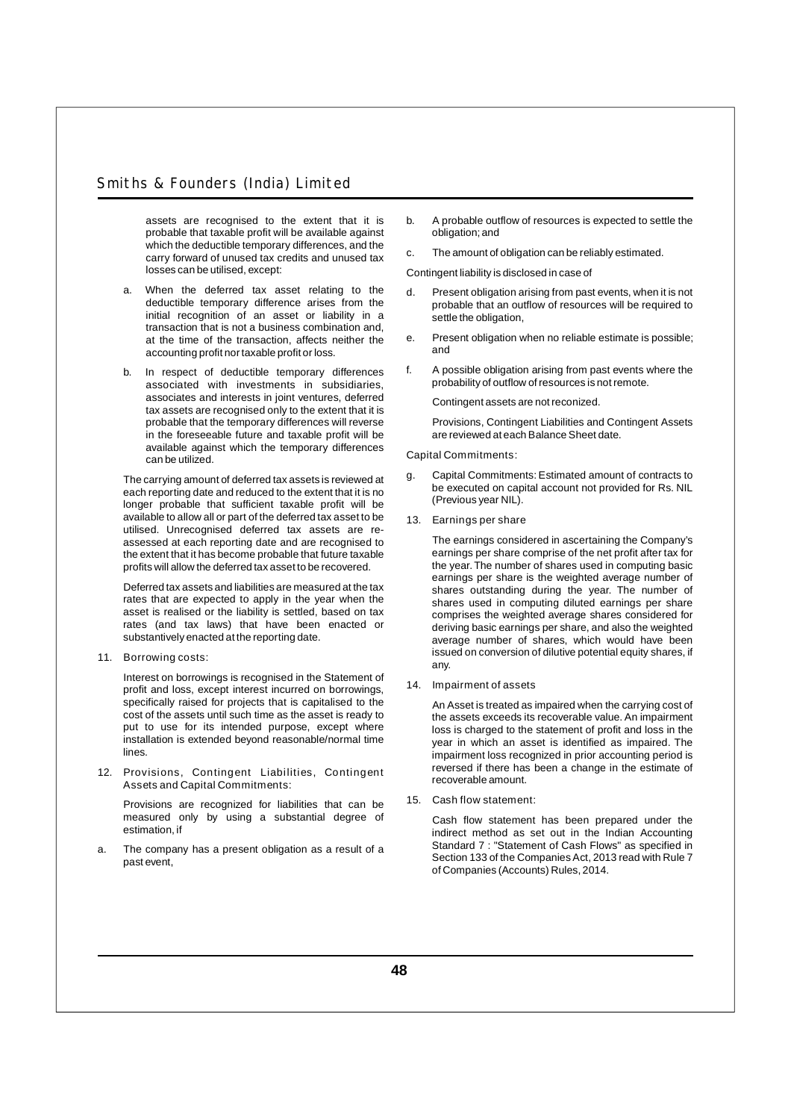**assets are recognised to the extent that it is probable that taxable profit will be available against which the deductible temporary differences, and the carry forward of unused tax credits and unused tax losses can be utilised, except:**

- **a. When the deferred tax asset relating to the deductible temporary difference arises from the initial recognition of an asset or liability in a transaction that is not a business combination and, at the time of the transaction, affects neither the accounting profit nor taxable profit or loss.**
- **b. In respect of deductible temporary differences associated with investments in subsidiaries, associates and interests in joint ventures, deferred tax assets are recognised only to the extent that it is probable that the temporary differences will reverse in the foreseeable future and taxable profit will be available against which the temporary differences can be utilized.**

 **The carrying amount of deferred tax assets is reviewed at each reporting date and reduced to the extent that it is no longer probable that sufficient taxable profit will be available to allow all or part of the deferred tax asset to be utilised. Unrecognised deferred tax assets are reassessed at each reporting date and are recognised to the extent that it has become probable that future taxable profits will allow the deferred tax asset to be recovered.**

 **Deferred tax assets and liabilities are measured at the tax rates that are expected to apply in the year when the asset is realised or the liability is settled, based on tax rates (and tax laws) that have been enacted or substantively enacted at the reporting date.**

#### **11. Borrowing costs:**

 **Interest on borrowings is recognised in the Statement of profit and loss, except interest incurred on borrowings, specifically raised for projects that is capitalised to the cost of the assets until such time as the asset is ready to put to use for its intended purpose, except where installation is extended beyond reasonable/normal time lines.**

#### **12. Provisions, Contingent Liabilities, Contingent Assets and Capital Commitments:**

 **Provisions are recognized for liabilities that can be measured only by using a substantial degree of estimation, if**

**a. The company has a present obligation as a result of a past event,**

- **b. A probable outflow of resources is expected to settle the obligation; and**
- **c. The amount of obligation can be reliably estimated.**

**Contingent liability is disclosed in case of**

- **d. Present obligation arising from past events, when it is not probable that an outflow of resources will be required to settle the obligation,**
- **e. Present obligation when no reliable estimate is possible; and**
- **f. A possible obligation arising from past events where the probability of outflow of resources is not remote.**

 **Contingent assets are not reconized.**

 **Provisions, Contingent Liabilities and Contingent Assets are reviewed at each Balance Sheet date.**

#### **Capital Commitments:**

**g. Capital Commitments: Estimated amount of contracts to be executed on capital account not provided for Rs. NIL (Previous year NIL).**

#### **13. Earnings per share**

 **The earnings considered in ascertaining the Company's earnings per share comprise of the net profit after tax for the year. The number of shares used in computing basic earnings per share is the weighted average number of shares outstanding during the year. The number of shares used in computing diluted earnings per share comprises the weighted average shares considered for deriving basic earnings per share, and also the weighted average number of shares, which would have been issued on conversion of dilutive potential equity shares, if any.**

#### **14. Impairment of assets**

 **An Asset is treated as impaired when the carrying cost of the assets exceeds its recoverable value. An impairment loss is charged to the statement of profit and loss in the year in which an asset is identified as impaired. The impairment loss recognized in prior accounting period is reversed if there has been a change in the estimate of recoverable amount.**

#### **15. Cash flow statement:**

 **Cash flow statement has been prepared under the indirect method as set out in the Indian Accounting Standard 7 : "Statement of Cash Flows" as specified in Section 133 of the Companies Act, 2013 read with Rule 7 of Companies (Accounts) Rules, 2014.**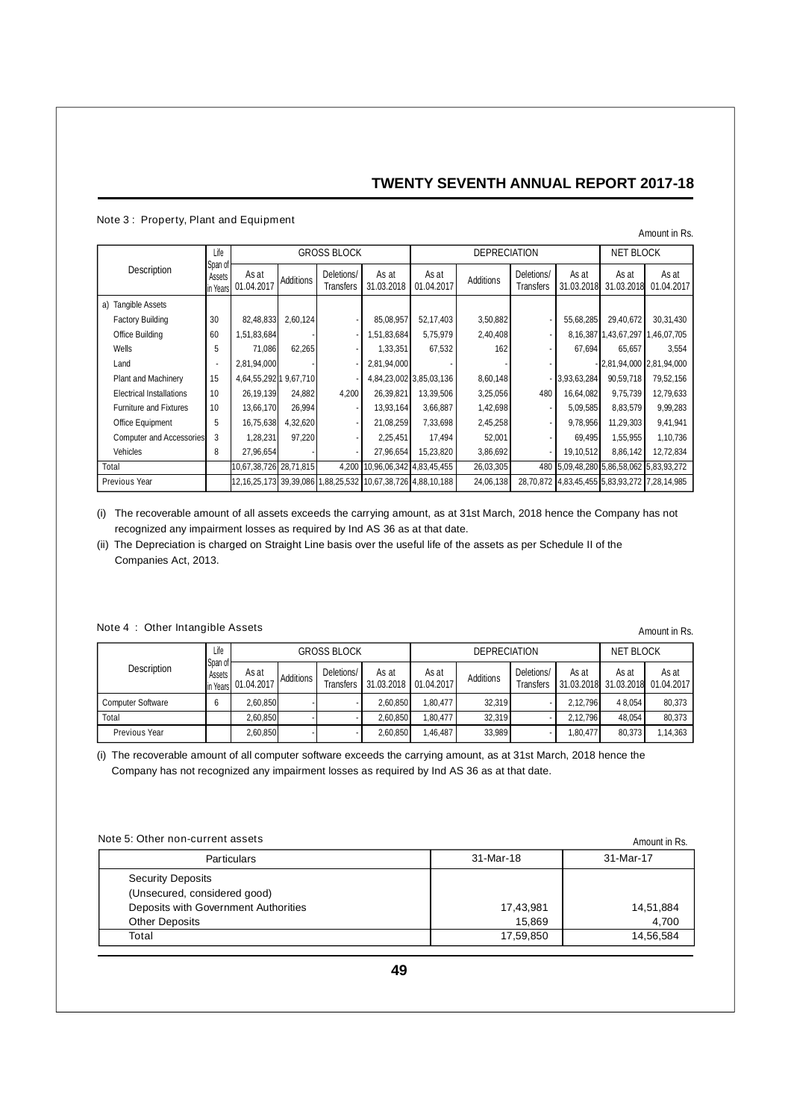| Life                            |                                      | <b>GROSS BLOCK</b>     |                  |                                | <b>DEPRECIATION</b>                                                       |                         |                  | <b>NET BLOCK</b>               |                                               |                     |                                          |
|---------------------------------|--------------------------------------|------------------------|------------------|--------------------------------|---------------------------------------------------------------------------|-------------------------|------------------|--------------------------------|-----------------------------------------------|---------------------|------------------------------------------|
| <b>Description</b>              | Span of<br><b>Assets</b><br>in Years | As at<br>01.04.2017    | <b>Additions</b> | Deletions/<br><b>Transfers</b> | As at<br>31.03.2018                                                       | As at<br>01.04.2017     | <b>Additions</b> | Deletions/<br><b>Transfers</b> | As at<br>31.03.2018                           | As at<br>31.03.2018 | As at<br>01.04.2017                      |
| <b>Tangible Assets</b><br>a)    |                                      |                        |                  |                                |                                                                           |                         |                  |                                |                                               |                     |                                          |
| <b>Factory Building</b>         | 30                                   | 82,48,833              | 2,60,124         |                                | 85,08,957                                                                 | 52, 17, 403             | 3,50,882         | ٠                              | 55,68,285                                     | 29,40,672           | 30,31,430                                |
| <b>Office Building</b>          | 60                                   | 1,51,83,684            |                  |                                | 1,51,83,684                                                               | 5,75,979                | 2,40,408         | ٠                              |                                               |                     | 8, 16, 387 1, 43, 67, 297 1, 46, 07, 705 |
| <b>Wells</b>                    | 5                                    | 71,086                 | 62,265           |                                | 1,33,351                                                                  | 67,532                  | 162              |                                | 67.694                                        | 65.657              | 3,554                                    |
| Land                            | $\blacksquare$                       | 2,81,94,000            |                  |                                | 2,81,94,000                                                               |                         |                  | ٠                              |                                               |                     | - 2,81,94,000 2,81,94,000                |
| <b>Plant and Machinery</b>      | 15                                   | 4,64,55,292 1 9,67,710 |                  |                                |                                                                           | 4,84,23,002 3,85,03,136 | 8,60,148         |                                | - 3,93,63,284                                 | 90,59,718           | 79,52,156                                |
| <b>Electrical Installations</b> | 10                                   | 26, 19, 139            | 24,882           | 4,200                          | 26,39,821                                                                 | 13,39,506               | 3,25,056         | 480                            | 16,64,082                                     | 9,75,739            | 12,79,633                                |
| <b>Furniture and Fidures</b>    | 10                                   | 13,66,170              | 26,994           |                                | 13,93,164                                                                 | 3,66,887                | 1,42,698         |                                | 5,09,585                                      | 8,83,579            | 9,99,283                                 |
| <b>Office Equipment</b>         | 5                                    | 16,75,638              | 4,32,620         |                                | 21,08,259                                                                 | 7,33,698                | 2,45,258         | ٠                              | 9,78,956                                      | 11,29,303           | 9,41,941                                 |
| <b>Computer and Accessories</b> | 3                                    | 1,28,231               | 97,220           |                                | 2,25,451                                                                  | 17,494                  | 52,001           | ٠                              | 69,495                                        | 1,55,955            | 1,10,736                                 |
| <b>Vehicles</b>                 | 8                                    | 27,96,654              |                  |                                | 27,96,654                                                                 | 15,23,820               | 3,86,692         | ٠                              | 19,10,512                                     | 8,86,142            | 12,72,834                                |
| <b>Total</b>                    |                                      | 10,67,38,726 28,71,815 |                  | 4,200                          | 10,96,06,342 4,83,45,455                                                  |                         | 26,03,305        | 480                            |                                               |                     | 5,09,48,280 5,86,58,062 5,83,93,272      |
| <b>Previous Year</b>            |                                      |                        |                  |                                | 12, 16, 25, 173 39, 39, 086 1, 88, 25, 532 10, 67, 38, 726 4, 88, 10, 188 |                         | 24,06,138        |                                | 28,70,872 4,83,45,455 5,83,93,272 7,28,14,985 |                     |                                          |

#### **Note 3 : Property, Plant and Equipment**

**(i) The recoverable amount of all assets exceeds the carrying amount, as at 31st March, 2018 hence the Company has not recognized any impairment losses as required by Ind AS 36 as at that date.**

**(ii) The Depreciation is charged on Straight Line basis over the useful life of the assets as per Schedule II of the Companies Act, 2013.**

# **Note 4 : Other Intangible Assets Amount in Rs. Amount in Rs. Amount in Rs.**

| Life                     |                                      |                     | <b>GROSS BLOCK</b> |                                       |                     | <b>DEPRECIATION</b> |                  |                                | <b>NET BLOCK</b> |                                |                     |
|--------------------------|--------------------------------------|---------------------|--------------------|---------------------------------------|---------------------|---------------------|------------------|--------------------------------|------------------|--------------------------------|---------------------|
| <b>Description</b>       | Span of<br><b>Assets</b><br>in Years | As at<br>01.04.2017 | <b>Additions</b>   | <b>Deletions/</b><br><b>Transfers</b> | As at<br>31.03.2018 | As at<br>01.04.2017 | <b>Additions</b> | Deletions/<br><b>Transfers</b> | As at            | As at<br>31.03.2018 31.03.2018 | As at<br>01.04.2017 |
| <b>Computer Software</b> | 6                                    | 2,60,850            |                    |                                       | 2.60,850            | 1,80,477            | 32,319           |                                | 2.12.796         | 48.054                         | 80.373              |
| <b>Total</b>             |                                      | 2,60,850            |                    |                                       | 2,60,850            | 1,80,477            | 32,319           |                                | 2.12.796         | 48.054                         | 80.373              |
| <b>Previous Year</b>     |                                      | 2,60,850            |                    |                                       | 2,60,850            | 1,46,487            | 33,989           |                                | 1,80,477         | 80,373                         | 1,14,363            |

**(i) The recoverable amount of all computer software exceeds the carrying amount, as at 31st March, 2018 hence the Company has not recognized any impairment losses as required by Ind AS 36 as at that date.**

#### **Note 5: Other non-current assets Amount in Rs.**

| 31-Mar-18 | 31-Mar-17 |
|-----------|-----------|
|           |           |
|           |           |
| 17,43,981 | 14,51,884 |
| 15.869    | 4,700     |
| 17,59,850 | 14,56,584 |
|           |           |

#### **Amount in Rs.**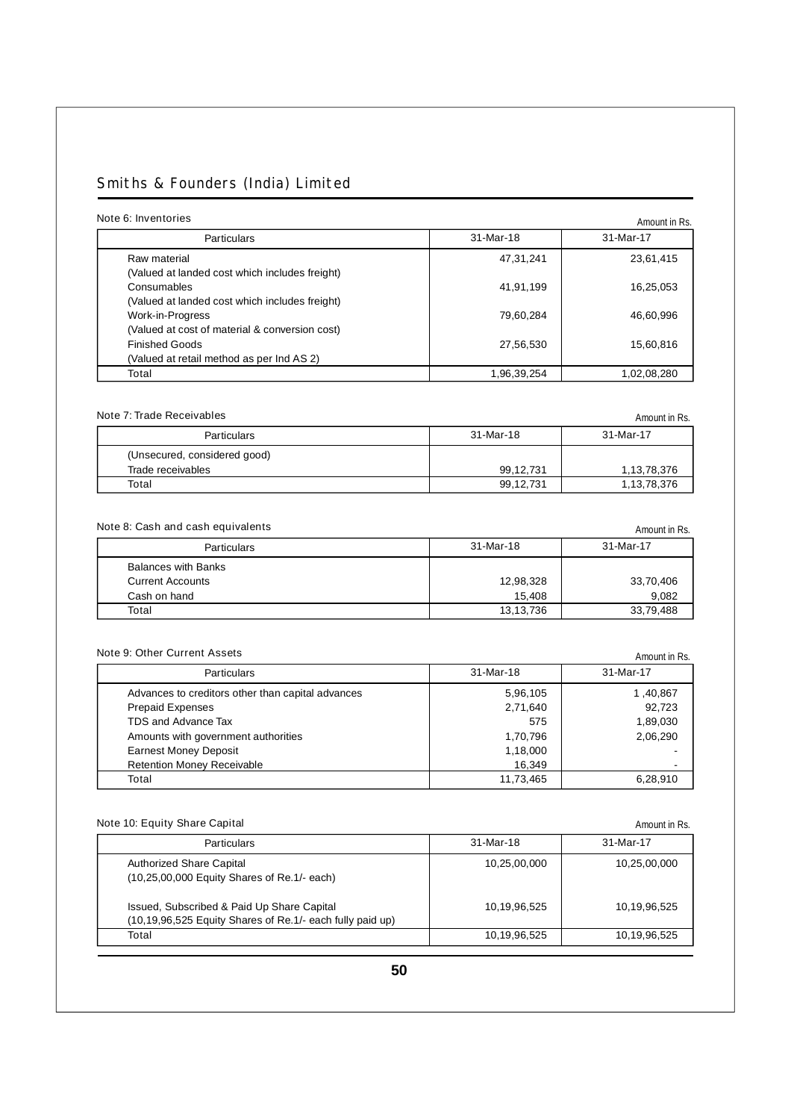| Note 6: Inventories                            |             | <b>Amount in Rs.</b> |
|------------------------------------------------|-------------|----------------------|
| <b>Particulars</b>                             | 31-Mar-18   | 31-Mar-17            |
| Raw material                                   | 47,31,241   | 23,61,415            |
| (Valued at landed cost which includes freight) |             |                      |
| Consumables                                    | 41,91,199   | 16,25,053            |
| (Valued at landed cost which includes freight) |             |                      |
| Work-in-Progress                               | 79,60,284   | 46,60,996            |
| (Valued at cost of material & conversion cost) |             |                      |
| <b>Finished Goods</b>                          | 27,56,530   | 15,60,816            |
| (Valued at retail method as per Ind AS 2)      |             |                      |
| <b>Total</b>                                   | 1,96,39,254 | 1,02,08,280          |

## **Note 7: Trade Receivables**

| Note 7: Trade Receivables    |           | <b>Amount in Rs.</b> |
|------------------------------|-----------|----------------------|
| <b>Particulars</b>           | 31-Mar-18 | 31-Mar-17            |
| (Unsecured, considered good) |           |                      |
| Trade receivables            | 99.12.731 | 1.13.78.376          |
| Total                        | 99,12,731 | 1,13,78,376          |

#### **Note 8: Cash and cash equivalents**

| Note 8: Cash and cash equivalents |           | Amount in Rs. |
|-----------------------------------|-----------|---------------|
| <b>Particulars</b>                | 31-Mar-18 | 31-Mar-17     |
| <b>Balances with Banks</b>        |           |               |
| <b>Current Accounts</b>           | 12,98,328 | 33,70,406     |
| Cash on hand                      | 15.408    | 9,082         |
| Total                             | 13,13,736 | 33,79,488     |

### **Note 9: Other Current Assets**

| Note 9: Other Current Assets                      | <b>Amount in Rs.</b> |           |
|---------------------------------------------------|----------------------|-----------|
| <b>Particulars</b>                                | 31-Mar-18            | 31-Mar-17 |
| Advances to creditors other than capital advances | 5,96,105             | 1,40,867  |
| <b>Prepaid Expenses</b>                           | 2,71,640             | 92.723    |
| TDS and Advance Tax                               | 575                  | 1,89,030  |
| Amounts with government authorities               | 1,70,796             | 2,06,290  |
| <b>Earnest Money Deposit</b>                      | 1,18,000             |           |
| <b>Retention Money Receivable</b>                 | 16,349               |           |
| Total                                             | 11,73,465            | 6,28,910  |

## **Note 10: Equity Share Capital**

| <b>Particulars</b>                                                                                      | 31-Mar-18    | 31-Mar-17    |
|---------------------------------------------------------------------------------------------------------|--------------|--------------|
| <b>Authorized Share Capital</b><br>(10,25,00,000 Equity Shares of Re.1/- each)                          | 10,25,00,000 | 10,25,00,000 |
| Issued, Subscribed & Paid Up Share Capital<br>(10,19,96,525 Equity Shares of Re.1/- each fully paid up) | 10,19,96,525 | 10,19,96,525 |
| Total                                                                                                   | 10,19,96,525 | 10,19,96,525 |

**Amount in Rs.**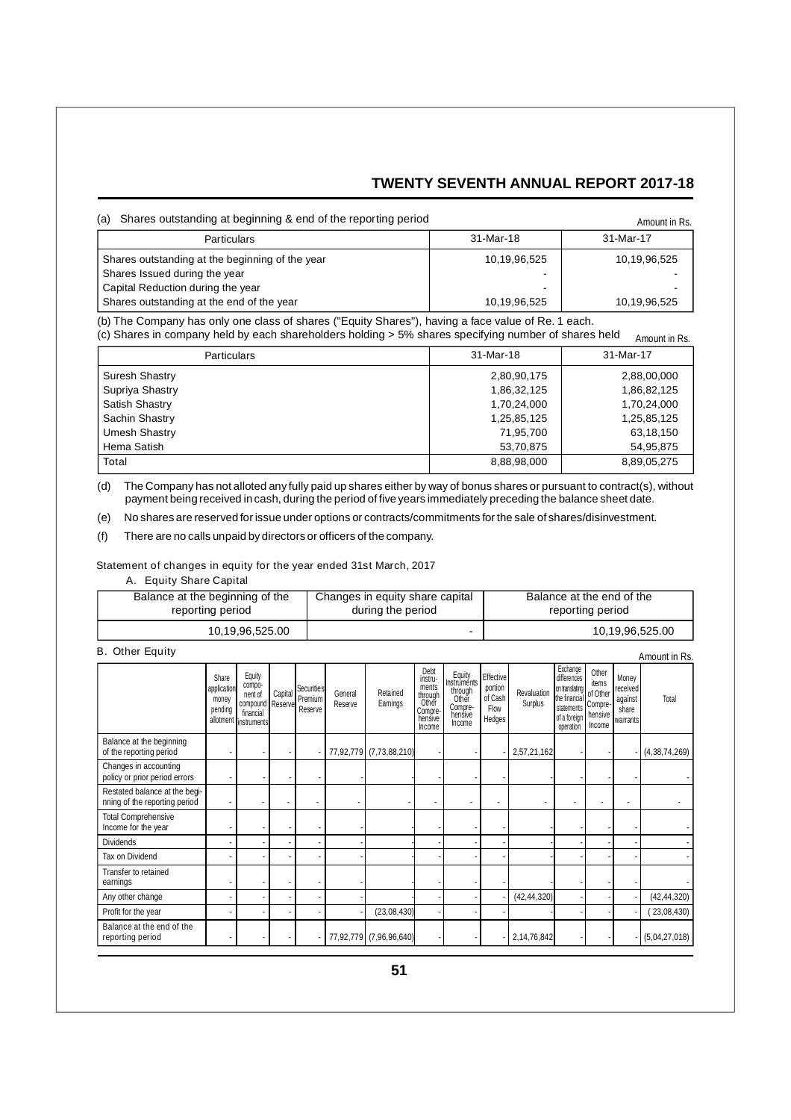| Shares outstanding at beginning & end of the reporting period<br>(a)             | <b>Amount in Rs.</b> |              |
|----------------------------------------------------------------------------------|----------------------|--------------|
| <b>Particulars</b>                                                               | 31-Mar-18            | 31-Mar-17    |
| Shares outstanding at the beginning of the year<br>Shares Issued during the year | 10,19,96,525<br>-    | 10,19,96,525 |
| Capital Reduction during the year                                                |                      |              |
| Shares outstanding at the end of the year                                        | 10,19,96,525         | 10,19,96,525 |

**(b) The Company has only one class of shares ("Equity Shares"), having a face value of Re. 1 each. (c) Shares in company held by each shareholders holding > 5% shares specifying number of shares held Amount in Rs.**

| <b>Particulars</b>    | 31-Mar-18   | 31-Mar-17   |
|-----------------------|-------------|-------------|
| <b>Suresh Shastry</b> | 2,80,90,175 | 2,88,00,000 |
| Supriya Shastry       | 1,86,32,125 | 1,86,82,125 |
| Satish Shastry        | 1,70,24,000 | 1,70,24,000 |
| Sachin Shastry        | 1,25,85,125 | 1,25,85,125 |
| <b>Umesh Shastry</b>  | 71,95,700   | 63,18,150   |
| Hema Satish           | 53,70,875   | 54,95,875   |
| <b>Total</b>          | 8,88,98,000 | 8,89,05,275 |

**(d) The Company has not alloted any fully paid up shares either by way of bonus shares or pursuant to contract(s), without payment being received in cash, during the period of five years immediately preceding the balance sheet date.**

**(e) No shares are reserved for issue under options or contracts/commitments for the sale of shares/disinvestment.**

**(f) There are no calls unpaid by directors or officers of the company.**

#### **Statement of changes in equity for the year ended 31st March, 2017**

### **A. Equity Share Capital**

| Balance at the beginning of the | Changes in equity share capital | Balance at the end of the |
|---------------------------------|---------------------------------|---------------------------|
| reporting period                | during the period               | reporting period          |
| 10,19,96,525.00                 |                                 | 10,19,96,525.00           |

| <b>B. Other Equity</b><br><b>Amount in Rs.</b>                |                                                              |                                                                                           |                |                                                |                           |                                    |                                                                                     |                                                                                        |                                                                        |                                      |                                                                                                                         |                                                                                 |                                                                 |                  |
|---------------------------------------------------------------|--------------------------------------------------------------|-------------------------------------------------------------------------------------------|----------------|------------------------------------------------|---------------------------|------------------------------------|-------------------------------------------------------------------------------------|----------------------------------------------------------------------------------------|------------------------------------------------------------------------|--------------------------------------|-------------------------------------------------------------------------------------------------------------------------|---------------------------------------------------------------------------------|-----------------------------------------------------------------|------------------|
|                                                               | <b>Share</b><br>application<br>money<br>pendina<br>allotment | <b>Equity</b><br>compo-<br>nent of<br>compound Reserve<br>financial<br><b>instruments</b> | <b>Capital</b> | <b>Securities</b><br>Premium<br><b>Reserve</b> | General<br><b>Reserve</b> | <b>Retained</b><br><b>Earnings</b> | Debt<br>instru-<br>ments<br>through<br>Other<br>Compre-<br>hensive<br><b>Income</b> | Equity<br><b>Instruments</b><br>through<br>Othă<br>Compre-<br>hensive<br><b>Income</b> | <b>Effective</b><br>portion<br>of Cash<br><b>Flow</b><br><b>Hedges</b> | <b>Revaluation</b><br><b>Surplus</b> | <b>Exchange</b><br>diferences<br><b>Intrastating</b><br>the financial<br><b>statements</b><br>of a foreign<br>operation | <b>Other</b><br><b>items</b><br>of Other<br>Compre-<br>hensive<br><b>Income</b> | <b>Money</b><br>received<br>acainst<br>share<br><b>warrants</b> | <b>Total</b>     |
| <b>Balance at the beginning</b><br>of the reporting period    | ۰                                                            |                                                                                           |                |                                                |                           | 77,92,779 (7,73,88,210)            |                                                                                     |                                                                                        |                                                                        | 2,57,21,162                          |                                                                                                                         |                                                                                 |                                                                 | (4, 38, 74, 269) |
| <b>Changes in accounting</b><br>policy or prior period errors | ٠                                                            |                                                                                           |                |                                                |                           |                                    |                                                                                     |                                                                                        |                                                                        |                                      |                                                                                                                         |                                                                                 |                                                                 |                  |
| Restated balance at the begi-<br>ming of the reporting period |                                                              | ٠                                                                                         |                | ٠                                              | ٠                         |                                    | ٠                                                                                   |                                                                                        |                                                                        |                                      |                                                                                                                         |                                                                                 | ٠                                                               |                  |
| <b>Total Comprehensive</b><br>Income for the year             |                                                              | ٠                                                                                         |                | ٠                                              |                           |                                    |                                                                                     |                                                                                        |                                                                        |                                      |                                                                                                                         |                                                                                 |                                                                 |                  |
| <b>Dividends</b>                                              | ۰                                                            | ٠                                                                                         |                | ٠                                              |                           |                                    |                                                                                     |                                                                                        | ٠                                                                      |                                      |                                                                                                                         | ٠                                                                               |                                                                 |                  |
| <b>Tax on Dividend</b>                                        | ۰.                                                           | ٠                                                                                         |                | ٠                                              |                           |                                    |                                                                                     |                                                                                        |                                                                        |                                      |                                                                                                                         | ٠                                                                               |                                                                 |                  |
| <b>Transfer to retained</b><br>earnings                       | ٠                                                            | ٠                                                                                         |                | ٠                                              |                           |                                    |                                                                                     |                                                                                        |                                                                        |                                      |                                                                                                                         |                                                                                 |                                                                 |                  |
| Any other change                                              | ۰                                                            | ۰                                                                                         |                | ٠                                              |                           |                                    |                                                                                     |                                                                                        |                                                                        | (42, 44, 320)                        |                                                                                                                         | ٠                                                                               |                                                                 | (42, 44, 320)    |
| Profit for the year                                           | ٠                                                            | ٠                                                                                         |                | ٠                                              |                           | (23,08,430)                        |                                                                                     | ٠                                                                                      |                                                                        |                                      |                                                                                                                         | ٠                                                                               |                                                                 | (23,08,430)      |
| Balance at the end of the<br>reporting period                 | ۰                                                            | ٠                                                                                         |                | ٠                                              |                           | 77,92,779 (7,96,96,640)            |                                                                                     |                                                                                        | ٠                                                                      | 2, 14, 76, 842                       |                                                                                                                         |                                                                                 |                                                                 | (5,04,27,018)    |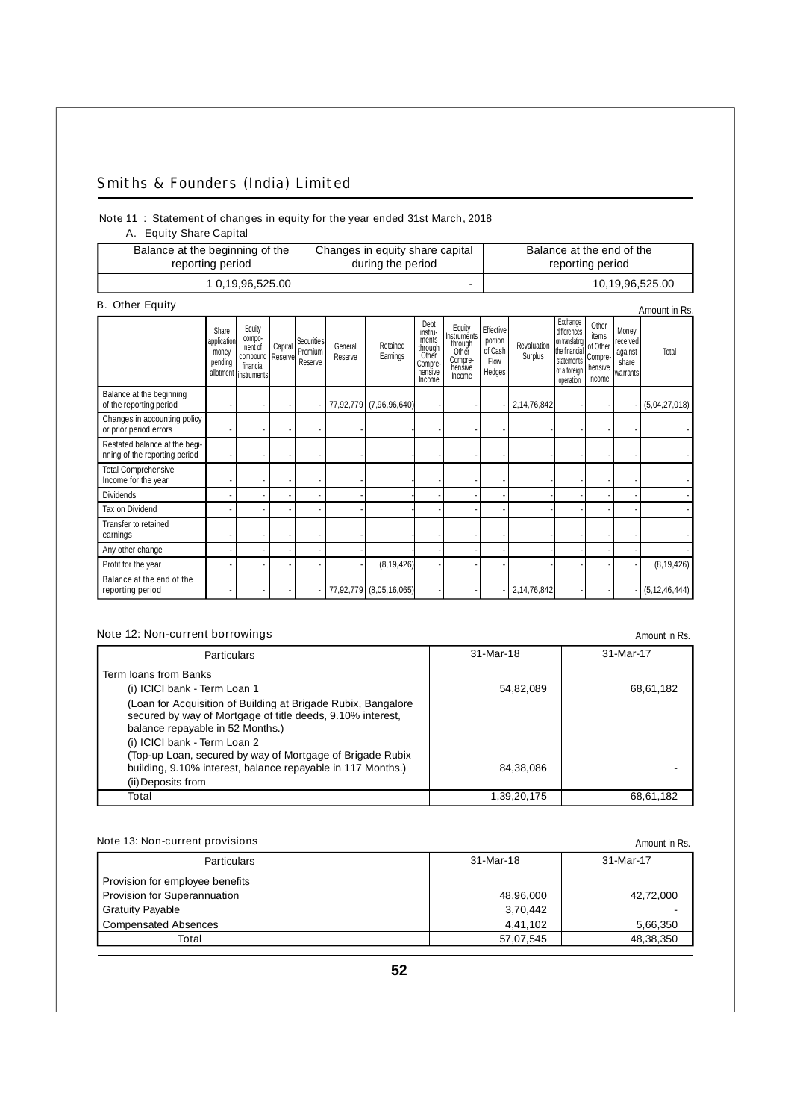#### **Note 11 : Statement of changes in equity for the year ended 31st March, 2018**

|  |  | A. Equity Share Capital |
|--|--|-------------------------|
|  |  |                         |

| Balance at the beginning of the<br>reporting period | Changes in equity share capital<br>during the period | Balance at the end of the<br>reporting period |
|-----------------------------------------------------|------------------------------------------------------|-----------------------------------------------|
| 1 0.19.96,525.00                                    | $\overline{\phantom{0}}$                             | 10,19,96,525.00                               |
|                                                     |                                                      |                                               |

| <b>B. Other Equity</b><br><b>Amount in Rs.</b>                |                                                              |                                                                                           |         |                                                       |                           |                                    |                                                                                            |                                                                                       |                                                                        |                                      |                                                                                                                           |                                                                                 |                                                          |                  |
|---------------------------------------------------------------|--------------------------------------------------------------|-------------------------------------------------------------------------------------------|---------|-------------------------------------------------------|---------------------------|------------------------------------|--------------------------------------------------------------------------------------------|---------------------------------------------------------------------------------------|------------------------------------------------------------------------|--------------------------------------|---------------------------------------------------------------------------------------------------------------------------|---------------------------------------------------------------------------------|----------------------------------------------------------|------------------|
|                                                               | <b>Share</b><br>application<br>money<br>pending<br>allotment | <b>Equity</b><br>compo-<br>nent of<br>compound Reserve<br>financial<br><b>instruments</b> | Capital | <b>Securities</b><br><b>Premium</b><br><b>Reserve</b> | General<br><b>Reserve</b> | <b>Retained</b><br><b>Earnings</b> | <b>Debt</b><br>instru-<br>ments<br>through<br>Othar<br>Compre-<br>hensive<br><b>Income</b> | Equity<br><b>Instruments</b><br>through<br>Othă<br>Compre-<br>hensive<br><b>hcome</b> | <b>Effective</b><br>portion<br>of Cash<br><b>Flow</b><br><b>Hedges</b> | <b>Revaluation</b><br><b>Surplus</b> | <b>Exchange</b><br>diferences<br><b>on translating</b><br>the financial<br><b>statements</b><br>of a foreign<br>operation | <b>Other</b><br><b>items</b><br>of Other<br>Compre-<br>hensive<br><b>Income</b> | <b>Money</b><br>received<br>against<br>share<br>warrants | <b>Total</b>     |
| <b>Balance at the beginning</b><br>of the reporting period    | -                                                            |                                                                                           |         |                                                       |                           | 77,92,779 (7,96,96,640)            |                                                                                            |                                                                                       |                                                                        | 2, 14, 76, 842                       |                                                                                                                           |                                                                                 | ۰                                                        | (5,04,27,018)    |
| <b>Changes in accounting policy</b><br>or prior period errors |                                                              |                                                                                           |         |                                                       |                           |                                    |                                                                                            |                                                                                       |                                                                        |                                      |                                                                                                                           |                                                                                 |                                                          |                  |
| Restated balance at the begi-<br>ming of the reporting period |                                                              |                                                                                           |         |                                                       |                           |                                    |                                                                                            |                                                                                       |                                                                        |                                      |                                                                                                                           |                                                                                 |                                                          |                  |
| <b>Total Comprehensive</b><br>Income for the year             | ٠                                                            |                                                                                           |         |                                                       |                           |                                    |                                                                                            |                                                                                       |                                                                        |                                      |                                                                                                                           |                                                                                 |                                                          |                  |
| <b>Dividends</b>                                              | ٠                                                            |                                                                                           |         |                                                       |                           |                                    |                                                                                            |                                                                                       |                                                                        |                                      |                                                                                                                           |                                                                                 |                                                          |                  |
| <b>Tax on Dividend</b>                                        | -                                                            |                                                                                           | -       |                                                       |                           |                                    |                                                                                            |                                                                                       |                                                                        |                                      |                                                                                                                           |                                                                                 | -                                                        |                  |
| <b>Transfer to retained</b><br>earnings                       | ٠                                                            |                                                                                           |         |                                                       |                           |                                    |                                                                                            |                                                                                       |                                                                        |                                      |                                                                                                                           |                                                                                 |                                                          |                  |
| Any other change                                              | ٠                                                            |                                                                                           |         |                                                       |                           |                                    |                                                                                            |                                                                                       |                                                                        |                                      |                                                                                                                           |                                                                                 |                                                          |                  |
| Profit for the year                                           | ٠                                                            |                                                                                           |         |                                                       |                           | (8, 19, 426)                       |                                                                                            |                                                                                       |                                                                        |                                      |                                                                                                                           |                                                                                 | ٠                                                        | (8, 19, 426)     |
| <b>Balance at the end of the</b><br>reporting period          |                                                              |                                                                                           |         |                                                       |                           | 77,92,779 (8,05,16,065)            |                                                                                            |                                                                                       |                                                                        | 2, 14, 76, 842                       |                                                                                                                           |                                                                                 | ٠                                                        | (5, 12, 46, 444) |

## **Note 12: Non-current borrowings <b>Amount in Rs.** Amount in Rs.

## **Particulars 31-Mar-18 31-Mar-17 Term loans from Banks** (i) ICICI bank - Term Loan 1 **54,82,089** 68,61,182  **(Loan for Acquisition of Building at Brigade Rubix, Bangalore secured by way of Mortgage of title deeds, 9.10% interest, balance repayable in 52 Months.) (i) ICICI bank - Term Loan 2 (Top-up Loan, secured by way of Mortgage of Brigade Rubix building, 9.10% interest, balance repayable in 117 Months.)**  $\qquad$  **84,38,086 | (ii) Deposits from Total 1,39,20,175 68,61,182**

### **Note 13: Non-current provisions Amount in Research 20: Note 13: Non-current provisions**

|                                 |           | .         |  |  |
|---------------------------------|-----------|-----------|--|--|
| Particulars                     | 31-Mar-18 | 31-Mar-17 |  |  |
| Provision for employee benefits |           |           |  |  |
| Provision for Superannuation    | 48,96,000 | 42,72,000 |  |  |
| <b>Gratuity Payable</b>         | 3,70,442  |           |  |  |
| <b>Compensated Absences</b>     | 4.41.102  | 5,66,350  |  |  |
| Total                           | 57,07,545 | 48,38,350 |  |  |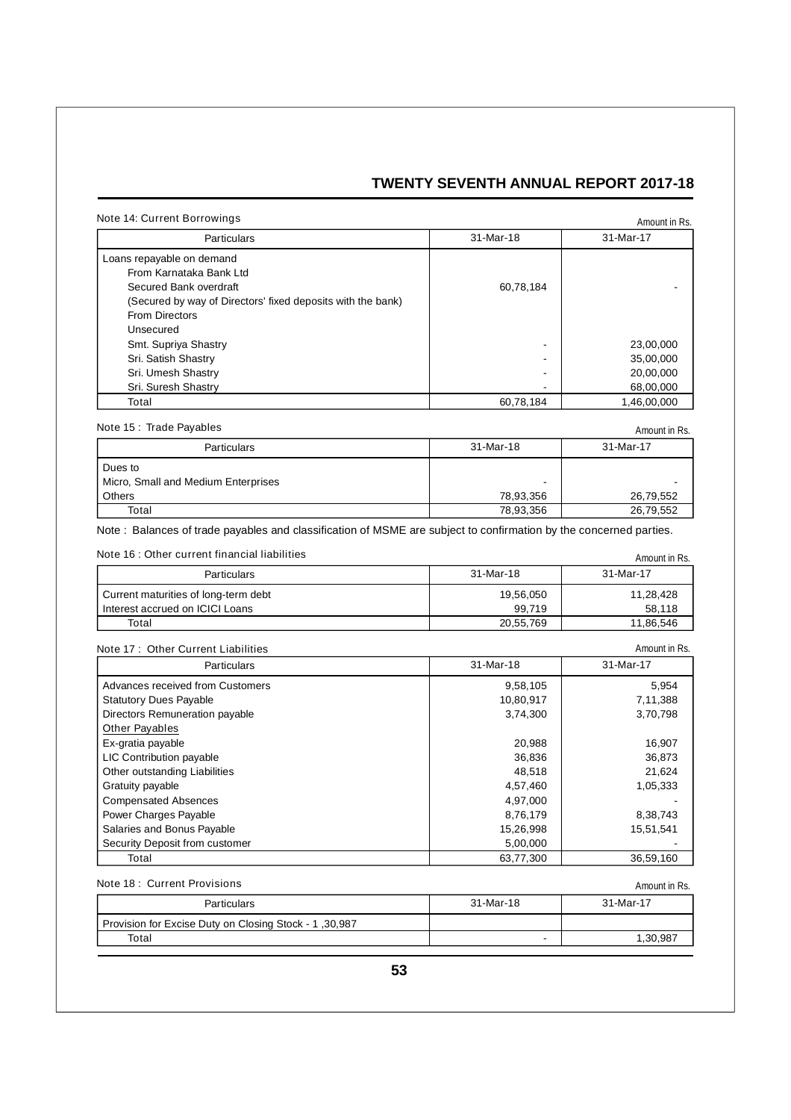| <b>Note 14: Current Borrowings</b>                          |                          | <b>Amount in Rs.</b> |  |  |  |
|-------------------------------------------------------------|--------------------------|----------------------|--|--|--|
| Particulars                                                 | 31-Mar-18                | 31-Mar-17            |  |  |  |
| Loans repayable on demand                                   |                          |                      |  |  |  |
| From Karnataka Bank Ltd                                     |                          |                      |  |  |  |
| Secured Bank overdraft                                      | 60,78,184                |                      |  |  |  |
| (Secured by way of Directors' fixed deposits with the bank) |                          |                      |  |  |  |
| <b>From Directors</b>                                       |                          |                      |  |  |  |
| Unsecured                                                   |                          |                      |  |  |  |
| Smt. Supriya Shastry                                        |                          | 23,00,000            |  |  |  |
| Sri. Satish Shastry                                         |                          | 35,00,000            |  |  |  |
| Sri. Umesh Shastry                                          |                          | 20,00,000            |  |  |  |
| Sri, Suresh Shastry                                         | $\overline{\phantom{a}}$ | 68,00,000            |  |  |  |
| Total                                                       | 60,78,184                | 1,46,00,000          |  |  |  |

### **Note 15 : Trade Payables**

| Note 15 : Trade Payables            |                          | <b>Amount in Rs.</b> |
|-------------------------------------|--------------------------|----------------------|
| <b>Particulars</b>                  | 31-Mar-18                | 31-Mar-17            |
| Dues to                             |                          |                      |
| Micro, Small and Medium Enterprises | $\overline{\phantom{0}}$ |                      |
| Others                              | 78,93,356                | 26,79,552            |
| Total                               | 78,93,356                | 26,79,552            |

**Note : Balances of trade payables and classification of MSME are subject to confirmation by the concerned parties.**

## **Note 16 : Other current financial liabilities Amount in Rs. Amount in Rs. Amount in Rs.**

| <b>Particulars</b>                   | 31-Mar-18 | 31-Mar-17 |
|--------------------------------------|-----------|-----------|
| Current maturities of long-term debt | 19,56,050 | 11.28.428 |
| Interest accrued on ICICI Loans      | 99.719    | 58.118    |
| Total                                | 20,55,769 | 11,86,546 |

### **Note 17 : Other Current Liabilities Amount in Rs. Amount in Rs. Amount in Rs.**

| <b>Particulars</b>               | 31-Mar-18 | 31-Mar-17 |
|----------------------------------|-----------|-----------|
| Advances received from Customers | 9,58,105  | 5,954     |
| <b>Statutory Dues Payable</b>    | 10,80,917 | 7,11,388  |
| Directors Remuneration payable   | 3,74,300  | 3,70,798  |
| <b>Other Payables</b>            |           |           |
| Ex-gratia payable                | 20,988    | 16,907    |
| <b>LIC Contribution payable</b>  | 36,836    | 36,873    |
| Other outstanding Liabilities    | 48,518    | 21.624    |
| Gratuity payable                 | 4,57,460  | 1,05,333  |
| <b>Compensated Absences</b>      | 4,97,000  |           |
| Power Charges Payable            | 8,76,179  | 8,38,743  |
| Salaries and Bonus Payable       | 15,26,998 | 15,51,541 |
| Security Deposit from customer   | 5,00,000  |           |
| <b>Total</b>                     | 63,77,300 | 36,59,160 |

### **Note 18 : Current Provisions Amount in Rs.**

| <b>Particulars</b>                                    | 31-Mar-18 | 31-Mar-17 |
|-------------------------------------------------------|-----------|-----------|
| Provision for Excise Duty on Closing Stock - 1,30,987 |           |           |
| Total                                                 |           | 1,30,987  |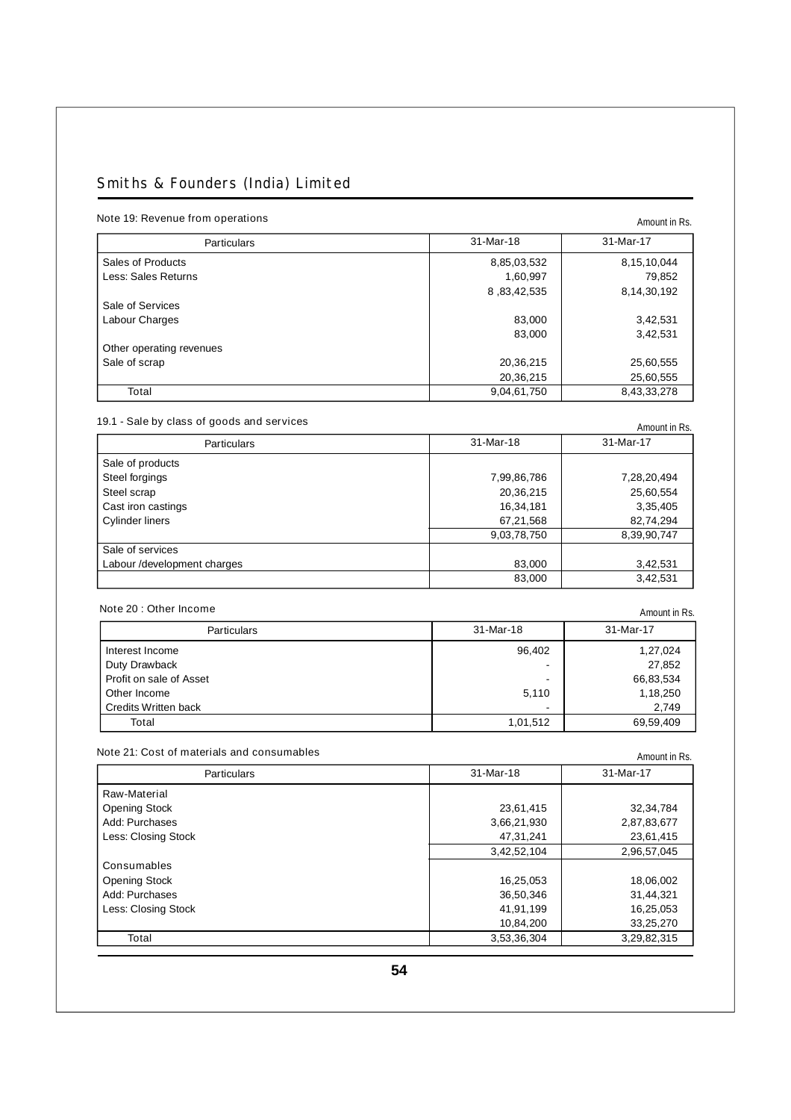## **Note 19: Revenue from operations Amount in Rs.**

|                          |             | .           |
|--------------------------|-------------|-------------|
| <b>Particulars</b>       | 31-Mar-18   | 31-Mar-17   |
| Sales of Products        | 8,85,03,532 | 8,15,10,044 |
| Less: Sales Returns      | 1,60,997    | 79,852      |
|                          | 8,83,42,535 | 8,14,30,192 |
| Sale of Services         |             |             |
| Labour Charges           | 83,000      | 3,42,531    |
|                          | 83,000      | 3,42,531    |
| Other operating revenues |             |             |
| Sale of scrap            | 20,36,215   | 25,60,555   |
|                          | 20,36,215   | 25,60,555   |
| Total                    | 9,04,61,750 | 8,43,33,278 |
|                          |             |             |

## **19.1 - Sale by class of goods and services Amount in Rs. Amount in Rs. Amount in Rs.**

| <b>Particulars</b>         | 31-Mar-18   | 31-Mar-17   |
|----------------------------|-------------|-------------|
| Sale of products           |             |             |
| Steel forgings             | 7,99,86,786 | 7,28,20,494 |
| Steel scrap                | 20,36,215   | 25,60,554   |
| Cast iron castings         | 16,34,181   | 3,35,405    |
| <b>Cylinder liners</b>     | 67,21,568   | 82,74,294   |
|                            | 9,03,78,750 | 8,39,90,747 |
| Sale of services           |             |             |
| Labour/development charges | 83,000      | 3,42,531    |
|                            | 83,000      | 3,42,531    |

## **Note 20 : Other Income Amount in Rs. Amount in Rs. Amount in Rs. Amount in Rs.**

|                         |                          | .         |
|-------------------------|--------------------------|-----------|
| <b>Particulars</b>      | 31-Mar-18                | 31-Mar-17 |
| Interest Income         | 96,402                   | 1,27,024  |
| Duty Drawback           | -                        | 27,852    |
| Profit on sale of Asset | -                        | 66,83,534 |
| Other Income            | 5,110                    | 1,18,250  |
| Credits Written back    | $\overline{\phantom{a}}$ | 2,749     |
| Total                   | 1,01,512                 | 69,59,409 |

## **Note 21: Cost of materials and consumables Amount in Rs.** Amount in Rs.

| Particulars          | 31-Mar-18   | 31-Mar-17   |
|----------------------|-------------|-------------|
| Raw-Material         |             |             |
| <b>Opening Stock</b> | 23,61,415   | 32, 34, 784 |
| Add: Purchases       | 3,66,21,930 | 2,87,83,677 |
| Less: Closing Stock  | 47,31,241   | 23,61,415   |
|                      | 3,42,52,104 | 2,96,57,045 |
| <b>Consumables</b>   |             |             |
| <b>Opening Stock</b> | 16,25,053   | 18,06,002   |
| Add: Purchases       | 36,50,346   | 31,44,321   |
| Less: Closing Stock  | 41,91,199   | 16,25,053   |
|                      | 10,84,200   | 33,25,270   |
| Total                | 3,53,36,304 | 3,29,82,315 |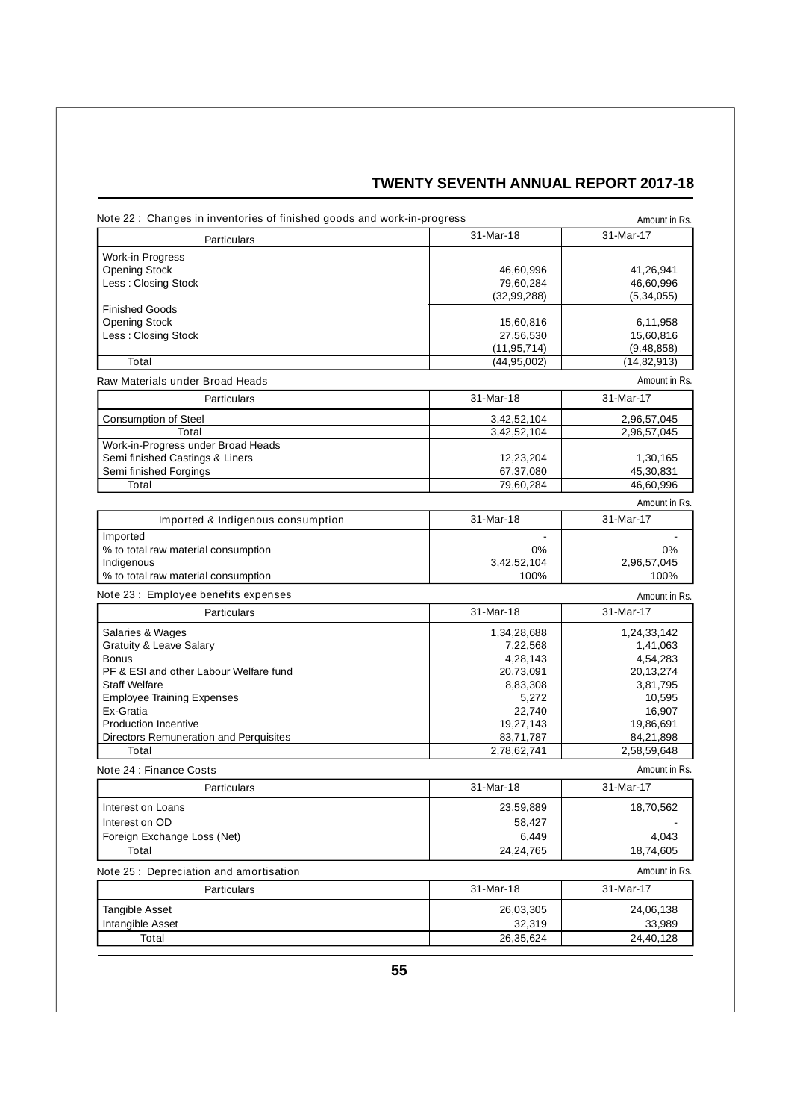| Particulars                            | 31-Mar-18     | 31-Mar-17            |
|----------------------------------------|---------------|----------------------|
|                                        |               |                      |
| <b>Work-in Progress</b>                |               |                      |
| <b>Opening Stock</b>                   | 46,60,996     | 41,26,941            |
| Less: Closing Stock                    | 79,60,284     | 46,60,996            |
|                                        | (32, 99, 288) | (5, 34, 055)         |
| <b>Finished Goods</b>                  |               |                      |
| <b>Opening Stock</b>                   | 15,60,816     | 6,11,958             |
| Less: Closing Stock                    | 27,56,530     | 15,60,816            |
| <b>Total</b>                           | (11, 95, 714) | (9, 48, 858)         |
|                                        | (44, 95, 002) | (14, 82, 913)        |
| Raw Materials under Broad Heads        |               | <b>Amount in Rs.</b> |
| <b>Particulars</b>                     | 31-Mar-18     | 31-Mar-17            |
| <b>Consumption of Steel</b>            | 3,42,52,104   | 2,96,57,045          |
| <b>Total</b>                           | 3,42,52,104   | 2,96,57,045          |
| Work-in-Progress under Broad Heads     |               |                      |
| Semi finished Castings & Liners        | 12,23,204     | 1,30,165             |
| Semi finished Forgings                 | 67,37,080     | 45,30,831            |
| <b>Total</b>                           | 79,60,284     | 46,60,996            |
|                                        |               | <b>Amount in Rs.</b> |
| Imported & Indigenous consumption      | 31-Mar-18     | 31-Mar-17            |
| Imported                               |               |                      |
| % to total raw material consumption    | $0\%$         | 0%                   |
| Indigenous                             | 3,42,52,104   | 2,96,57,045          |
| % to total raw material consumption    | 100%          | 100%                 |
| Note 23 : Employee benefits expenses   |               | <b>Amount in Rs.</b> |
| <b>Particulars</b>                     | 31-Mar-18     | 31-Mar-17            |
| Salaries & Wages                       | 1,34,28,688   | 1,24,33,142          |
| <b>Gratuity &amp; Leave Salary</b>     | 7,22,568      | 1,41,063             |
| <b>Bonus</b>                           | 4,28,143      | 4,54,283             |
| PF & ESI and other Labour Welfare fund | 20,73,091     | 20, 13, 274          |
| <b>Staff Welfare</b>                   | 8,83,308      | 3,81,795             |
| <b>Employee Training Expenses</b>      | 5,272         | 10,595               |
| Ex-Gratia                              | 22,740        | 16,907               |
| Production Incentive                   | 19,27,143     | 19,86,691            |
| Directors Remuneration and Perquisites | 83,71,787     | 84,21,898            |
| <b>Total</b>                           | 2,78,62,741   | 2,58,59,648          |
| <b>Note 24 : Finance Costs</b>         |               | <b>Amount in Rs.</b> |
| Particulars                            | 31-Mar-18     | 31-Mar-17            |
| Interest on Loans                      | 23,59,889     | 18,70,562            |
| Interest on OD                         | 58,427        |                      |
| Foreign Exchange Loss (Net)            | 6,449         | 4,043                |
| Total                                  | 24,24,765     | 18,74,605            |
| Note 25: Depreciation and amortisation |               | Amount in Rs.        |
| <b>Particulars</b>                     | 31-Mar-18     | 31-Mar-17            |
|                                        |               |                      |
| Tangible Asset                         | 26,03,305     | 24,06,138            |
| Intangible Asset                       | 32,319        | 33,989               |
| <b>Total</b>                           | 26,35,624     | 24,40,128            |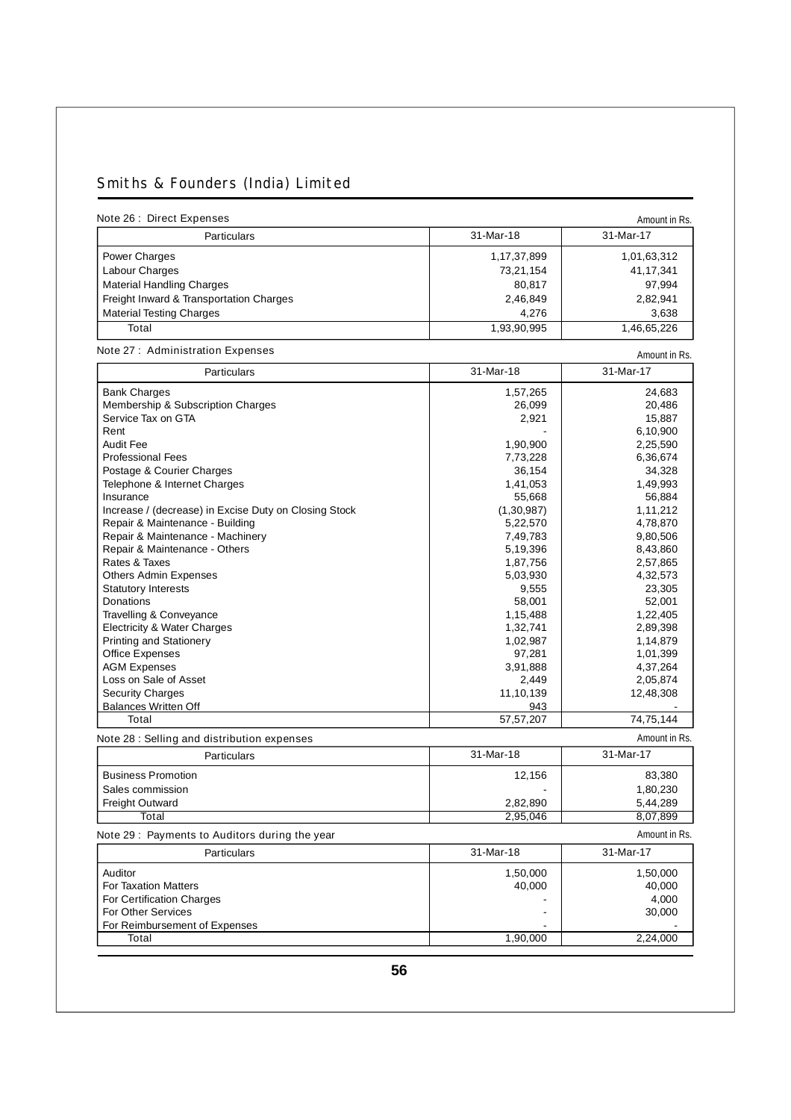| <b>Note 26 : Direct Expenses</b>        |             | <b>Amount in Rs.</b> |
|-----------------------------------------|-------------|----------------------|
| Particulars                             | 31-Mar-18   | 31-Mar-17            |
| Power Charges                           | 1,17,37,899 | 1,01,63,312          |
| Labour Charges                          | 73,21,154   | 41, 17, 341          |
| <b>Material Handling Charges</b>        | 80,817      | 97,994               |
| Freight Inward & Transportation Charges | 2,46,849    | 2,82,941             |
| <b>Material Testing Charges</b>         | 4.276       | 3,638                |
| Total                                   | 1,93,90,995 | 1,46,65,226          |

## **Note 27 : Administration Expenses Amount in Research 2014 Amount in Research 2014 Amount in Research 2015**

|                                                       |             | Ambun In             |
|-------------------------------------------------------|-------------|----------------------|
| <b>Particulars</b>                                    | 31-Mar-18   | 31-Mar-17            |
| <b>Bank Charges</b>                                   | 1,57,265    | 24,683               |
| Membership & Subscription Charges                     | 26,099      | 20,486               |
| Service Tax on GTA                                    | 2,921       | 15,887               |
| Rent                                                  |             | 6,10,900             |
| <b>Audit Fee</b>                                      | 1,90,900    | 2,25,590             |
| <b>Professional Fees</b>                              | 7,73,228    | 6,36,674             |
| Postage & Courier Charges                             | 36,154      | 34,328               |
| Telephone & Internet Charges                          | 1,41,053    | 1,49,993             |
| Insurance                                             | 55,668      | 56,884               |
| Increase / (decrease) in Excise Duty on Closing Stock | (1,30,987)  | 1,11,212             |
| Repair & Maintenance - Building                       | 5,22,570    | 4,78,870             |
| Repair & Maintenance - Machinery                      | 7,49,783    | 9,80,506             |
| Repair & Maintenance - Others                         | 5,19,396    | 8,43,860             |
| Rates & Taxes                                         | 1,87,756    | 2,57,865             |
| <b>Others Admin Expenses</b>                          | 5,03,930    | 4,32,573             |
| <b>Statutory Interests</b>                            | 9,555       | 23,305               |
| Donations                                             | 58,001      | 52,001               |
| Travelling & Conveyance                               | 1,15,488    | 1,22,405             |
| Electricity & Water Charges                           | 1,32,741    | 2,89,398             |
| <b>Printing and Stationery</b>                        | 1,02,987    | 1,14,879             |
| <b>Office Expenses</b>                                | 97,281      | 1,01,399             |
| <b>AGM Expenses</b>                                   | 3,91,888    | 4,37,264             |
| Loss on Sale of Asset                                 | 2,449       | 2,05,874             |
| <b>Security Charges</b>                               | 11,10,139   | 12,48,308            |
| <b>Balances Written Off</b>                           | 943         |                      |
| <b>Total</b>                                          | 57, 57, 207 | 74,75,144            |
| Note 28 : Selling and distribution expenses           |             | <b>Amount in Rs.</b> |
| Particulars                                           | 31-Mar-18   | 31-Mar-17            |
| <b>Business Promotion</b>                             | 12,156      | 83,380               |
| Sales commission                                      |             | 1,80,230             |
| <b>Freight Outward</b>                                | 2,82,890    | 5,44,289             |
| <b>Total</b>                                          | 2.95.046    | 8.07.899             |
| Note 29 : Payments to Auditors during the year        |             | <b>Amount in Rs.</b> |
| Particulars                                           | 31-Mar-18   | 31-Mar-17            |
| Auditor                                               | 1,50,000    | 1,50,000             |
| <b>For Taxation Matters</b>                           | 40,000      | 40,000               |
| For Certification Charges                             |             | 4,000                |
| For Other Services                                    |             | 30,000               |
| For Reimbursement of Expenses                         |             |                      |
| <b>Total</b>                                          | 1,90,000    | 2,24,000             |
|                                                       |             |                      |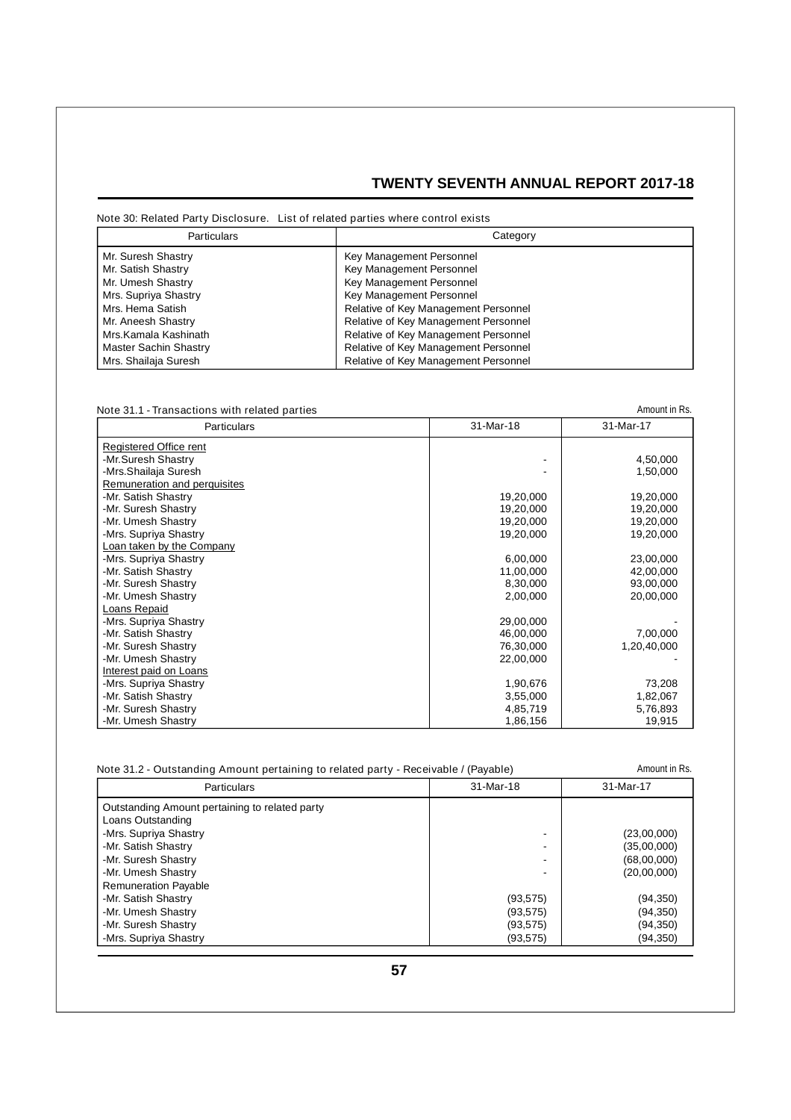## **Note 30: Related Party Disclosure. List of related parties where control exists**

| <b>Particulars</b>    | Category                             |
|-----------------------|--------------------------------------|
| Mr. Suresh Shastry    | Key Management Personnel             |
| Mr. Satish Shastry    | Key Management Personnel             |
| Mr. Umesh Shastry     | Key Management Personnel             |
| Mrs. Supriya Shastry  | Key Management Personnel             |
| Mrs. Hema Satish      | Relative of Key Management Personnel |
| Mr. Aneesh Shastry    | Relative of Key Management Personnel |
| Mrs.Kamala Kashinath  | Relative of Key Management Personnel |
| Master Sachin Shastry | Relative of Key Management Personnel |
| Mrs. Shailaja Suresh  | Relative of Key Management Personnel |

#### **Note 31.1 - Transactions with related parties <b>Amount in Rs. Amount in Rs. Amount in Rs.**

| <b>Particulars</b>            | 31-Mar-18 | 31-Mar-17   |
|-------------------------------|-----------|-------------|
| <b>Registered Office rent</b> |           |             |
| -Mr.Suresh Shastry            |           | 4,50,000    |
| -Mrs.Shailaja Suresh          |           | 1,50,000    |
| Remuneration and perquisites  |           |             |
| -Mr. Satish Shastry           | 19,20,000 | 19,20,000   |
| -Mr. Suresh Shastry           | 19,20,000 | 19,20,000   |
| -Mr. Umesh Shastry            | 19,20,000 | 19,20,000   |
| -Mrs. Supriya Shastry         | 19,20,000 | 19,20,000   |
| Loan taken by the Company     |           |             |
| -Mrs. Supriya Shastry         | 6,00,000  | 23,00,000   |
| -Mr. Satish Shastry           | 11,00,000 | 42,00,000   |
| -Mr. Suresh Shastry           | 8,30,000  | 93,00,000   |
| -Mr. Umesh Shastry            | 2,00,000  | 20,00,000   |
| Loans Repaid                  |           |             |
| -Mrs. Supriya Shastry         | 29,00,000 |             |
| -Mr. Satish Shastry           | 46,00,000 | 7,00,000    |
| -Mr. Suresh Shastry           | 76,30,000 | 1,20,40,000 |
| -Mr. Umesh Shastry            | 22,00,000 |             |
| Interest paid on Loans        |           |             |
| -Mrs. Supriya Shastry         | 1,90,676  | 73,208      |
| -Mr. Satish Shastry           | 3,55,000  | 1,82,067    |
| -Mr. Suresh Shastry           | 4,85,719  | 5,76,893    |
| -Mr. Umesh Shastry            | 1,86,156  | 19,915      |

| Note 31.2 - Outstanding Amount pertaining to related party - Receivable / (Payable) | <b>Amount in Rs.</b>     |             |  |
|-------------------------------------------------------------------------------------|--------------------------|-------------|--|
| <b>Particulars</b>                                                                  | 31-Mar-18                | 31-Mar-17   |  |
| Outstanding Amount pertaining to related party                                      |                          |             |  |
| Loans Outstanding                                                                   |                          |             |  |
| -Mrs. Supriya Shastry                                                               | $\blacksquare$           | (23,00,000) |  |
| -Mr. Satish Shastry                                                                 | -                        | (35,00,000) |  |
| -Mr. Suresh Shastry                                                                 | -                        | (68,00,000) |  |
| -Mr. Umesh Shastry                                                                  | $\overline{\phantom{0}}$ | (20,00,000) |  |
| <b>Remuneration Payable</b>                                                         |                          |             |  |
| -Mr. Satish Shastry                                                                 | (93, 575)                | (94, 350)   |  |
| -Mr. Umesh Shastry                                                                  | (93, 575)                | (94, 350)   |  |
| -Mr. Suresh Shastry                                                                 | (93, 575)                | (94, 350)   |  |
| -Mrs. Supriya Shastry                                                               | (93, 575)                | (94, 350)   |  |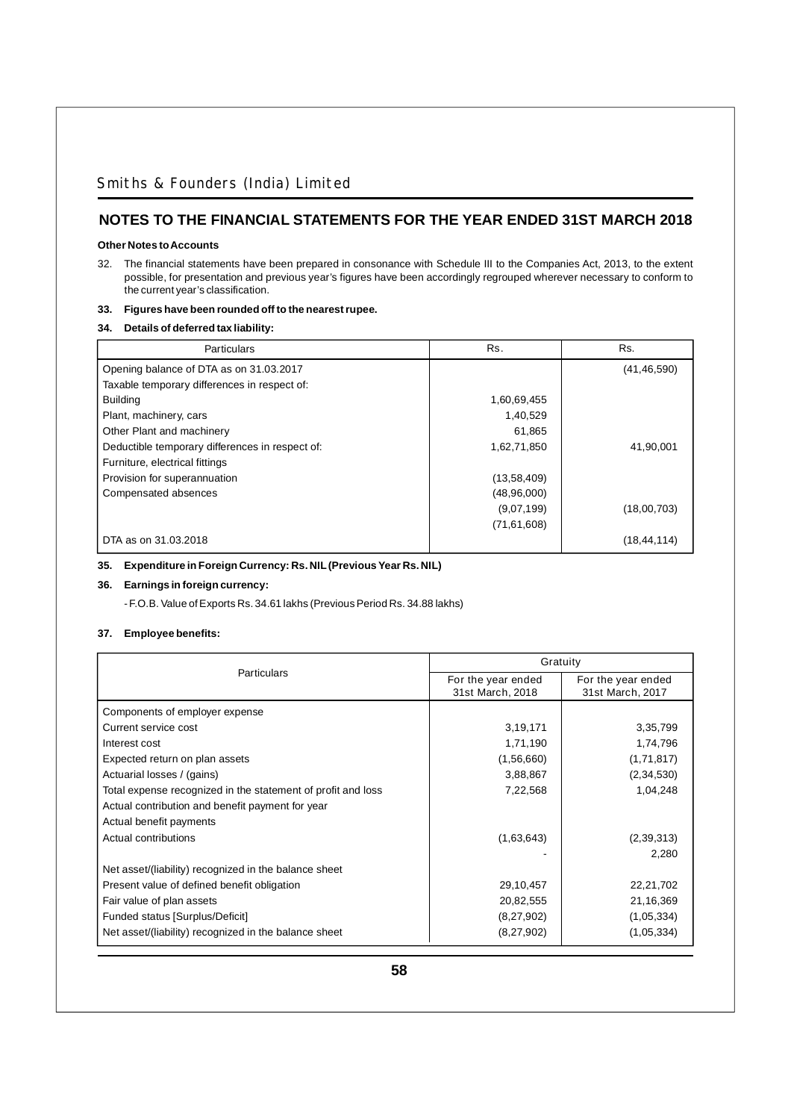## **NOTES TO THE FINANCIAL STATEMENTS FOR THE YEAR ENDED 31ST MARCH 2018**

### **Other Notes to Accounts**

32. The financial statements have been prepared in consonance with Schedule III to the Companies Act, 2013, to the extent possible, for presentation and previous year's figures have been accordingly regrouped wherever necessary to conform to the current year's classification.

#### **33. Figures have been rounded off to the nearest rupee.**

### **34. Details of deferred tax liability:**

| <b>Particulars</b>                              | Rs.           | Rs.           |
|-------------------------------------------------|---------------|---------------|
| Opening balance of DTA as on 31.03.2017         |               | (41, 46, 590) |
| Taxable temporary differences in respect of:    |               |               |
| <b>Building</b>                                 | 1,60,69,455   |               |
| Plant, machinery, cars                          | 1,40,529      |               |
| Other Plant and machinery                       | 61,865        |               |
| Deductible temporary differences in respect of: | 1,62,71,850   | 41,90,001     |
| Furniture, electrical fittings                  |               |               |
| Provision for superannuation                    | (13,58,409)   |               |
| Compensated absences                            | (48,96,000)   |               |
|                                                 | (9,07,199)    | (18,00,703)   |
|                                                 | (71, 61, 608) |               |
| DTA as on 31,03,2018                            |               | (18, 44, 114) |

## **35. Expenditure in Foreign Currency: Rs. NIL (Previous Year Rs. NIL)**

### **36. Earnings in foreign currency:**

- F.O.B. Value of Exports Rs. 34.61 lakhs (Previous Period Rs. 34.88 lakhs)

#### **37. Employee benefits:**

|                                                              | Gratuity                               |                                        |  |
|--------------------------------------------------------------|----------------------------------------|----------------------------------------|--|
| <b>Particulars</b>                                           | For the year ended<br>31st March, 2018 | For the year ended<br>31st March, 2017 |  |
| Components of employer expense                               |                                        |                                        |  |
| Current service cost                                         | 3,19,171                               | 3,35,799                               |  |
| Interest cost                                                | 1,71,190                               | 1,74,796                               |  |
| Expected return on plan assets                               | (1,56,660)                             | (1,71,817)                             |  |
| Actuarial losses / (gains)                                   | 3,88,867                               | (2, 34, 530)                           |  |
| Total expense recognized in the statement of profit and loss | 7,22,568                               | 1,04,248                               |  |
| Actual contribution and benefit payment for year             |                                        |                                        |  |
| Actual benefit payments                                      |                                        |                                        |  |
| Actual contributions                                         | (1,63,643)                             | (2, 39, 313)                           |  |
|                                                              |                                        | 2,280                                  |  |
| Net asset/(liability) recognized in the balance sheet        |                                        |                                        |  |
| Present value of defined benefit obligation                  | 29,10,457                              | 22,21,702                              |  |
| Fair value of plan assets                                    | 20,82,555                              | 21,16,369                              |  |
| Funded status [Surplus/Deficit]                              | (8, 27, 902)                           | (1,05,334)                             |  |
| Net asset/(liability) recognized in the balance sheet        | (8, 27, 902)                           | (1,05,334)                             |  |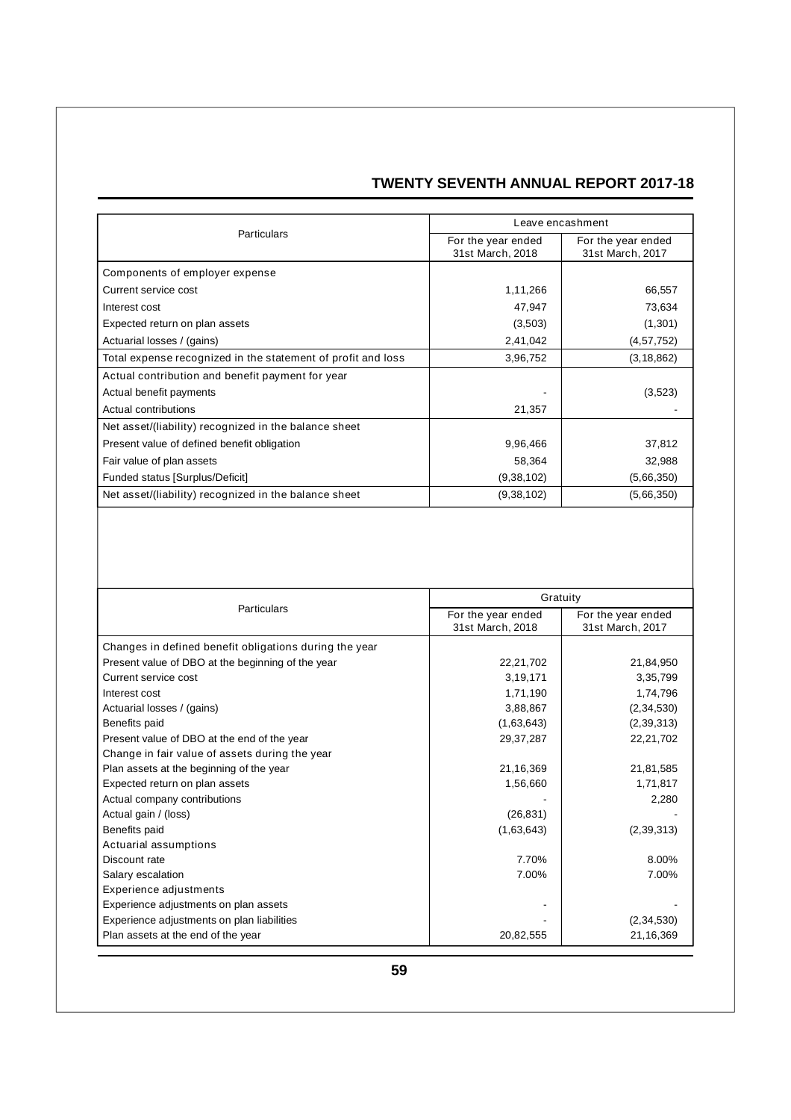|                                                              | Leave encashment                       |                                        |  |
|--------------------------------------------------------------|----------------------------------------|----------------------------------------|--|
| <b>Particulars</b>                                           | For the year ended<br>31st March, 2018 | For the year ended<br>31st March, 2017 |  |
| <b>Components of employer expense</b>                        |                                        |                                        |  |
| Current service cost                                         | 1,11,266                               | 66,557                                 |  |
| Interest cost                                                | 47,947                                 | 73,634                                 |  |
| Expected return on plan assets                               | (3,503)                                | (1,301)                                |  |
| Actuarial losses / (gains)                                   | 2,41,042                               | (4, 57, 752)                           |  |
| Total expense recognized in the statement of profit and loss | 3,96,752                               | (3, 18, 862)                           |  |
| Actual contribution and benefit payment for year             |                                        |                                        |  |
| Actual benefit payments                                      |                                        | (3,523)                                |  |
| Actual contributions                                         | 21,357                                 |                                        |  |
| Net asset/(liability) recognized in the balance sheet        |                                        |                                        |  |
| Present value of defined benefit obligation                  | 9,96,466                               | 37,812                                 |  |
| Fair value of plan assets                                    | 58,364                                 | 32,988                                 |  |
| Funded status [Surplus/Deficit]                              | (9,38,102)                             | (5,66,350)                             |  |
| Net asset/(liability) recognized in the balance sheet        | (9,38,102)                             | (5,66,350)                             |  |

|                                                        | Gratuity           |                    |  |
|--------------------------------------------------------|--------------------|--------------------|--|
| Particulars                                            | For the year ended | For the year ended |  |
|                                                        | 31st March, 2018   | 31st March, 2017   |  |
| Changes in defined benefit obligations during the year |                    |                    |  |
| Present value of DBO at the beginning of the year      | 22,21,702          | 21,84,950          |  |
| Current service cost                                   | 3,19,171           | 3,35,799           |  |
| Interest cost                                          | 1,71,190           | 1,74,796           |  |
| Actuarial losses / (gains)                             | 3,88,867           | (2, 34, 530)       |  |
| Benefits paid                                          | (1,63,643)         | (2, 39, 313)       |  |
| Present value of DBO at the end of the year            | 29,37,287          | 22,21,702          |  |
| Change in fair value of assets during the year         |                    |                    |  |
| Plan assets at the beginning of the year               | 21, 16, 369        | 21,81,585          |  |
| Expected return on plan assets                         | 1,56,660           | 1,71,817           |  |
| Actual company contributions                           |                    | 2,280              |  |
| Actual gain / (loss)                                   | (26, 831)          |                    |  |
| Benefits paid                                          | (1,63,643)         | (2, 39, 313)       |  |
| <b>Actuarial assumptions</b>                           |                    |                    |  |
| Discount rate                                          | 7.70%              | 8.00%              |  |
| Salary escalation                                      | 7.00%              | 7.00%              |  |
| <b>Experience adjustments</b>                          |                    |                    |  |
| Experience adjustments on plan assets                  |                    |                    |  |
| Experience adjustments on plan liabilities             |                    | (2, 34, 530)       |  |
| Plan assets at the end of the year                     | 20,82,555          | 21, 16, 369        |  |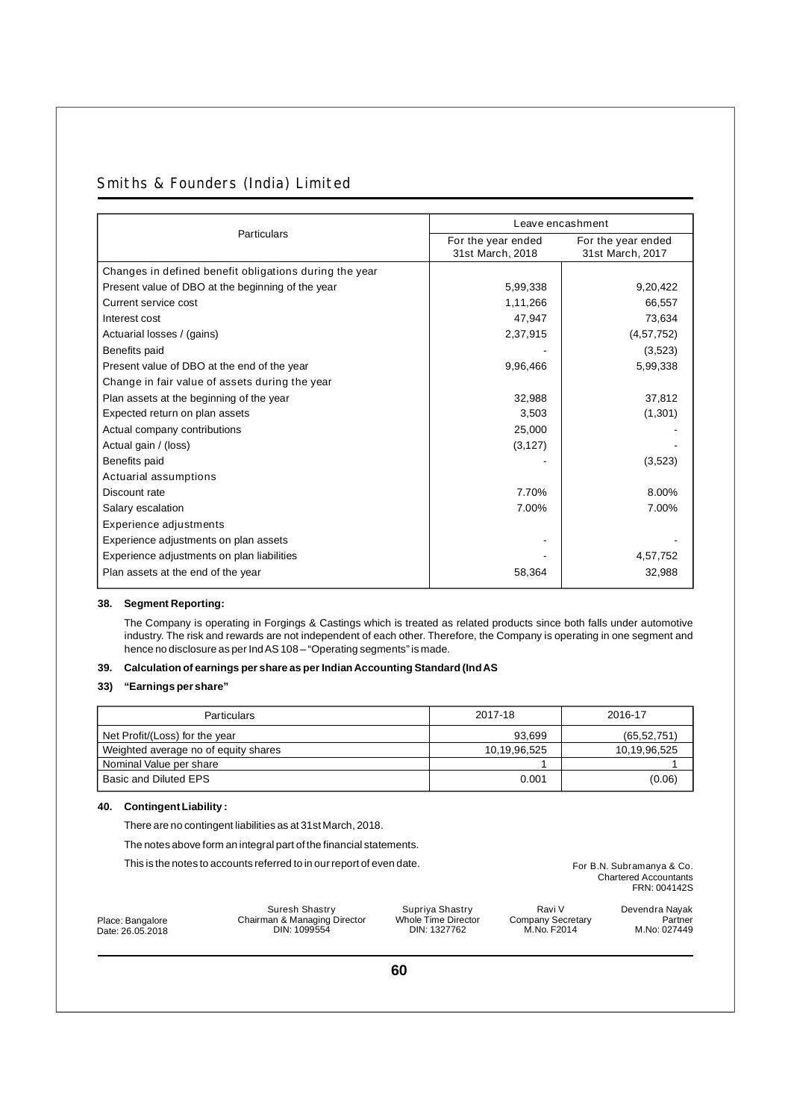|                                                        | Leave encashment                       |                                        |  |
|--------------------------------------------------------|----------------------------------------|----------------------------------------|--|
| Particulars                                            | For the year ended<br>31st March, 2018 | For the year ended<br>31st March, 2017 |  |
| Changes in defined benefit obligations during the year |                                        |                                        |  |
| Present value of DBO at the beginning of the year      | 5,99,338                               | 9,20,422                               |  |
| Current service cost                                   | 1,11,266                               | 66,557                                 |  |
| Interest cost                                          | 47,947                                 | 73,634                                 |  |
| Actuarial losses / (gains)                             | 2,37,915                               | (4, 57, 752)                           |  |
| Benefits paid                                          |                                        | (3,523)                                |  |
| Present value of DBO at the end of the year            | 9,96,466                               | 5,99,338                               |  |
| Change in fair value of assets during the year         |                                        |                                        |  |
| Plan assets at the beginning of the year               | 32,988                                 | 37,812                                 |  |
| Expected return on plan assets                         | 3,503                                  | (1,301)                                |  |
| Actual company contributions                           | 25,000                                 |                                        |  |
| Actual gain / (loss)                                   | (3, 127)                               |                                        |  |
| Benefits paid                                          |                                        | (3,523)                                |  |
| <b>Actuarial assumptions</b>                           |                                        |                                        |  |
| Discount rate                                          | 7.70%                                  | 8.00%                                  |  |
| Salary escalation                                      | 7.00%                                  | 7.00%                                  |  |
| <b>Experience adjustments</b>                          |                                        |                                        |  |
| Experience adjustments on plan assets                  |                                        |                                        |  |
| Experience adjustments on plan liabilities             |                                        | 4,57,752                               |  |
| Plan assets at the end of the year                     | 58,364                                 | 32,988                                 |  |

#### **38. Segment Reporting:**

 The Company is operating in Forgings & Castings which is treated as related products since both falls under automotive industry. The risk and rewards are not independent of each other. Therefore, the Company is operating in one segment and hence no disclosure as per Ind AS 108 – "Operating segments" is made.

#### **39. Calculation of earnings per share as per Indian Accounting Standard (Ind AS**

#### **33) "Earnings per share"**

| <b>Particulars</b>                   | 2017-18      | 2016-17       |
|--------------------------------------|--------------|---------------|
| Net Profit/(Loss) for the year       | 93.699       | (65, 52, 751) |
| Weighted average no of equity shares | 10.19.96.525 | 10,19,96,525  |
| Nominal Value per share              |              |               |
| Basic and Diluted EPS                | 0.001        | (0.06)        |

### **40. Contingent Liability :**

There are no contingent liabilities as at 31st March, 2018.

The notes above form an integral part of the financial statements.

This is the notes to accounts referred to in our report of even date. **For B.N. Subramanya & Co.** 

**Chartered Accountants FRN: 004142S**

|                  | <b>Suresh Shastry</b>        | Supriva Shastry     | Ravi V            | Devendra Navak |
|------------------|------------------------------|---------------------|-------------------|----------------|
| Place: Bangalore | Chairman & Managing Director | Whole Time Director | Company Secretary | Partner        |
| Date: 26.05.2018 | DIN: 1099554                 | DIN: 1327762        | M.No. F2014       | M.No: 027449   |
|                  |                              |                     |                   |                |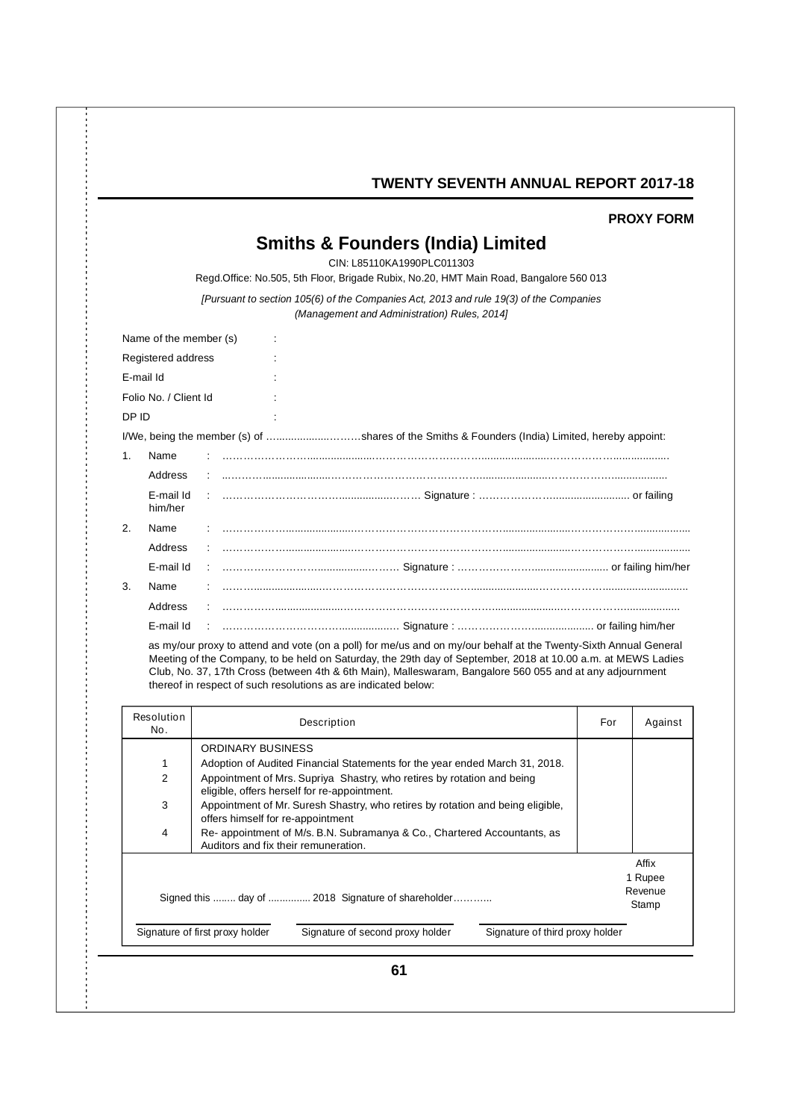|    |                                 |                                                                           | <b>Smiths &amp; Founders (India) Limited</b>                                                                                                                                                                                                                                                                                                                                                                   |                                 |     | <b>PROXY FORM</b>                    |
|----|---------------------------------|---------------------------------------------------------------------------|----------------------------------------------------------------------------------------------------------------------------------------------------------------------------------------------------------------------------------------------------------------------------------------------------------------------------------------------------------------------------------------------------------------|---------------------------------|-----|--------------------------------------|
|    |                                 |                                                                           | CIN: L85110KA1990PLC011303                                                                                                                                                                                                                                                                                                                                                                                     |                                 |     |                                      |
|    |                                 |                                                                           | Regd.Office: No.505, 5th Floor, Brigade Rubix, No.20, HMT Main Road, Bangalore 560 013                                                                                                                                                                                                                                                                                                                         |                                 |     |                                      |
|    |                                 |                                                                           | [Pursuant to section 105(6) of the Companies Act, 2013 and rule 19(3) of the Companies<br>(Management and Administration) Rules, 2014]                                                                                                                                                                                                                                                                         |                                 |     |                                      |
|    | Name of the member (s)          |                                                                           |                                                                                                                                                                                                                                                                                                                                                                                                                |                                 |     |                                      |
|    | Registered address              |                                                                           |                                                                                                                                                                                                                                                                                                                                                                                                                |                                 |     |                                      |
|    | E-mail Id                       |                                                                           |                                                                                                                                                                                                                                                                                                                                                                                                                |                                 |     |                                      |
|    | Folio No. / Client Id           |                                                                           |                                                                                                                                                                                                                                                                                                                                                                                                                |                                 |     |                                      |
|    | DP ID                           |                                                                           |                                                                                                                                                                                                                                                                                                                                                                                                                |                                 |     |                                      |
|    |                                 |                                                                           | I/We, being the member (s) of shares of the Smiths & Founders (India) Limited, hereby appoint:                                                                                                                                                                                                                                                                                                                 |                                 |     |                                      |
| 1. | Name                            |                                                                           |                                                                                                                                                                                                                                                                                                                                                                                                                |                                 |     |                                      |
|    | Address                         |                                                                           |                                                                                                                                                                                                                                                                                                                                                                                                                |                                 |     |                                      |
|    | E-mail Id<br>him/her            |                                                                           |                                                                                                                                                                                                                                                                                                                                                                                                                |                                 |     |                                      |
| 2. | Name                            |                                                                           |                                                                                                                                                                                                                                                                                                                                                                                                                |                                 |     |                                      |
|    | Address                         |                                                                           |                                                                                                                                                                                                                                                                                                                                                                                                                |                                 |     |                                      |
|    | E-mail Id                       |                                                                           | contraction of failing him/her contraction of the contraction of the contraction of failing him/her                                                                                                                                                                                                                                                                                                            |                                 |     |                                      |
| 3. | Name                            |                                                                           |                                                                                                                                                                                                                                                                                                                                                                                                                |                                 |     |                                      |
|    | Address                         |                                                                           |                                                                                                                                                                                                                                                                                                                                                                                                                |                                 |     |                                      |
|    |                                 |                                                                           |                                                                                                                                                                                                                                                                                                                                                                                                                |                                 |     |                                      |
|    | E-mail Id                       |                                                                           | contraction of failing him/her contraction of the subset of the subset of the Signature contraction of failing him/her                                                                                                                                                                                                                                                                                         |                                 |     |                                      |
|    | <b>Resolution</b>               |                                                                           | as my/our proxy to attend and vote (on a poll) for me/us and on my/our behalf at the Twenty-Sixth Annual General<br>Meeting of the Company, to be held on Saturday, the 29th day of September, 2018 at 10.00 a.m. at MEWS Ladies<br>Club, No. 37, 17th Cross (between 4th & 6th Main), Malleswaram, Bangalore 560 055 and at any adjournment<br>thereof in respect of such resolutions as are indicated below: |                                 |     |                                      |
|    | No.                             |                                                                           | <b>Description</b>                                                                                                                                                                                                                                                                                                                                                                                             |                                 | For |                                      |
|    |                                 | <b>ORDINARY BUSINESS</b>                                                  |                                                                                                                                                                                                                                                                                                                                                                                                                |                                 |     |                                      |
|    | 1<br>2                          | eligible, offers herself for re-appointment.                              | Adoption of Audited Financial Statements for the year ended March 31, 2018.<br>Appointment of Mrs. Supriya Shastry, who retires by rotation and being                                                                                                                                                                                                                                                          |                                 |     |                                      |
|    | 3                               |                                                                           | Appointment of Mr. Suresh Shastry, who retires by rotation and being eligible,                                                                                                                                                                                                                                                                                                                                 |                                 |     |                                      |
|    | 4                               | offers himself for re-appointment<br>Auditors and fix their remuneration. | Re- appointment of M/s. B.N. Subramanya & Co., Chartered Accountants, as                                                                                                                                                                                                                                                                                                                                       |                                 |     |                                      |
|    |                                 |                                                                           | Signed this  day of  2018 Signature of shareholder                                                                                                                                                                                                                                                                                                                                                             |                                 |     | Affix<br>1 Rupee<br>Revenue<br>Stamp |
|    | Signature of first proxy holder |                                                                           | Signature of second proxy holder                                                                                                                                                                                                                                                                                                                                                                               | Signature of third proxy holder |     | Against                              |
|    |                                 |                                                                           | 61                                                                                                                                                                                                                                                                                                                                                                                                             |                                 |     |                                      |

 $\sim$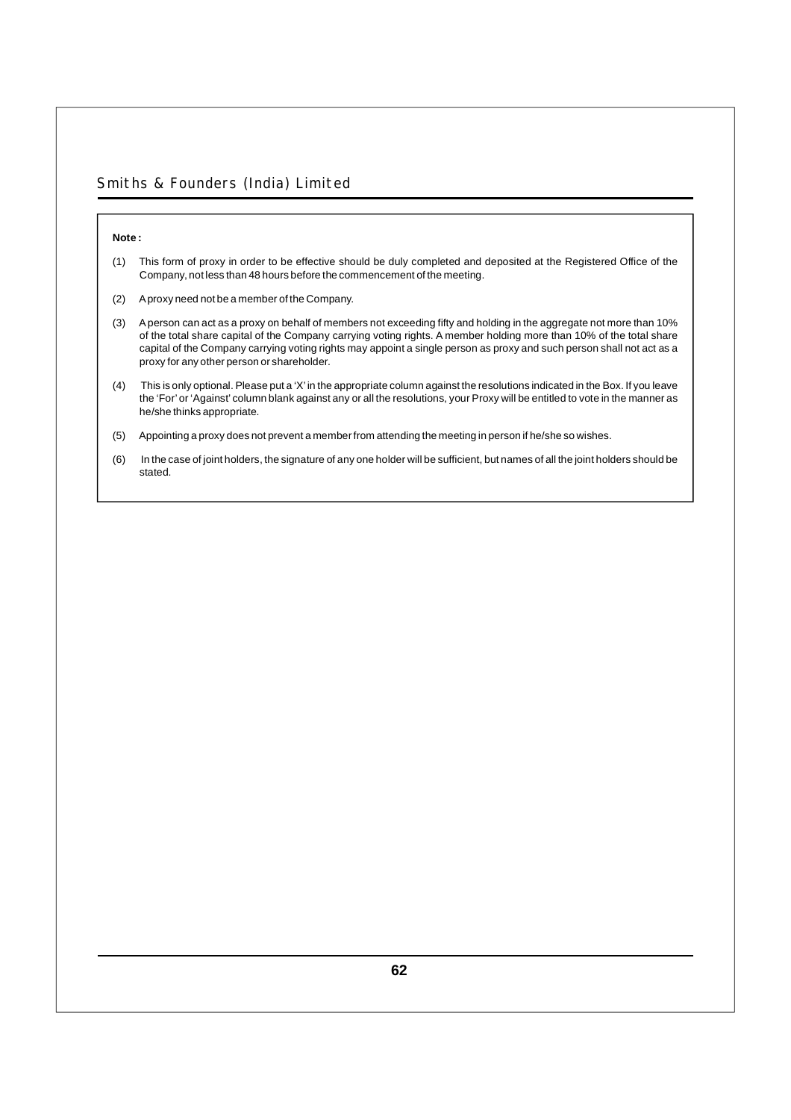#### **Note :**

- (1) This form of proxy in order to be effective should be duly completed and deposited at the Registered Office of the Company, not less than 48 hours before the commencement of the meeting.
- (2) A proxy need not be a member of the Company.
- (3) A person can act as a proxy on behalf of members not exceeding fifty and holding in the aggregate not more than 10% of the total share capital of the Company carrying voting rights. A member holding more than 10% of the total share capital of the Company carrying voting rights may appoint a single person as proxy and such person shall not act as a proxy for any other person or shareholder.
- (4) This is only optional. Please put a 'X' in the appropriate column against the resolutions indicated in the Box. If you leave the 'For' or 'Against' column blank against any or all the resolutions, your Proxy will be entitled to vote in the manner as he/she thinks appropriate.
- (5) Appointing a proxy does not prevent a member from attending the meeting in person if he/she so wishes.
- (6) In the case of joint holders, the signature of any one holder will be sufficient, but names of all the joint holders should be stated.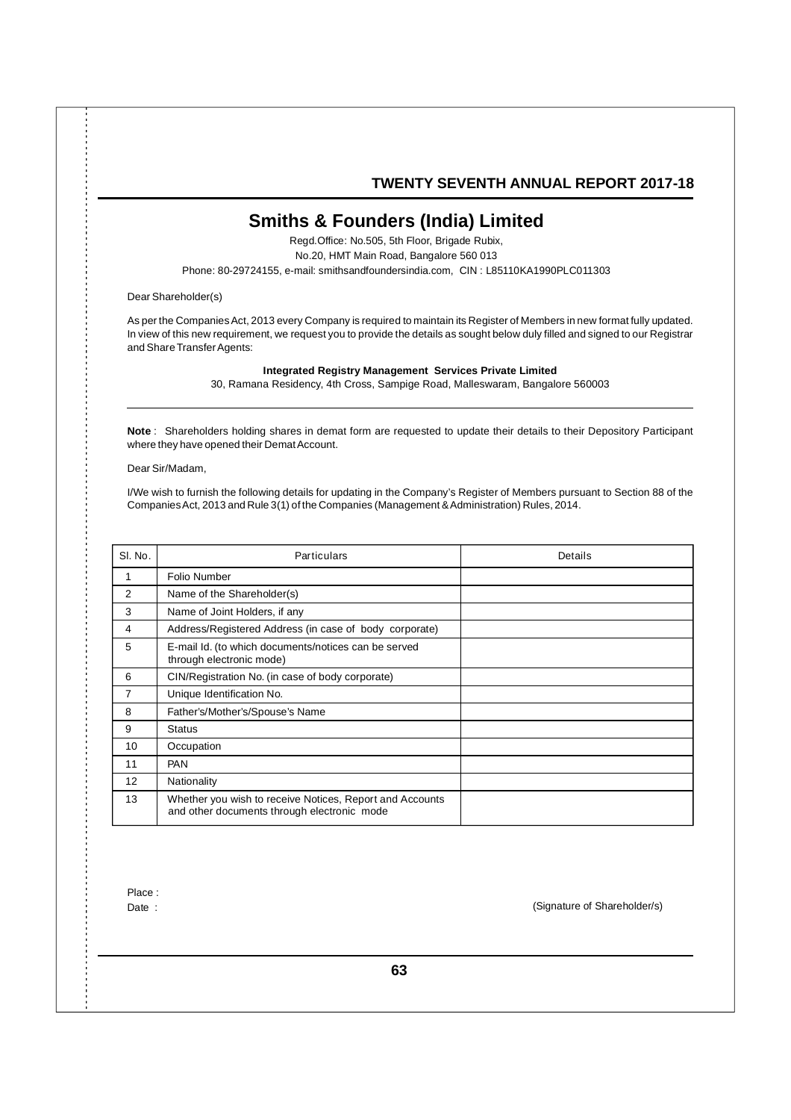## **Smiths & Founders (India) Limited**

Regd.Office: No.505, 5th Floor, Brigade Rubix, No.20, HMT Main Road, Bangalore 560 013

Phone: 80-29724155, e-mail: smithsandfoundersindia.com, CIN : L85110KA1990PLC011303

#### Dear Shareholder(s)

As per the Companies Act, 2013 every Company is required to maintain its Register of Members in new format fully updated. In view of this new requirement, we request you to provide the details as sought below duly filled and signed to our Registrar and Share Transfer Agents:

> **Integrated Registry Management Services Private Limited** 30, Ramana Residency, 4th Cross, Sampige Road, Malleswaram, Bangalore 560003

**Note** : Shareholders holding shares in demat form are requested to update their details to their Depository Participant where they have opened their Demat Account.

Dear Sir/Madam,

I/We wish to furnish the following details for updating in the Company's Register of Members pursuant to Section 88 of the Companies Act, 2013 and Rule 3(1) of the Companies (Management & Administration) Rules, 2014.

| SI. No. | <b>Particulars</b>                                                                                      | <b>Details</b> |
|---------|---------------------------------------------------------------------------------------------------------|----------------|
| 1       | Folio Number                                                                                            |                |
| 2       | Name of the Shareholder(s)                                                                              |                |
| 3       | Name of Joint Holders, if any                                                                           |                |
| 4       | Address/Registered Address (in case of body corporate)                                                  |                |
| 5       | E-mail Id. (to which documents/notices can be served<br>through electronic mode)                        |                |
| 6       | CIN/Registration No. (in case of body corporate)                                                        |                |
| 7       | Unique Identification No.                                                                               |                |
| 8       | Father's/Mother's/Spouse's Name                                                                         |                |
| 9       | <b>Status</b>                                                                                           |                |
| 10      | Occupation                                                                                              |                |
| 11      | <b>PAN</b>                                                                                              |                |
| 12      | Nationality                                                                                             |                |
| 13      | Whether you wish to receive Notices, Report and Accounts<br>and other documents through electronic mode |                |

Place :

Date : (Signature of Shareholder/s)